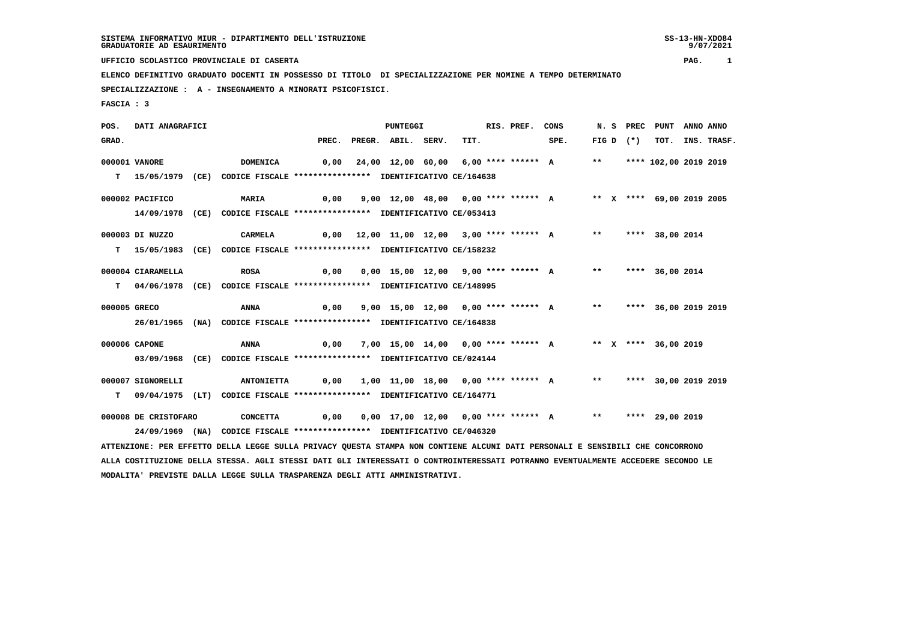**UFFICIO SCOLASTICO PROVINCIALE DI CASERTA PAG. 1**

 **ELENCO DEFINITIVO GRADUATO DOCENTI IN POSSESSO DI TITOLO DI SPECIALIZZAZIONE PER NOMINE A TEMPO DETERMINATO SPECIALIZZAZIONE : A - INSEGNAMENTO A MINORATI PSICOFISICI.**

 **FASCIA : 3**

 **POS. DATI ANAGRAFICI PUNTEGGI RIS. PREF. CONS N. S PREC PUNT ANNO ANNO**GRAD. **BRAD. PREC. PREGR. ABIL. SERV.** TIT. SPE. FIG D (\*) TOT. INS. TRASF.  **000001 VANORE DOMENICA 0,00 24,00 12,00 60,00 6,00 \*\*\*\* \*\*\*\*\*\* A \*\* \*\*\*\* 102,00 2019 2019 T 15/05/1979 (CE) CODICE FISCALE \*\*\*\*\*\*\*\*\*\*\*\*\*\*\*\* IDENTIFICATIVO CE/164638 000002 PACIFICO MARIA 0,00 9,00 12,00 48,00 0,00 \*\*\*\* \*\*\*\*\*\* A \*\* X \*\*\*\* 69,00 2019 2005 14/09/1978 (CE) CODICE FISCALE \*\*\*\*\*\*\*\*\*\*\*\*\*\*\*\* IDENTIFICATIVO CE/053413 000003 DI NUZZO CARMELA 0,00 12,00 11,00 12,00 3,00 \*\*\*\* \*\*\*\*\*\* A \*\* \*\*\*\* 38,00 2014 T 15/05/1983 (CE) CODICE FISCALE \*\*\*\*\*\*\*\*\*\*\*\*\*\*\*\* IDENTIFICATIVO CE/158232 000004 CIARAMELLA ROSA 0,00 0,00 15,00 12,00 9,00 \*\*\*\* \*\*\*\*\*\* A \*\* \*\*\*\* 36,00 2014 T 04/06/1978 (CE) CODICE FISCALE \*\*\*\*\*\*\*\*\*\*\*\*\*\*\*\* IDENTIFICATIVO CE/148995 000005 GRECO ANNA 0,00 9,00 15,00 12,00 0,00 \*\*\*\* \*\*\*\*\*\* A \*\* \*\*\*\* 36,00 2019 2019 26/01/1965 (NA) CODICE FISCALE \*\*\*\*\*\*\*\*\*\*\*\*\*\*\*\* IDENTIFICATIVO CE/164838 000006 CAPONE ANNA 0,00 7,00 15,00 14,00 0,00 \*\*\*\* \*\*\*\*\*\* A \*\* X \*\*\*\* 36,00 2019 03/09/1968 (CE) CODICE FISCALE \*\*\*\*\*\*\*\*\*\*\*\*\*\*\*\* IDENTIFICATIVO CE/024144 000007 SIGNORELLI ANTONIETTA 0,00 1,00 11,00 18,00 0,00 \*\*\*\* \*\*\*\*\*\* A \*\* \*\*\*\* 30,00 2019 2019 T 09/04/1975 (LT) CODICE FISCALE \*\*\*\*\*\*\*\*\*\*\*\*\*\*\*\* IDENTIFICATIVO CE/164771 000008 DE CRISTOFARO CONCETTA 0,00 0,00 17,00 12,00 0,00 \*\*\*\* \*\*\*\*\*\* A \*\* \*\*\*\* 29,00 2019 24/09/1969 (NA) CODICE FISCALE \*\*\*\*\*\*\*\*\*\*\*\*\*\*\*\* IDENTIFICATIVO CE/046320**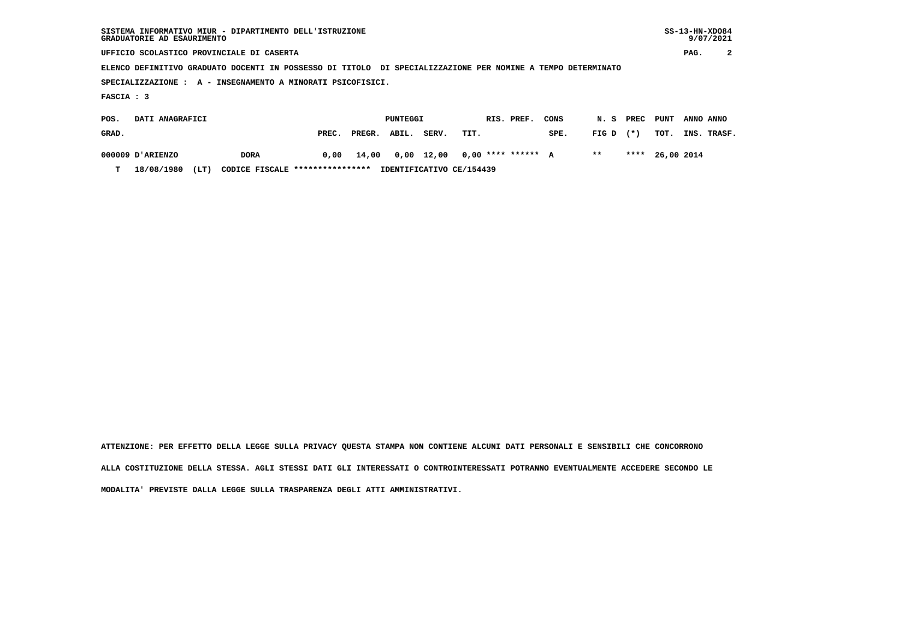| SISTEMA INFORMATIVO MIUR - DIPARTIMENTO DELL'ISTRUZIONE<br>GRADUATORIE AD ESAURIMENTO                       |       |        |          |       |      |            |      |       |       |      |           | $SS-13-HN-XDO84$<br>9/07/2021 |
|-------------------------------------------------------------------------------------------------------------|-------|--------|----------|-------|------|------------|------|-------|-------|------|-----------|-------------------------------|
| UFFICIO SCOLASTICO PROVINCIALE DI CASERTA                                                                   |       |        |          |       |      |            |      |       |       |      | PAG.      | 2                             |
| ELENCO DEFINITIVO GRADUATO DOCENTI IN POSSESSO DI TITOLO DI SPECIALIZZAZIONE PER NOMINE A TEMPO DETERMINATO |       |        |          |       |      |            |      |       |       |      |           |                               |
| SPECIALIZZAZIONE : A - INSEGNAMENTO A MINORATI PSICOFISICI.                                                 |       |        |          |       |      |            |      |       |       |      |           |                               |
| FASCIA : 3                                                                                                  |       |        |          |       |      |            |      |       |       |      |           |                               |
| DATI ANAGRAFICI<br>POS.                                                                                     |       |        | PUNTEGGI |       |      | RIS. PREF. | CONS | N. S  | PREC  | PUNT | ANNO ANNO |                               |
| GRAD.                                                                                                       | PREC. | PREGR. | ABIL.    | SERV. | TIT. |            | SPE. | FIG D | $(*)$ | TOT. |           | INS. TRASF.                   |

 **000009 D'ARIENZO DORA 0,00 14,00 0,00 12,00 0,00 \*\*\*\* \*\*\*\*\*\* A \*\* \*\*\*\* 26,00 2014**

 **T 18/08/1980 (LT) CODICE FISCALE \*\*\*\*\*\*\*\*\*\*\*\*\*\*\*\* IDENTIFICATIVO CE/154439**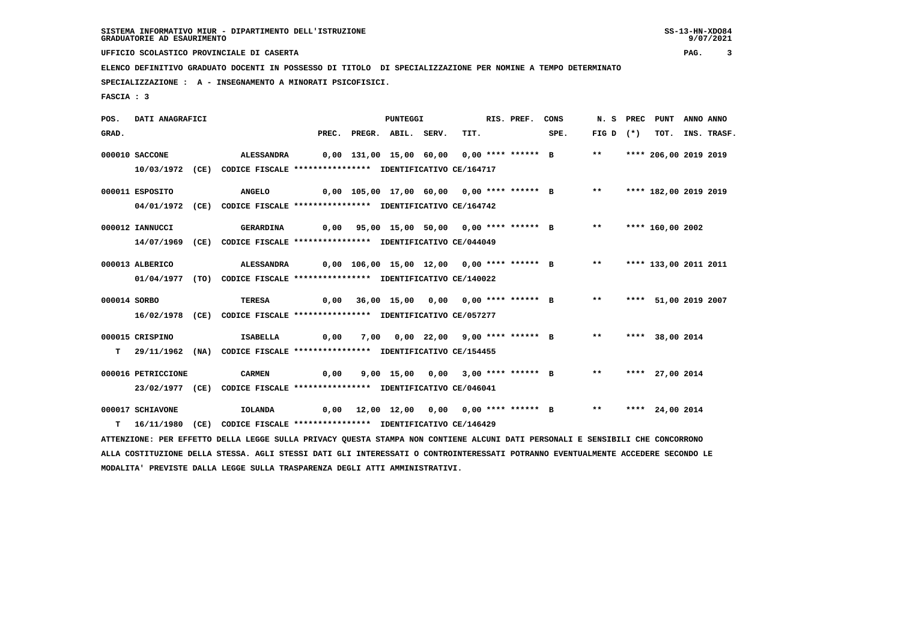**UFFICIO SCOLASTICO PROVINCIALE DI CASERTA PAG. 3**

 **ELENCO DEFINITIVO GRADUATO DOCENTI IN POSSESSO DI TITOLO DI SPECIALIZZAZIONE PER NOMINE A TEMPO DETERMINATO**

 **SPECIALIZZAZIONE : A - INSEGNAMENTO A MINORATI PSICOFISICI.**

 **FASCIA : 3**

| TIT.<br>SPE.<br>$FIG D (*)$<br>GRAD.<br>PREC. PREGR. ABIL. SERV.                                                                | TOT. INS. TRASF. |
|---------------------------------------------------------------------------------------------------------------------------------|------------------|
|                                                                                                                                 |                  |
| 000010 SACCONE<br>0,00 131,00 15,00 60,00 0,00 **** ****** B<br>$***$<br>**** 206,00 2019 2019<br>ALESSANDRA                    |                  |
| CODICE FISCALE **************** IDENTIFICATIVO CE/164717<br>10/03/1972 (CE)                                                     |                  |
| 0,00 105,00 17,00 60,00 0,00 **** ****** B ** **** 182,00 2019 2019<br>000011 ESPOSITO<br><b>ANGELO</b>                         |                  |
| 04/01/1972 (CE) CODICE FISCALE *************** IDENTIFICATIVO CE/164742                                                         |                  |
| 0,00 95,00 15,00 50,00 0,00 **** ****** B **<br>**** 160,00 2002<br>000012 IANNUCCI<br><b>GERARDINA</b>                         |                  |
| CODICE FISCALE **************** IDENTIFICATIVO CE/044049<br>14/07/1969<br>(CE)                                                  |                  |
| 0,00 106,00 15,00 12,00 0,00 **** ****** B **<br>**** 133,00 2011 2011<br>000013 ALBERICO<br>ALESSANDRA                         |                  |
| 01/04/1977 (TO) CODICE FISCALE *************** IDENTIFICATIVO CE/140022                                                         |                  |
|                                                                                                                                 |                  |
| 0,00 36,00 15,00 0,00 0,00 **** ****** B<br>$***$<br>000014 SORBO<br><b>TERESA</b><br>**** 51,00 2019 2007                      |                  |
| 16/02/1978 (CE) CODICE FISCALE *************** IDENTIFICATIVO CE/057277                                                         |                  |
| 000015 CRISPINO<br><b>ISABELLA</b><br>7,00 0,00 22,00 9,00 **** ****** B<br>$***$<br>0,00<br>**** 38,00 2014                    |                  |
| 29/11/1962 (NA) CODICE FISCALE *************** IDENTIFICATIVO CE/154455<br>т                                                    |                  |
| 9,00 15,00 0,00 3,00 **** ****** B<br>$***$<br>000016 PETRICCIONE<br><b>CARMEN</b><br>0,00<br>**** 27,00 2014                   |                  |
| 23/02/1977 (CE) CODICE FISCALE *************** IDENTIFICATIVO CE/046041                                                         |                  |
| 000017 SCHIAVONE<br>0,00 12,00 12,00 0,00 0,00 **** ****** B<br>$***$<br>**** 24,00 2014<br>IOLANDA                             |                  |
| 16/11/1980 (CE) CODICE FISCALE *************** IDENTIFICATIVO CE/146429<br>T.                                                   |                  |
| ATTENZIONE: PER EFFETTO DELLA LEGGE SULLA PRIVACY QUESTA STAMPA NON CONTIENE ALCUNI DATI PERSONALI E SENSIBILI CHE CONCORRONO   |                  |
| ALLA COSTITUZIONE DELLA STESSA. AGLI STESSI DATI GLI INTERESSATI O CONTROINTERESSATI POTRANNO EVENTUALMENTE ACCEDERE SECONDO LE |                  |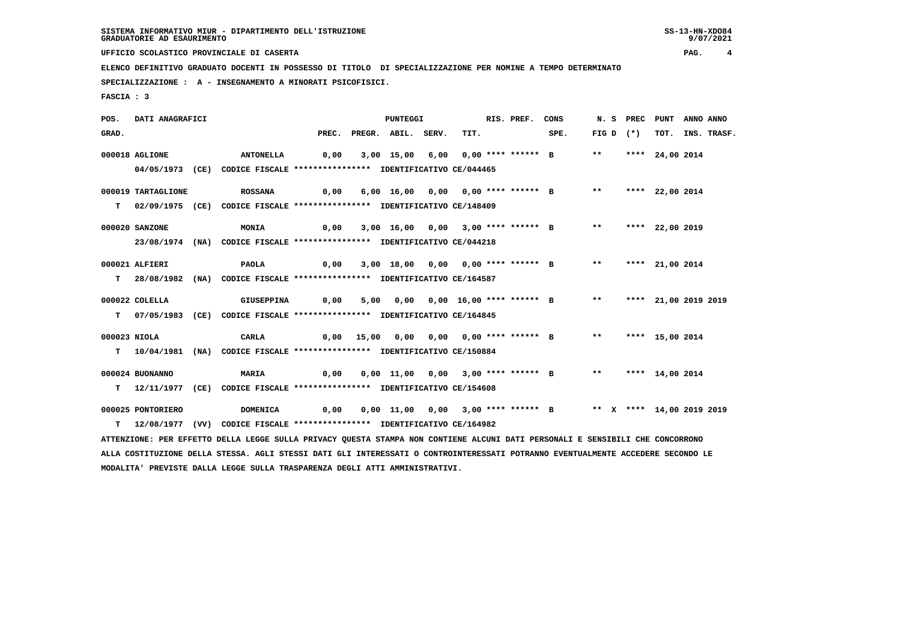**UFFICIO SCOLASTICO PROVINCIALE DI CASERTA PAG. 4**

 **ELENCO DEFINITIVO GRADUATO DOCENTI IN POSSESSO DI TITOLO DI SPECIALIZZAZIONE PER NOMINE A TEMPO DETERMINATO**

 **SPECIALIZZAZIONE : A - INSEGNAMENTO A MINORATI PSICOFISICI.**

 **FASCIA : 3**

 **POS. DATI ANAGRAFICI PUNTEGGI RIS. PREF. CONS N. S PREC PUNT ANNO ANNO**GRAD. PREC. PREGR. ABIL. SERV. TIT. SPE. FIG D (\*) TOT. INS. TRASF.  **000018 AGLIONE ANTONELLA 0,00 3,00 15,00 6,00 0,00 \*\*\*\* \*\*\*\*\*\* B \*\* \*\*\*\* 24,00 2014 04/05/1973 (CE) CODICE FISCALE \*\*\*\*\*\*\*\*\*\*\*\*\*\*\*\* IDENTIFICATIVO CE/044465 000019 TARTAGLIONE ROSSANA 0,00 6,00 16,00 0,00 0,00 \*\*\*\* \*\*\*\*\*\* B \*\* \*\*\*\* 22,00 2014 T 02/09/1975 (CE) CODICE FISCALE \*\*\*\*\*\*\*\*\*\*\*\*\*\*\*\* IDENTIFICATIVO CE/148409 000020 SANZONE MONIA 0,00 3,00 16,00 0,00 3,00 \*\*\*\* \*\*\*\*\*\* B \*\* \*\*\*\* 22,00 2019 23/08/1974 (NA) CODICE FISCALE \*\*\*\*\*\*\*\*\*\*\*\*\*\*\*\* IDENTIFICATIVO CE/044218 000021 ALFIERI PAOLA 0,00 3,00 18,00 0,00 0,00 \*\*\*\* \*\*\*\*\*\* B \*\* \*\*\*\* 21,00 2014 T 28/08/1982 (NA) CODICE FISCALE \*\*\*\*\*\*\*\*\*\*\*\*\*\*\*\* IDENTIFICATIVO CE/164587 000022 COLELLA GIUSEPPINA 0,00 5,00 0,00 0,00 16,00 \*\*\*\* \*\*\*\*\*\* B \*\* \*\*\*\* 21,00 2019 2019 T 07/05/1983 (CE) CODICE FISCALE \*\*\*\*\*\*\*\*\*\*\*\*\*\*\*\* IDENTIFICATIVO CE/164845 000023 NIOLA CARLA 0,00 15,00 0,00 0,00 0,00 \*\*\*\* \*\*\*\*\*\* B \*\* \*\*\*\* 15,00 2014 T 10/04/1981 (NA) CODICE FISCALE \*\*\*\*\*\*\*\*\*\*\*\*\*\*\*\* IDENTIFICATIVO CE/150884 000024 BUONANNO MARIA 0,00 0,00 11,00 0,00 3,00 \*\*\*\* \*\*\*\*\*\* B \*\* \*\*\*\* 14,00 2014 T 12/11/1977 (CE) CODICE FISCALE \*\*\*\*\*\*\*\*\*\*\*\*\*\*\*\* IDENTIFICATIVO CE/154608 000025 PONTORIERO DOMENICA 0,00 0,00 11,00 0,00 3,00 \*\*\*\* \*\*\*\*\*\* B \*\* X \*\*\*\* 14,00 2019 2019 T 12/08/1977 (VV) CODICE FISCALE \*\*\*\*\*\*\*\*\*\*\*\*\*\*\*\* IDENTIFICATIVO CE/164982 ATTENZIONE: PER EFFETTO DELLA LEGGE SULLA PRIVACY QUESTA STAMPA NON CONTIENE ALCUNI DATI PERSONALI E SENSIBILI CHE CONCORRONO ALLA COSTITUZIONE DELLA STESSA. AGLI STESSI DATI GLI INTERESSATI O CONTROINTERESSATI POTRANNO EVENTUALMENTE ACCEDERE SECONDO LE MODALITA' PREVISTE DALLA LEGGE SULLA TRASPARENZA DEGLI ATTI AMMINISTRATIVI.**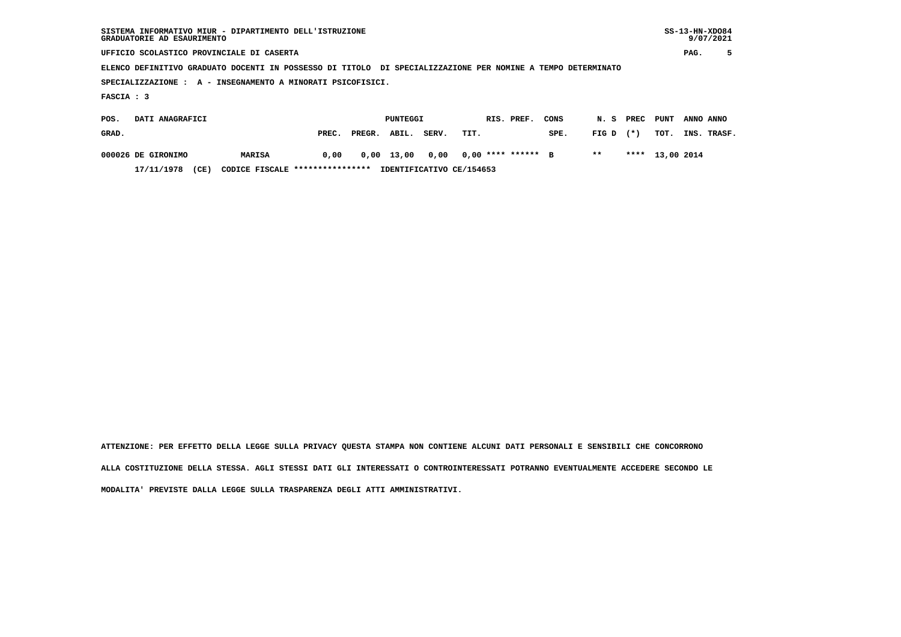| GRADUATORIE AD ESAURIMENTO | SISTEMA INFORMATIVO MIUR - DIPARTIMENTO DELL'ISTRUZIONE                                                     |       |        |          |       |      |            |                    |            |       |        |                 |           | $SS-13-HN-XDO84$<br>9/07/2021 |
|----------------------------|-------------------------------------------------------------------------------------------------------------|-------|--------|----------|-------|------|------------|--------------------|------------|-------|--------|-----------------|-----------|-------------------------------|
|                            | UFFICIO SCOLASTICO PROVINCIALE DI CASERTA                                                                   |       |        |          |       |      |            |                    |            |       |        |                 | PAG.      | 5                             |
|                            | ELENCO DEFINITIVO GRADUATO DOCENTI IN POSSESSO DI TITOLO DI SPECIALIZZAZIONE PER NOMINE A TEMPO DETERMINATO |       |        |          |       |      |            |                    |            |       |        |                 |           |                               |
|                            | SPECIALIZZAZIONE : A - INSEGNAMENTO A MINORATI PSICOFISICI.                                                 |       |        |          |       |      |            |                    |            |       |        |                 |           |                               |
| FASCIA : 3                 |                                                                                                             |       |        |          |       |      |            |                    |            |       |        |                 |           |                               |
| DATI ANAGRAFICI<br>POS.    |                                                                                                             |       |        | PUNTEGGI |       |      | RIS. PREF. |                    | CONS       | N.S   | PREC   | PUNT            | ANNO ANNO |                               |
| GRAD.                      |                                                                                                             | PREC. | PREGR. | ABIL.    | SERV. | TIT. |            |                    | SPE.       | FIG D | $(* )$ | TOT.            | INS.      | TRASF.                        |
| 000026 DE GIRONIMO         | MARISA                                                                                                      | 0,00  | 0,00   | 13,00    | 0,00  |      |            | $0.00$ **** ****** | $_{\rm B}$ | $***$ |        | **** 13,00 2014 |           |                               |

 **17/11/1978 (CE) CODICE FISCALE \*\*\*\*\*\*\*\*\*\*\*\*\*\*\*\* IDENTIFICATIVO CE/154653**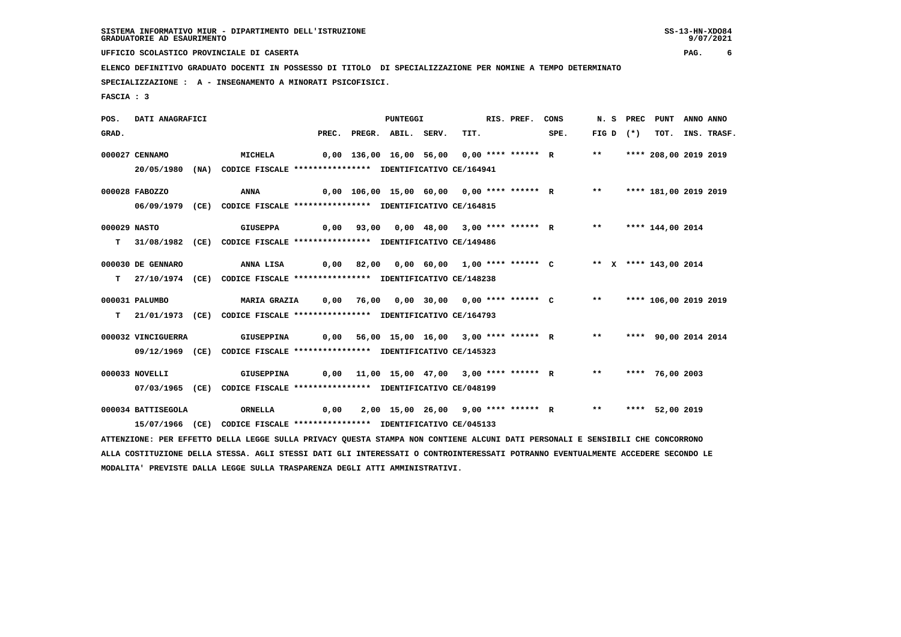**UFFICIO SCOLASTICO PROVINCIALE DI CASERTA PAG. 6**

 **ELENCO DEFINITIVO GRADUATO DOCENTI IN POSSESSO DI TITOLO DI SPECIALIZZAZIONE PER NOMINE A TEMPO DETERMINATO**

 **SPECIALIZZAZIONE : A - INSEGNAMENTO A MINORATI PSICOFISICI.**

 **FASCIA : 3**

| POS.         | DATI ANAGRAFICI    |                                                                                                                                 |  | PUNTEGGI                 |      | RIS. PREF. | CONS                                                                 |       | N.S PREC    | PUNT ANNO ANNO          |                  |
|--------------|--------------------|---------------------------------------------------------------------------------------------------------------------------------|--|--------------------------|------|------------|----------------------------------------------------------------------|-------|-------------|-------------------------|------------------|
| GRAD.        |                    |                                                                                                                                 |  | PREC. PREGR. ABIL. SERV. | TIT. |            | SPE.                                                                 |       | FIG D $(*)$ |                         | TOT. INS. TRASF. |
|              | 000027 CENNAMO     | MICHELA                                                                                                                         |  |                          |      |            | 0,00 136,00 16,00 56,00 0,00 **** ****** R                           | $***$ |             | **** 208,00 2019 2019   |                  |
|              | 20/05/1980 (NA)    | CODICE FISCALE **************** IDENTIFICATIVO CE/164941                                                                        |  |                          |      |            |                                                                      |       |             |                         |                  |
|              | 000028 FABOZZO     | ANNA                                                                                                                            |  |                          |      |            | 0,00 106,00 15,00 60,00 0,00 **** ****** R *** **** 181,00 2019 2019 |       |             |                         |                  |
|              |                    | 06/09/1979 (CE) CODICE FISCALE *************** IDENTIFICATIVO CE/164815                                                         |  |                          |      |            |                                                                      |       |             |                         |                  |
| 000029 NASTO |                    | GIUSEPPA                                                                                                                        |  |                          |      |            | 0,00 93,00 0,00 48,00 3,00 **** ****** R ** **** 144,00 2014         |       |             |                         |                  |
|              |                    | T 31/08/1982 (CE) CODICE FISCALE **************** IDENTIFICATIVO CE/149486                                                      |  |                          |      |            |                                                                      |       |             |                         |                  |
|              | 000030 DE GENNARO  | ANNA LISA                                                                                                                       |  |                          |      |            | 0,00 82,00 0,00 60,00 1,00 **** ****** C ** X **** 143,00 2014       |       |             |                         |                  |
| T.           |                    | 27/10/1974 (CE) CODICE FISCALE **************** IDENTIFICATIVO CE/148238                                                        |  |                          |      |            |                                                                      |       |             |                         |                  |
|              | 000031 PALUMBO     | MARIA GRAZIA 0,00 76,00 0,00 30,00 0,00 **** ****** C ** **** 106,00 2019 2019                                                  |  |                          |      |            |                                                                      |       |             |                         |                  |
|              |                    | T 21/01/1973 (CE) CODICE FISCALE *************** IDENTIFICATIVO CE/164793                                                       |  |                          |      |            |                                                                      |       |             |                         |                  |
|              | 000032 VINCIGUERRA | GIUSEPPINA                                                                                                                      |  |                          |      |            | 0,00 56,00 15,00 16,00 3,00 **** ****** R                            |       |             | ** **** 90,00 2014 2014 |                  |
|              |                    | 09/12/1969 (CE) CODICE FISCALE *************** IDENTIFICATIVO CE/145323                                                         |  |                          |      |            |                                                                      |       |             |                         |                  |
|              | 000033 NOVELLI     | GIUSEPPINA                                                                                                                      |  |                          |      |            | 0,00 11,00 15,00 47,00 3,00 **** ****** R ** **** 76,00 2003         |       |             |                         |                  |
|              |                    | 07/03/1965 (CE) CODICE FISCALE *************** IDENTIFICATIVO CE/048199                                                         |  |                          |      |            |                                                                      |       |             |                         |                  |
|              | 000034 BATTISEGOLA | ORNELLA                                                                                                                         |  |                          |      |            | 0,00 2,00 15,00 26,00 9,00 **** ****** R ** **** 52,00 2019          |       |             |                         |                  |
|              |                    | 15/07/1966 (CE) CODICE FISCALE *************** IDENTIFICATIVO CE/045133                                                         |  |                          |      |            |                                                                      |       |             |                         |                  |
|              |                    | ATTENZIONE: PER EFFETTO DELLA LEGGE SULLA PRIVACY QUESTA STAMPA NON CONTIENE ALCUNI DATI PERSONALI E SENSIBILI CHE CONCORRONO   |  |                          |      |            |                                                                      |       |             |                         |                  |
|              |                    | ALLA COSTITUZIONE DELLA STESSA. AGLI STESSI DATI GLI INTERESSATI O CONTROINTERESSATI POTRANNO EVENTUALMENTE ACCEDERE SECONDO LE |  |                          |      |            |                                                                      |       |             |                         |                  |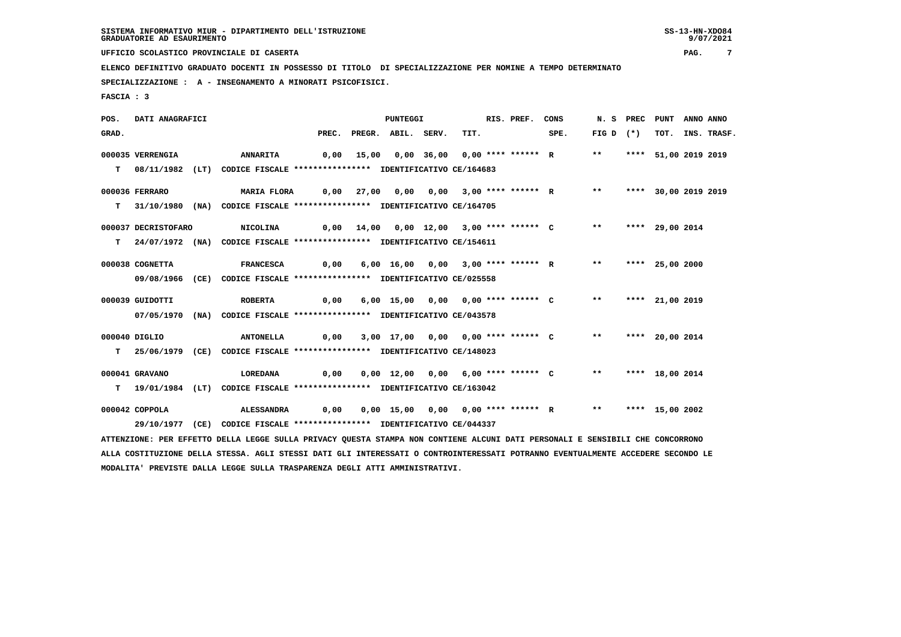**UFFICIO SCOLASTICO PROVINCIALE DI CASERTA PAG. 7**

 **ELENCO DEFINITIVO GRADUATO DOCENTI IN POSSESSO DI TITOLO DI SPECIALIZZAZIONE PER NOMINE A TEMPO DETERMINATO**

 **SPECIALIZZAZIONE : A - INSEGNAMENTO A MINORATI PSICOFISICI.**

 **FASCIA : 3**

 **POS. DATI ANAGRAFICI PUNTEGGI RIS. PREF. CONS N. S PREC PUNT ANNO ANNO**GRAD. PREC. PREGR. ABIL. SERV. TIT. SPE. FIG D (\*) TOT. INS. TRASF.  **000035 VERRENGIA ANNARITA 0,00 15,00 0,00 36,00 0,00 \*\*\*\* \*\*\*\*\*\* R \*\* \*\*\*\* 51,00 2019 2019 T 08/11/1982 (LT) CODICE FISCALE \*\*\*\*\*\*\*\*\*\*\*\*\*\*\*\* IDENTIFICATIVO CE/164683 000036 FERRARO MARIA FLORA 0,00 27,00 0,00 0,00 3,00 \*\*\*\* \*\*\*\*\*\* R \*\* \*\*\*\* 30,00 2019 2019 T 31/10/1980 (NA) CODICE FISCALE \*\*\*\*\*\*\*\*\*\*\*\*\*\*\*\* IDENTIFICATIVO CE/164705 000037 DECRISTOFARO NICOLINA 0,00 14,00 0,00 12,00 3,00 \*\*\*\* \*\*\*\*\*\* C \*\* \*\*\*\* 29,00 2014 T 24/07/1972 (NA) CODICE FISCALE \*\*\*\*\*\*\*\*\*\*\*\*\*\*\*\* IDENTIFICATIVO CE/154611 000038 COGNETTA FRANCESCA 0,00 6,00 16,00 0,00 3,00 \*\*\*\* \*\*\*\*\*\* R \*\* \*\*\*\* 25,00 2000 09/08/1966 (CE) CODICE FISCALE \*\*\*\*\*\*\*\*\*\*\*\*\*\*\*\* IDENTIFICATIVO CE/025558 000039 GUIDOTTI ROBERTA 0,00 6,00 15,00 0,00 0,00 \*\*\*\* \*\*\*\*\*\* C \*\* \*\*\*\* 21,00 2019 07/05/1970 (NA) CODICE FISCALE \*\*\*\*\*\*\*\*\*\*\*\*\*\*\*\* IDENTIFICATIVO CE/043578 000040 DIGLIO ANTONELLA 0,00 3,00 17,00 0,00 0,00 \*\*\*\* \*\*\*\*\*\* C \*\* \*\*\*\* 20,00 2014 T 25/06/1979 (CE) CODICE FISCALE \*\*\*\*\*\*\*\*\*\*\*\*\*\*\*\* IDENTIFICATIVO CE/148023 000041 GRAVANO LOREDANA 0,00 0,00 12,00 0,00 6,00 \*\*\*\* \*\*\*\*\*\* C \*\* \*\*\*\* 18,00 2014 T 19/01/1984 (LT) CODICE FISCALE \*\*\*\*\*\*\*\*\*\*\*\*\*\*\*\* IDENTIFICATIVO CE/163042 000042 COPPOLA ALESSANDRA 0,00 0,00 15,00 0,00 0,00 \*\*\*\* \*\*\*\*\*\* R \*\* \*\*\*\* 15,00 2002 29/10/1977 (CE) CODICE FISCALE \*\*\*\*\*\*\*\*\*\*\*\*\*\*\*\* IDENTIFICATIVO CE/044337 ATTENZIONE: PER EFFETTO DELLA LEGGE SULLA PRIVACY QUESTA STAMPA NON CONTIENE ALCUNI DATI PERSONALI E SENSIBILI CHE CONCORRONO ALLA COSTITUZIONE DELLA STESSA. AGLI STESSI DATI GLI INTERESSATI O CONTROINTERESSATI POTRANNO EVENTUALMENTE ACCEDERE SECONDO LE**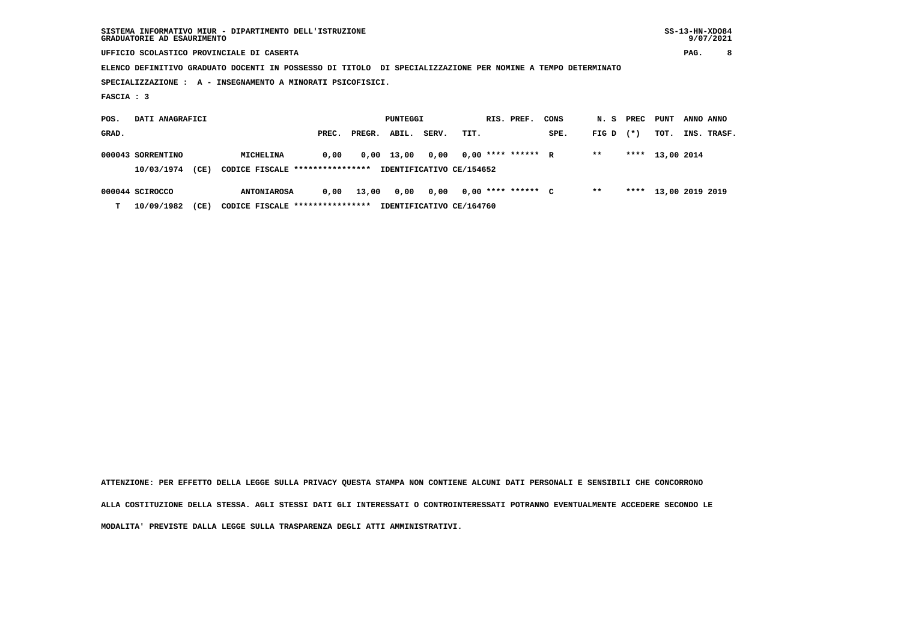|            | GRADUATORIE AD ESAURIMENTO | SISTEMA INFORMATIVO MIUR - DIPARTIMENTO DELL'ISTRUZIONE                                                     |       |        |              |                          |      |                      |      |       |        |                      |           | $SS-13-HN-XDO84$<br>9/07/2021 |
|------------|----------------------------|-------------------------------------------------------------------------------------------------------------|-------|--------|--------------|--------------------------|------|----------------------|------|-------|--------|----------------------|-----------|-------------------------------|
|            |                            | UFFICIO SCOLASTICO PROVINCIALE DI CASERTA                                                                   |       |        |              |                          |      |                      |      |       |        |                      | PAG.      | 8                             |
|            |                            | ELENCO DEFINITIVO GRADUATO DOCENTI IN POSSESSO DI TITOLO DI SPECIALIZZAZIONE PER NOMINE A TEMPO DETERMINATO |       |        |              |                          |      |                      |      |       |        |                      |           |                               |
|            |                            | SPECIALIZZAZIONE : A - INSEGNAMENTO A MINORATI PSICOFISICI.                                                 |       |        |              |                          |      |                      |      |       |        |                      |           |                               |
| FASCIA : 3 |                            |                                                                                                             |       |        |              |                          |      |                      |      |       |        |                      |           |                               |
|            |                            |                                                                                                             |       |        |              |                          |      |                      |      |       |        |                      |           |                               |
| POS.       | DATI ANAGRAFICI            |                                                                                                             |       |        | PUNTEGGI     |                          |      | RIS. PREF.           | CONS | N. S  | PREC   | PUNT                 | ANNO ANNO |                               |
| GRAD.      |                            |                                                                                                             | PREC. | PREGR. | ABIL.        | SERV.                    | TIT. |                      | SPE. | FIG D | $(* )$ | TOT.                 |           | INS. TRASF.                   |
|            | 000043 SORRENTINO          | MICHELINA                                                                                                   | 0,00  |        | $0,00$ 13,00 | 0,00                     |      | $0.00$ **** ****** R |      | $* *$ | ****   | 13,00 2014           |           |                               |
|            | 10/03/1974<br>(CE)         | CODICE FISCALE *****************                                                                            |       |        |              | IDENTIFICATIVO CE/154652 |      |                      |      |       |        |                      |           |                               |
|            | 000044 SCIROCCO            | <b>ANTONIAROSA</b>                                                                                          | 0,00  | 13,00  | 0,00         | 0,00                     |      | $0,00$ **** ****** C |      | $***$ |        | **** 13,00 2019 2019 |           |                               |

 **T 10/09/1982 (CE) CODICE FISCALE \*\*\*\*\*\*\*\*\*\*\*\*\*\*\*\* IDENTIFICATIVO CE/164760**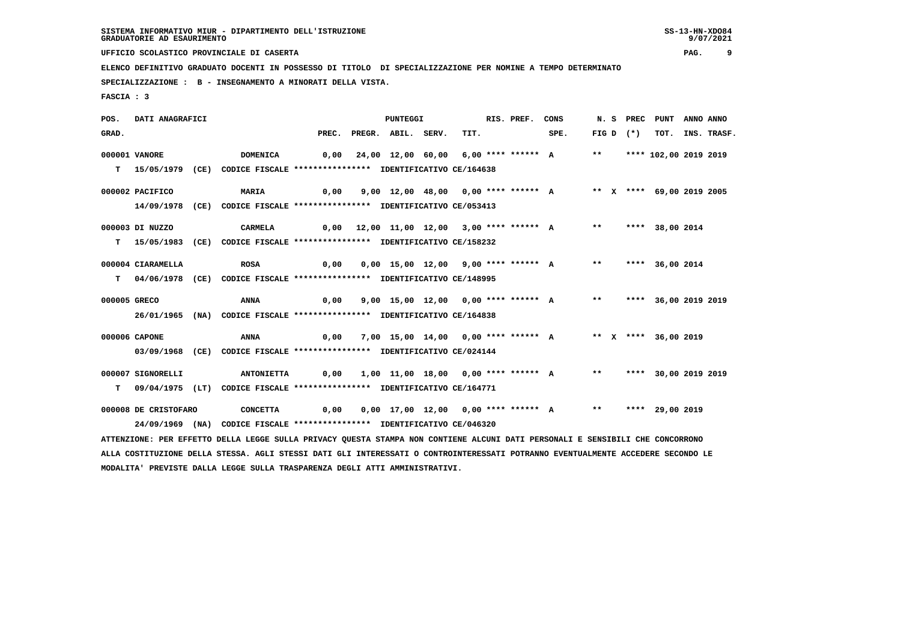9/07/2021

 **UFFICIO SCOLASTICO PROVINCIALE DI CASERTA PAG. 9**

 **ELENCO DEFINITIVO GRADUATO DOCENTI IN POSSESSO DI TITOLO DI SPECIALIZZAZIONE PER NOMINE A TEMPO DETERMINATO**

 **SPECIALIZZAZIONE : B - INSEGNAMENTO A MINORATI DELLA VISTA.**

 **FASCIA : 3**

 **POS. DATI ANAGRAFICI PUNTEGGI RIS. PREF. CONS N. S PREC PUNT ANNO ANNO**GRAD. PREC. PREGR. ABIL. SERV. TIT. SPE. FIG D (\*) TOT. INS. TRASF.  **000001 VANORE DOMENICA 0,00 24,00 12,00 60,00 6,00 \*\*\*\* \*\*\*\*\*\* A \*\* \*\*\*\* 102,00 2019 2019 T 15/05/1979 (CE) CODICE FISCALE \*\*\*\*\*\*\*\*\*\*\*\*\*\*\*\* IDENTIFICATIVO CE/164638 000002 PACIFICO MARIA 0,00 9,00 12,00 48,00 0,00 \*\*\*\* \*\*\*\*\*\* A \*\* X \*\*\*\* 69,00 2019 2005 14/09/1978 (CE) CODICE FISCALE \*\*\*\*\*\*\*\*\*\*\*\*\*\*\*\* IDENTIFICATIVO CE/053413 000003 DI NUZZO CARMELA 0,00 12,00 11,00 12,00 3,00 \*\*\*\* \*\*\*\*\*\* A \*\* \*\*\*\* 38,00 2014 T 15/05/1983 (CE) CODICE FISCALE \*\*\*\*\*\*\*\*\*\*\*\*\*\*\*\* IDENTIFICATIVO CE/158232 000004 CIARAMELLA ROSA 0,00 0,00 15,00 12,00 9,00 \*\*\*\* \*\*\*\*\*\* A \*\* \*\*\*\* 36,00 2014 T 04/06/1978 (CE) CODICE FISCALE \*\*\*\*\*\*\*\*\*\*\*\*\*\*\*\* IDENTIFICATIVO CE/148995 000005 GRECO ANNA 0,00 9,00 15,00 12,00 0,00 \*\*\*\* \*\*\*\*\*\* A \*\* \*\*\*\* 36,00 2019 2019 26/01/1965 (NA) CODICE FISCALE \*\*\*\*\*\*\*\*\*\*\*\*\*\*\*\* IDENTIFICATIVO CE/164838 000006 CAPONE ANNA 0,00 7,00 15,00 14,00 0,00 \*\*\*\* \*\*\*\*\*\* A \*\* X \*\*\*\* 36,00 2019 03/09/1968 (CE) CODICE FISCALE \*\*\*\*\*\*\*\*\*\*\*\*\*\*\*\* IDENTIFICATIVO CE/024144 000007 SIGNORELLI ANTONIETTA 0,00 1,00 11,00 18,00 0,00 \*\*\*\* \*\*\*\*\*\* A \*\* \*\*\*\* 30,00 2019 2019 T 09/04/1975 (LT) CODICE FISCALE \*\*\*\*\*\*\*\*\*\*\*\*\*\*\*\* IDENTIFICATIVO CE/164771 000008 DE CRISTOFARO CONCETTA 0,00 0,00 17,00 12,00 0,00 \*\*\*\* \*\*\*\*\*\* A \*\* \*\*\*\* 29,00 2019 24/09/1969 (NA) CODICE FISCALE \*\*\*\*\*\*\*\*\*\*\*\*\*\*\*\* IDENTIFICATIVO CE/046320 ATTENZIONE: PER EFFETTO DELLA LEGGE SULLA PRIVACY QUESTA STAMPA NON CONTIENE ALCUNI DATI PERSONALI E SENSIBILI CHE CONCORRONO ALLA COSTITUZIONE DELLA STESSA. AGLI STESSI DATI GLI INTERESSATI O CONTROINTERESSATI POTRANNO EVENTUALMENTE ACCEDERE SECONDO LE MODALITA' PREVISTE DALLA LEGGE SULLA TRASPARENZA DEGLI ATTI AMMINISTRATIVI.**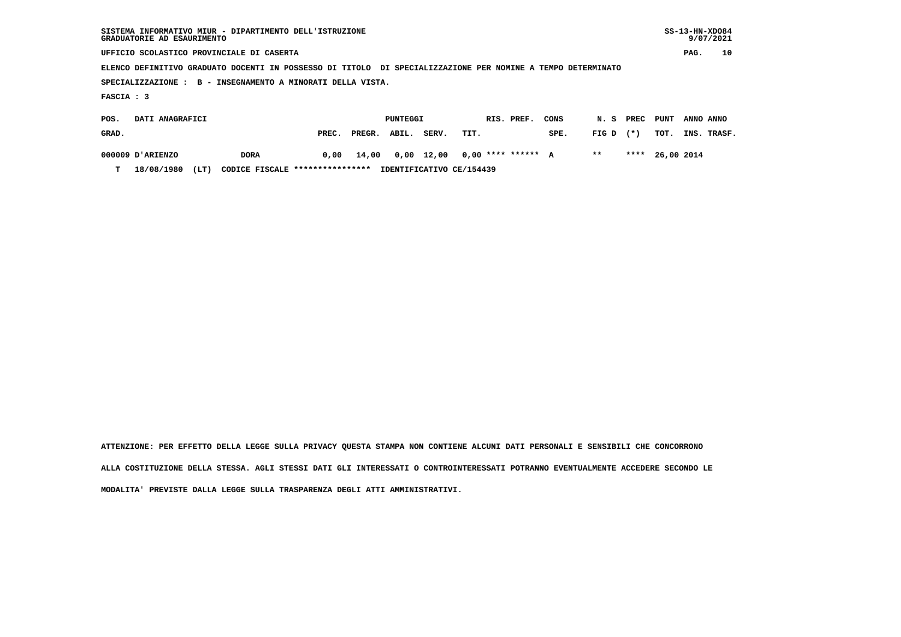|            | SISTEMA INFORMATIVO MIUR - DIPARTIMENTO DELL'ISTRUZIONE<br>GRADUATORIE AD ESAURIMENTO                       |             |       |        |          |                    |      |                      |      |       |       |            |           | $SS-13-HN-XDO84$<br>9/07/2021 |
|------------|-------------------------------------------------------------------------------------------------------------|-------------|-------|--------|----------|--------------------|------|----------------------|------|-------|-------|------------|-----------|-------------------------------|
|            | UFFICIO SCOLASTICO PROVINCIALE DI CASERTA                                                                   |             |       |        |          |                    |      |                      |      |       |       |            | PAG.      | 10                            |
|            | ELENCO DEFINITIVO GRADUATO DOCENTI IN POSSESSO DI TITOLO DI SPECIALIZZAZIONE PER NOMINE A TEMPO DETERMINATO |             |       |        |          |                    |      |                      |      |       |       |            |           |                               |
|            | SPECIALIZZAZIONE : B - INSEGNAMENTO A MINORATI DELLA VISTA.                                                 |             |       |        |          |                    |      |                      |      |       |       |            |           |                               |
| FASCIA : 3 |                                                                                                             |             |       |        |          |                    |      |                      |      |       |       |            |           |                               |
| POS.       | DATI ANAGRAFICI                                                                                             |             |       |        | PUNTEGGI |                    |      | RIS. PREF.           | CONS | N.S   | PREC  | PUNT       | ANNO ANNO |                               |
| GRAD.      |                                                                                                             |             | PREC. | PREGR. | ABIL.    | SERV.              | TIT. |                      | SPE. | FIG D | $(*)$ | TOT.       | INS.      | TRASF.                        |
|            | 000009 D'ARIENZO                                                                                            | <b>DORA</b> | 0,00  | 14,00  |          | $0,00 \quad 12,00$ |      | $0.00$ **** ****** A |      | $***$ | ****  | 26,00 2014 |           |                               |

 **T 18/08/1980 (LT) CODICE FISCALE \*\*\*\*\*\*\*\*\*\*\*\*\*\*\*\* IDENTIFICATIVO CE/154439**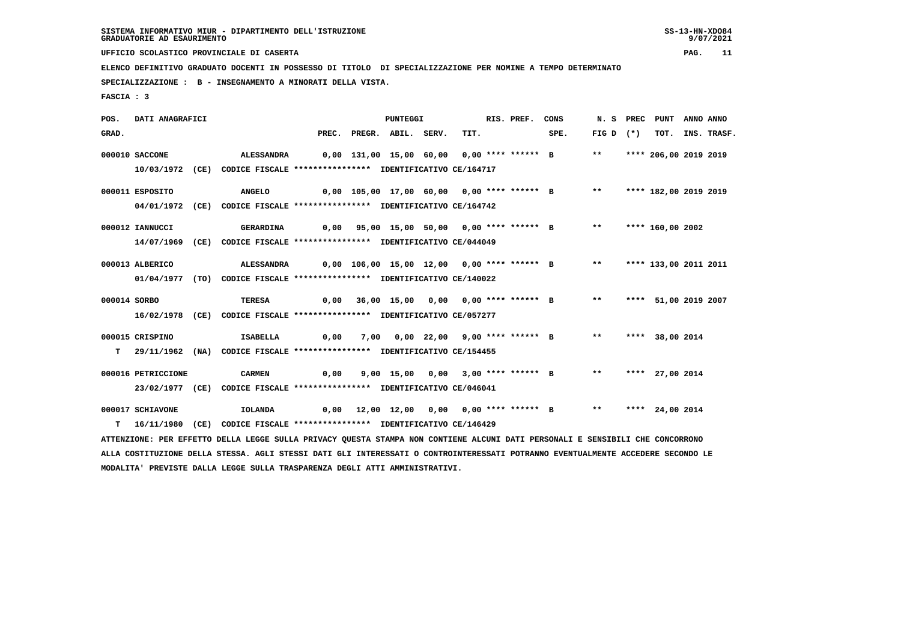**UFFICIO SCOLASTICO PROVINCIALE DI CASERTA PAG. 11**

 **ELENCO DEFINITIVO GRADUATO DOCENTI IN POSSESSO DI TITOLO DI SPECIALIZZAZIONE PER NOMINE A TEMPO DETERMINATO**

 **SPECIALIZZAZIONE : B - INSEGNAMENTO A MINORATI DELLA VISTA.**

 **FASCIA : 3**

 **POS. DATI ANAGRAFICI PUNTEGGI RIS. PREF. CONS N. S PREC PUNT ANNO ANNO**GRAD. PREC. PREGR. ABIL. SERV. TIT. SPE. FIG D (\*) TOT. INS. TRASF.  **000010 SACCONE ALESSANDRA 0,00 131,00 15,00 60,00 0,00 \*\*\*\* \*\*\*\*\*\* B \*\* \*\*\*\* 206,00 2019 2019 10/03/1972 (CE) CODICE FISCALE \*\*\*\*\*\*\*\*\*\*\*\*\*\*\*\* IDENTIFICATIVO CE/164717 000011 ESPOSITO ANGELO 0,00 105,00 17,00 60,00 0,00 \*\*\*\* \*\*\*\*\*\* B \*\* \*\*\*\* 182,00 2019 2019 04/01/1972 (CE) CODICE FISCALE \*\*\*\*\*\*\*\*\*\*\*\*\*\*\*\* IDENTIFICATIVO CE/164742 000012 IANNUCCI GERARDINA 0,00 95,00 15,00 50,00 0,00 \*\*\*\* \*\*\*\*\*\* B \*\* \*\*\*\* 160,00 2002 14/07/1969 (CE) CODICE FISCALE \*\*\*\*\*\*\*\*\*\*\*\*\*\*\*\* IDENTIFICATIVO CE/044049 000013 ALBERICO ALESSANDRA 0,00 106,00 15,00 12,00 0,00 \*\*\*\* \*\*\*\*\*\* B \*\* \*\*\*\* 133,00 2011 2011 01/04/1977 (TO) CODICE FISCALE \*\*\*\*\*\*\*\*\*\*\*\*\*\*\*\* IDENTIFICATIVO CE/140022 000014 SORBO TERESA 0,00 36,00 15,00 0,00 0,00 \*\*\*\* \*\*\*\*\*\* B \*\* \*\*\*\* 51,00 2019 2007 16/02/1978 (CE) CODICE FISCALE \*\*\*\*\*\*\*\*\*\*\*\*\*\*\*\* IDENTIFICATIVO CE/057277 000015 CRISPINO ISABELLA 0,00 7,00 0,00 22,00 9,00 \*\*\*\* \*\*\*\*\*\* B \*\* \*\*\*\* 38,00 2014 T 29/11/1962 (NA) CODICE FISCALE \*\*\*\*\*\*\*\*\*\*\*\*\*\*\*\* IDENTIFICATIVO CE/154455 000016 PETRICCIONE CARMEN 0,00 9,00 15,00 0,00 3,00 \*\*\*\* \*\*\*\*\*\* B \*\* \*\*\*\* 27,00 2014 23/02/1977 (CE) CODICE FISCALE \*\*\*\*\*\*\*\*\*\*\*\*\*\*\*\* IDENTIFICATIVO CE/046041 000017 SCHIAVONE IOLANDA 0,00 12,00 12,00 0,00 0,00 \*\*\*\* \*\*\*\*\*\* B \*\* \*\*\*\* 24,00 2014 T 16/11/1980 (CE) CODICE FISCALE \*\*\*\*\*\*\*\*\*\*\*\*\*\*\*\* IDENTIFICATIVO CE/146429 ATTENZIONE: PER EFFETTO DELLA LEGGE SULLA PRIVACY QUESTA STAMPA NON CONTIENE ALCUNI DATI PERSONALI E SENSIBILI CHE CONCORRONO ALLA COSTITUZIONE DELLA STESSA. AGLI STESSI DATI GLI INTERESSATI O CONTROINTERESSATI POTRANNO EVENTUALMENTE ACCEDERE SECONDO LE**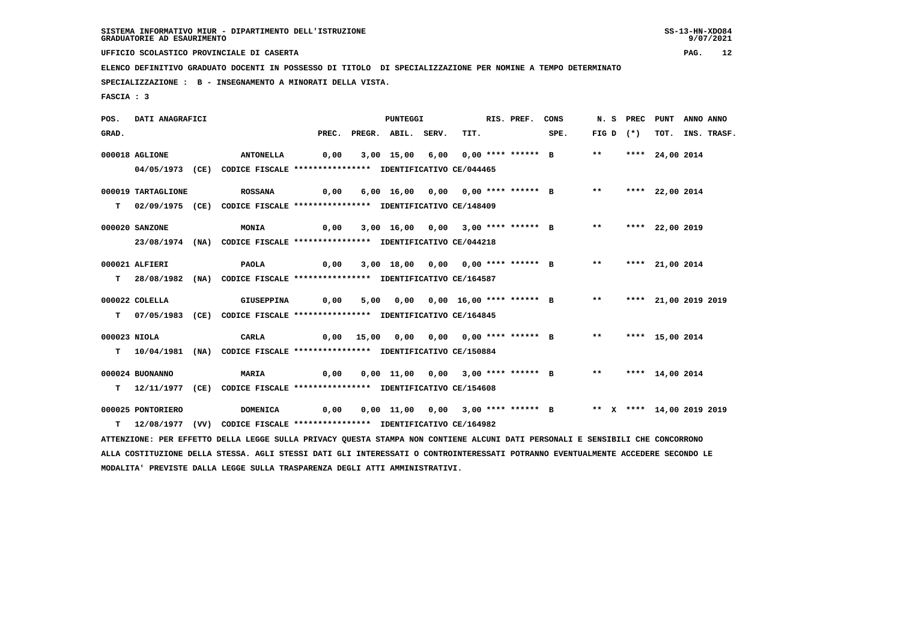9/07/2021

 **UFFICIO SCOLASTICO PROVINCIALE DI CASERTA PAG. 12**

 **ELENCO DEFINITIVO GRADUATO DOCENTI IN POSSESSO DI TITOLO DI SPECIALIZZAZIONE PER NOMINE A TEMPO DETERMINATO**

 **SPECIALIZZAZIONE : B - INSEGNAMENTO A MINORATI DELLA VISTA.**

 **FASCIA : 3**

 **POS. DATI ANAGRAFICI PUNTEGGI RIS. PREF. CONS N. S PREC PUNT ANNO ANNO**GRAD. PREC. PREGR. ABIL. SERV. TIT. SPE. FIG D (\*) TOT. INS. TRASF.  **000018 AGLIONE ANTONELLA 0,00 3,00 15,00 6,00 0,00 \*\*\*\* \*\*\*\*\*\* B \*\* \*\*\*\* 24,00 2014 04/05/1973 (CE) CODICE FISCALE \*\*\*\*\*\*\*\*\*\*\*\*\*\*\*\* IDENTIFICATIVO CE/044465 000019 TARTAGLIONE ROSSANA 0,00 6,00 16,00 0,00 0,00 \*\*\*\* \*\*\*\*\*\* B \*\* \*\*\*\* 22,00 2014 T 02/09/1975 (CE) CODICE FISCALE \*\*\*\*\*\*\*\*\*\*\*\*\*\*\*\* IDENTIFICATIVO CE/148409 000020 SANZONE MONIA 0,00 3,00 16,00 0,00 3,00 \*\*\*\* \*\*\*\*\*\* B \*\* \*\*\*\* 22,00 2019 23/08/1974 (NA) CODICE FISCALE \*\*\*\*\*\*\*\*\*\*\*\*\*\*\*\* IDENTIFICATIVO CE/044218 000021 ALFIERI PAOLA 0,00 3,00 18,00 0,00 0,00 \*\*\*\* \*\*\*\*\*\* B \*\* \*\*\*\* 21,00 2014 T 28/08/1982 (NA) CODICE FISCALE \*\*\*\*\*\*\*\*\*\*\*\*\*\*\*\* IDENTIFICATIVO CE/164587 000022 COLELLA GIUSEPPINA 0,00 5,00 0,00 0,00 16,00 \*\*\*\* \*\*\*\*\*\* B \*\* \*\*\*\* 21,00 2019 2019 T 07/05/1983 (CE) CODICE FISCALE \*\*\*\*\*\*\*\*\*\*\*\*\*\*\*\* IDENTIFICATIVO CE/164845 000023 NIOLA CARLA 0,00 15,00 0,00 0,00 0,00 \*\*\*\* \*\*\*\*\*\* B \*\* \*\*\*\* 15,00 2014 T 10/04/1981 (NA) CODICE FISCALE \*\*\*\*\*\*\*\*\*\*\*\*\*\*\*\* IDENTIFICATIVO CE/150884 000024 BUONANNO MARIA 0,00 0,00 11,00 0,00 3,00 \*\*\*\* \*\*\*\*\*\* B \*\* \*\*\*\* 14,00 2014 T 12/11/1977 (CE) CODICE FISCALE \*\*\*\*\*\*\*\*\*\*\*\*\*\*\*\* IDENTIFICATIVO CE/154608 000025 PONTORIERO DOMENICA 0,00 0,00 11,00 0,00 3,00 \*\*\*\* \*\*\*\*\*\* B \*\* X \*\*\*\* 14,00 2019 2019 T 12/08/1977 (VV) CODICE FISCALE \*\*\*\*\*\*\*\*\*\*\*\*\*\*\*\* IDENTIFICATIVO CE/164982 ATTENZIONE: PER EFFETTO DELLA LEGGE SULLA PRIVACY QUESTA STAMPA NON CONTIENE ALCUNI DATI PERSONALI E SENSIBILI CHE CONCORRONO ALLA COSTITUZIONE DELLA STESSA. AGLI STESSI DATI GLI INTERESSATI O CONTROINTERESSATI POTRANNO EVENTUALMENTE ACCEDERE SECONDO LE MODALITA' PREVISTE DALLA LEGGE SULLA TRASPARENZA DEGLI ATTI AMMINISTRATIVI.**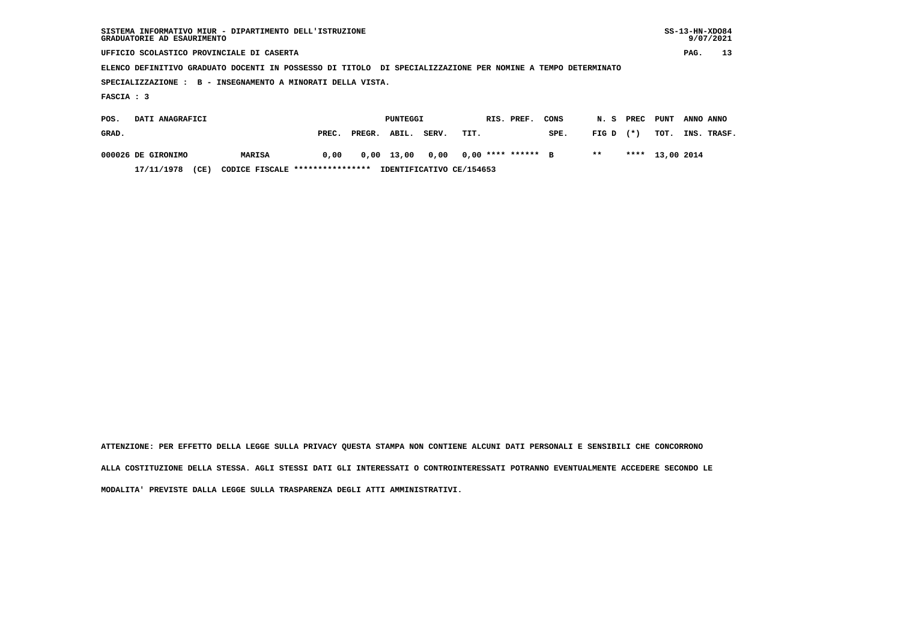| GRADUATORIE AD ESAURIMENTO                | SISTEMA INFORMATIVO MIUR - DIPARTIMENTO DELL'ISTRUZIONE                                                     |       |        |          |       |      |            |                      |      |       |        |                 |           | $SS-13-HN-XDO84$<br>9/07/2021 |
|-------------------------------------------|-------------------------------------------------------------------------------------------------------------|-------|--------|----------|-------|------|------------|----------------------|------|-------|--------|-----------------|-----------|-------------------------------|
| UFFICIO SCOLASTICO PROVINCIALE DI CASERTA |                                                                                                             |       |        |          |       |      |            |                      |      |       |        |                 | PAG.      | 13                            |
|                                           | ELENCO DEFINITIVO GRADUATO DOCENTI IN POSSESSO DI TITOLO DI SPECIALIZZAZIONE PER NOMINE A TEMPO DETERMINATO |       |        |          |       |      |            |                      |      |       |        |                 |           |                               |
|                                           | SPECIALIZZAZIONE : B - INSEGNAMENTO A MINORATI DELLA VISTA.                                                 |       |        |          |       |      |            |                      |      |       |        |                 |           |                               |
| FASCIA : 3                                |                                                                                                             |       |        |          |       |      |            |                      |      |       |        |                 |           |                               |
| DATI ANAGRAFICI<br>POS.                   |                                                                                                             |       |        | PUNTEGGI |       |      | RIS. PREF. |                      | CONS | N.S   | PREC   | PUNT            | ANNO ANNO |                               |
| GRAD.                                     |                                                                                                             | PREC. | PREGR. | ABIL.    | SERV. | TIT. |            |                      | SPE. | FIG D | $(* )$ | TOT.            |           | INS. TRASF.                   |
| 000026 DE GIRONIMO                        | MARISA                                                                                                      | 0,00  | 0,00   | 13,00    | 0,00  |      |            | $0.00$ **** ****** B |      | $***$ |        | **** 13,00 2014 |           |                               |

 **17/11/1978 (CE) CODICE FISCALE \*\*\*\*\*\*\*\*\*\*\*\*\*\*\*\* IDENTIFICATIVO CE/154653**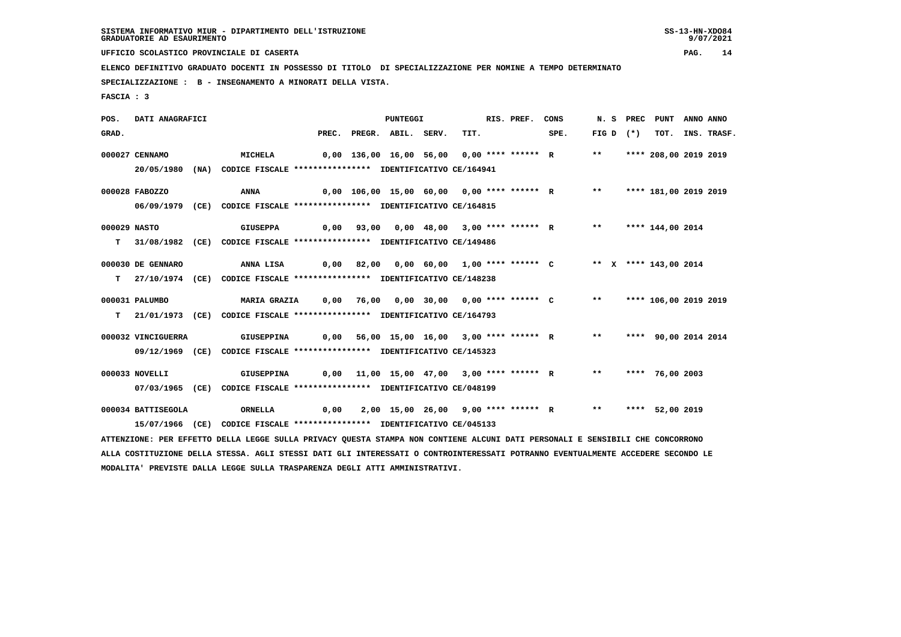9/07/2021

 **UFFICIO SCOLASTICO PROVINCIALE DI CASERTA PAG. 14**

 **ELENCO DEFINITIVO GRADUATO DOCENTI IN POSSESSO DI TITOLO DI SPECIALIZZAZIONE PER NOMINE A TEMPO DETERMINATO**

 **SPECIALIZZAZIONE : B - INSEGNAMENTO A MINORATI DELLA VISTA.**

 **FASCIA : 3**

 **POS. DATI ANAGRAFICI PUNTEGGI RIS. PREF. CONS N. S PREC PUNT ANNO ANNO**GRAD. PREC. PREGR. ABIL. SERV. TIT. SPE. FIG D (\*) TOT. INS. TRASF.  **000027 CENNAMO MICHELA 0,00 136,00 16,00 56,00 0,00 \*\*\*\* \*\*\*\*\*\* R \*\* \*\*\*\* 208,00 2019 2019 20/05/1980 (NA) CODICE FISCALE \*\*\*\*\*\*\*\*\*\*\*\*\*\*\*\* IDENTIFICATIVO CE/164941 000028 FABOZZO ANNA 0,00 106,00 15,00 60,00 0,00 \*\*\*\* \*\*\*\*\*\* R \*\* \*\*\*\* 181,00 2019 2019 06/09/1979 (CE) CODICE FISCALE \*\*\*\*\*\*\*\*\*\*\*\*\*\*\*\* IDENTIFICATIVO CE/164815 000029 NASTO GIUSEPPA 0,00 93,00 0,00 48,00 3,00 \*\*\*\* \*\*\*\*\*\* R \*\* \*\*\*\* 144,00 2014 T 31/08/1982 (CE) CODICE FISCALE \*\*\*\*\*\*\*\*\*\*\*\*\*\*\*\* IDENTIFICATIVO CE/149486 000030 DE GENNARO ANNA LISA 0,00 82,00 0,00 60,00 1,00 \*\*\*\* \*\*\*\*\*\* C \*\* X \*\*\*\* 143,00 2014 T 27/10/1974 (CE) CODICE FISCALE \*\*\*\*\*\*\*\*\*\*\*\*\*\*\*\* IDENTIFICATIVO CE/148238 000031 PALUMBO MARIA GRAZIA 0,00 76,00 0,00 30,00 0,00 \*\*\*\* \*\*\*\*\*\* C \*\* \*\*\*\* 106,00 2019 2019 T 21/01/1973 (CE) CODICE FISCALE \*\*\*\*\*\*\*\*\*\*\*\*\*\*\*\* IDENTIFICATIVO CE/164793 000032 VINCIGUERRA GIUSEPPINA 0,00 56,00 15,00 16,00 3,00 \*\*\*\* \*\*\*\*\*\* R \*\* \*\*\*\* 90,00 2014 2014 09/12/1969 (CE) CODICE FISCALE \*\*\*\*\*\*\*\*\*\*\*\*\*\*\*\* IDENTIFICATIVO CE/145323 000033 NOVELLI GIUSEPPINA 0,00 11,00 15,00 47,00 3,00 \*\*\*\* \*\*\*\*\*\* R \*\* \*\*\*\* 76,00 2003 07/03/1965 (CE) CODICE FISCALE \*\*\*\*\*\*\*\*\*\*\*\*\*\*\*\* IDENTIFICATIVO CE/048199 000034 BATTISEGOLA ORNELLA 0,00 2,00 15,00 26,00 9,00 \*\*\*\* \*\*\*\*\*\* R \*\* \*\*\*\* 52,00 2019 15/07/1966 (CE) CODICE FISCALE \*\*\*\*\*\*\*\*\*\*\*\*\*\*\*\* IDENTIFICATIVO CE/045133 ATTENZIONE: PER EFFETTO DELLA LEGGE SULLA PRIVACY QUESTA STAMPA NON CONTIENE ALCUNI DATI PERSONALI E SENSIBILI CHE CONCORRONO ALLA COSTITUZIONE DELLA STESSA. AGLI STESSI DATI GLI INTERESSATI O CONTROINTERESSATI POTRANNO EVENTUALMENTE ACCEDERE SECONDO LE**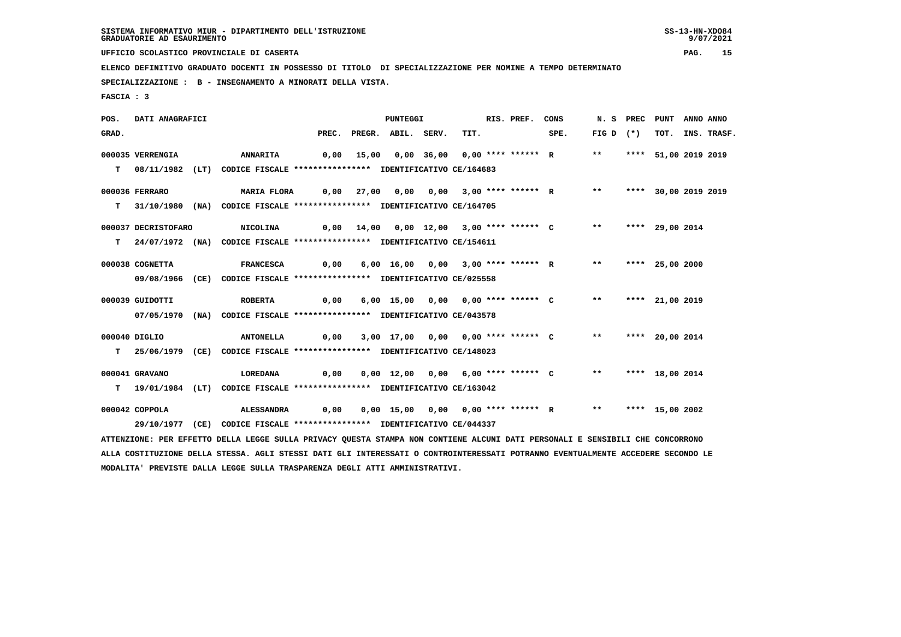9/07/2021

 **UFFICIO SCOLASTICO PROVINCIALE DI CASERTA PAG. 15**

 **ELENCO DEFINITIVO GRADUATO DOCENTI IN POSSESSO DI TITOLO DI SPECIALIZZAZIONE PER NOMINE A TEMPO DETERMINATO**

 **SPECIALIZZAZIONE : B - INSEGNAMENTO A MINORATI DELLA VISTA.**

 **FASCIA : 3**

 **POS. DATI ANAGRAFICI PUNTEGGI RIS. PREF. CONS N. S PREC PUNT ANNO ANNO**GRAD. PREC. PREGR. ABIL. SERV. TIT. SPE. FIG D (\*) TOT. INS. TRASF.  **000035 VERRENGIA ANNARITA 0,00 15,00 0,00 36,00 0,00 \*\*\*\* \*\*\*\*\*\* R \*\* \*\*\*\* 51,00 2019 2019 T 08/11/1982 (LT) CODICE FISCALE \*\*\*\*\*\*\*\*\*\*\*\*\*\*\*\* IDENTIFICATIVO CE/164683 000036 FERRARO MARIA FLORA 0,00 27,00 0,00 0,00 3,00 \*\*\*\* \*\*\*\*\*\* R \*\* \*\*\*\* 30,00 2019 2019 T 31/10/1980 (NA) CODICE FISCALE \*\*\*\*\*\*\*\*\*\*\*\*\*\*\*\* IDENTIFICATIVO CE/164705 000037 DECRISTOFARO NICOLINA 0,00 14,00 0,00 12,00 3,00 \*\*\*\* \*\*\*\*\*\* C \*\* \*\*\*\* 29,00 2014 T 24/07/1972 (NA) CODICE FISCALE \*\*\*\*\*\*\*\*\*\*\*\*\*\*\*\* IDENTIFICATIVO CE/154611 000038 COGNETTA FRANCESCA 0,00 6,00 16,00 0,00 3,00 \*\*\*\* \*\*\*\*\*\* R \*\* \*\*\*\* 25,00 2000 09/08/1966 (CE) CODICE FISCALE \*\*\*\*\*\*\*\*\*\*\*\*\*\*\*\* IDENTIFICATIVO CE/025558 000039 GUIDOTTI ROBERTA 0,00 6,00 15,00 0,00 0,00 \*\*\*\* \*\*\*\*\*\* C \*\* \*\*\*\* 21,00 2019 07/05/1970 (NA) CODICE FISCALE \*\*\*\*\*\*\*\*\*\*\*\*\*\*\*\* IDENTIFICATIVO CE/043578 000040 DIGLIO ANTONELLA 0,00 3,00 17,00 0,00 0,00 \*\*\*\* \*\*\*\*\*\* C \*\* \*\*\*\* 20,00 2014 T 25/06/1979 (CE) CODICE FISCALE \*\*\*\*\*\*\*\*\*\*\*\*\*\*\*\* IDENTIFICATIVO CE/148023 000041 GRAVANO LOREDANA 0,00 0,00 12,00 0,00 6,00 \*\*\*\* \*\*\*\*\*\* C \*\* \*\*\*\* 18,00 2014 T 19/01/1984 (LT) CODICE FISCALE \*\*\*\*\*\*\*\*\*\*\*\*\*\*\*\* IDENTIFICATIVO CE/163042 000042 COPPOLA ALESSANDRA 0,00 0,00 15,00 0,00 0,00 \*\*\*\* \*\*\*\*\*\* R \*\* \*\*\*\* 15,00 2002 29/10/1977 (CE) CODICE FISCALE \*\*\*\*\*\*\*\*\*\*\*\*\*\*\*\* IDENTIFICATIVO CE/044337 ATTENZIONE: PER EFFETTO DELLA LEGGE SULLA PRIVACY QUESTA STAMPA NON CONTIENE ALCUNI DATI PERSONALI E SENSIBILI CHE CONCORRONO ALLA COSTITUZIONE DELLA STESSA. AGLI STESSI DATI GLI INTERESSATI O CONTROINTERESSATI POTRANNO EVENTUALMENTE ACCEDERE SECONDO LE**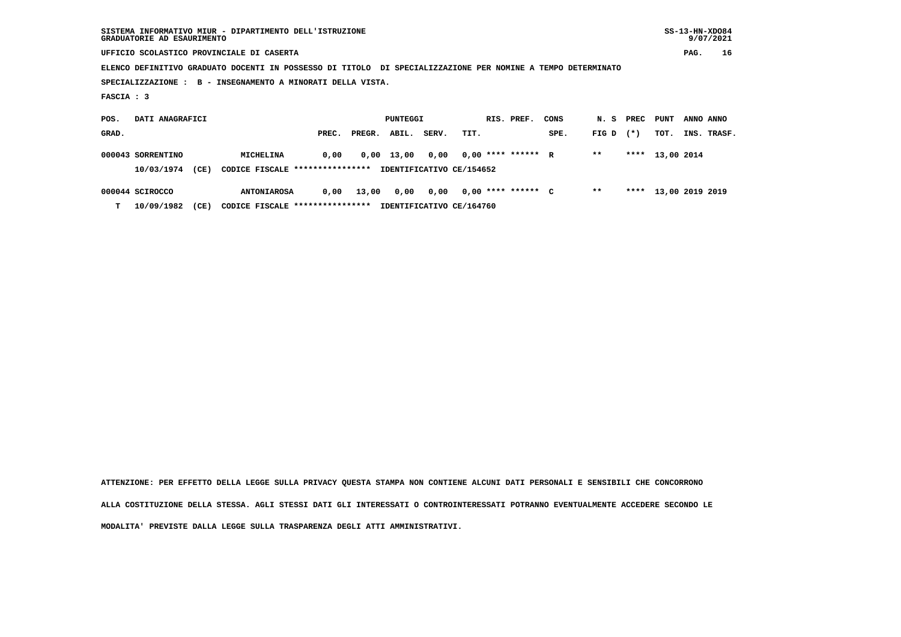| SISTEMA INFORMATIVO MIUR - DIPARTIMENTO DELL'ISTRUZIONE<br>GRADUATORIE AD ESAURIMENTO                       |       |                    |                          |            |                      |           |        |                      | $SS-13-HN-XDO84$ | 9/07/2021   |
|-------------------------------------------------------------------------------------------------------------|-------|--------------------|--------------------------|------------|----------------------|-----------|--------|----------------------|------------------|-------------|
| UFFICIO SCOLASTICO PROVINCIALE DI CASERTA                                                                   |       |                    |                          |            |                      |           |        |                      | PAG.             | 16          |
| ELENCO DEFINITIVO GRADUATO DOCENTI IN POSSESSO DI TITOLO DI SPECIALIZZAZIONE PER NOMINE A TEMPO DETERMINATO |       |                    |                          |            |                      |           |        |                      |                  |             |
| SPECIALIZZAZIONE : B - INSEGNAMENTO A MINORATI DELLA VISTA.                                                 |       |                    |                          |            |                      |           |        |                      |                  |             |
| FASCIA : 3                                                                                                  |       |                    |                          |            |                      |           |        |                      |                  |             |
| DATI ANAGRAFICI<br>POS.                                                                                     |       | PUNTEGGI           |                          | RIS. PREF. | CONS                 | N. S PREC |        | <b>PUNT</b>          | ANNO ANNO        |             |
| GRAD.                                                                                                       | PREC. | ABIL.<br>PREGR.    | SERV.<br>TIT.            |            | SPE.                 | FIG D     | $(* )$ | TOT.                 |                  | INS. TRASF. |
| 000043 SORRENTINO<br>MICHELINA                                                                              | 0,00  | $0,00 \quad 13,00$ | 0,00                     |            | $0.00$ **** ****** R | $* *$     |        | **** 13,00 2014      |                  |             |
| 10/03/1974<br>(CE)<br>CODICE FISCALE *****************                                                      |       |                    | IDENTIFICATIVO CE/154652 |            |                      |           |        |                      |                  |             |
| 000044 SCIROCCO<br><b>ANTONIAROSA</b>                                                                       | 0,00  | 13,00<br>0,00      | 0,00                     |            | $0.00$ **** ****** C | $* *$     |        | **** 13,00 2019 2019 |                  |             |

 **T 10/09/1982 (CE) CODICE FISCALE \*\*\*\*\*\*\*\*\*\*\*\*\*\*\*\* IDENTIFICATIVO CE/164760**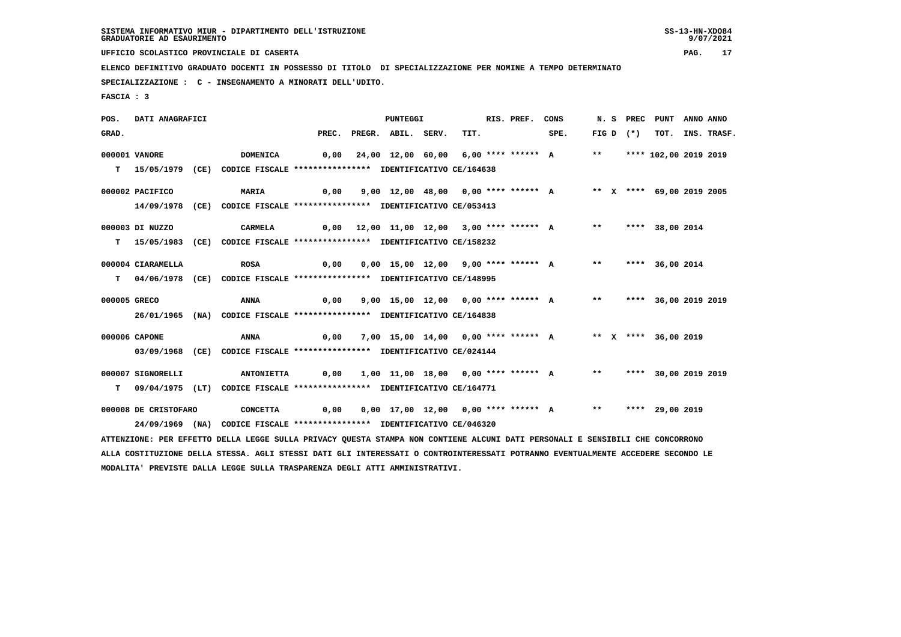9/07/2021

 **UFFICIO SCOLASTICO PROVINCIALE DI CASERTA PAG. 17**

 **ELENCO DEFINITIVO GRADUATO DOCENTI IN POSSESSO DI TITOLO DI SPECIALIZZAZIONE PER NOMINE A TEMPO DETERMINATO**

 **SPECIALIZZAZIONE : C - INSEGNAMENTO A MINORATI DELL'UDITO.**

 **MODALITA' PREVISTE DALLA LEGGE SULLA TRASPARENZA DEGLI ATTI AMMINISTRATIVI.**

 **FASCIA : 3**

 **POS. DATI ANAGRAFICI PUNTEGGI RIS. PREF. CONS N. S PREC PUNT ANNO ANNO**GRAD. PREC. PREGR. ABIL. SERV. TIT. SPE. FIG D (\*) TOT. INS. TRASF.  **000001 VANORE DOMENICA 0,00 24,00 12,00 60,00 6,00 \*\*\*\* \*\*\*\*\*\* A \*\* \*\*\*\* 102,00 2019 2019 T 15/05/1979 (CE) CODICE FISCALE \*\*\*\*\*\*\*\*\*\*\*\*\*\*\*\* IDENTIFICATIVO CE/164638 000002 PACIFICO MARIA 0,00 9,00 12,00 48,00 0,00 \*\*\*\* \*\*\*\*\*\* A \*\* X \*\*\*\* 69,00 2019 2005 14/09/1978 (CE) CODICE FISCALE \*\*\*\*\*\*\*\*\*\*\*\*\*\*\*\* IDENTIFICATIVO CE/053413 000003 DI NUZZO CARMELA 0,00 12,00 11,00 12,00 3,00 \*\*\*\* \*\*\*\*\*\* A \*\* \*\*\*\* 38,00 2014 T 15/05/1983 (CE) CODICE FISCALE \*\*\*\*\*\*\*\*\*\*\*\*\*\*\*\* IDENTIFICATIVO CE/158232 000004 CIARAMELLA ROSA 0,00 0,00 15,00 12,00 9,00 \*\*\*\* \*\*\*\*\*\* A \*\* \*\*\*\* 36,00 2014 T 04/06/1978 (CE) CODICE FISCALE \*\*\*\*\*\*\*\*\*\*\*\*\*\*\*\* IDENTIFICATIVO CE/148995 000005 GRECO ANNA 0,00 9,00 15,00 12,00 0,00 \*\*\*\* \*\*\*\*\*\* A \*\* \*\*\*\* 36,00 2019 2019 26/01/1965 (NA) CODICE FISCALE \*\*\*\*\*\*\*\*\*\*\*\*\*\*\*\* IDENTIFICATIVO CE/164838 000006 CAPONE ANNA 0,00 7,00 15,00 14,00 0,00 \*\*\*\* \*\*\*\*\*\* A \*\* X \*\*\*\* 36,00 2019 03/09/1968 (CE) CODICE FISCALE \*\*\*\*\*\*\*\*\*\*\*\*\*\*\*\* IDENTIFICATIVO CE/024144 000007 SIGNORELLI ANTONIETTA 0,00 1,00 11,00 18,00 0,00 \*\*\*\* \*\*\*\*\*\* A \*\* \*\*\*\* 30,00 2019 2019 T 09/04/1975 (LT) CODICE FISCALE \*\*\*\*\*\*\*\*\*\*\*\*\*\*\*\* IDENTIFICATIVO CE/164771 000008 DE CRISTOFARO CONCETTA 0,00 0,00 17,00 12,00 0,00 \*\*\*\* \*\*\*\*\*\* A \*\* \*\*\*\* 29,00 2019 24/09/1969 (NA) CODICE FISCALE \*\*\*\*\*\*\*\*\*\*\*\*\*\*\*\* IDENTIFICATIVO CE/046320 ATTENZIONE: PER EFFETTO DELLA LEGGE SULLA PRIVACY QUESTA STAMPA NON CONTIENE ALCUNI DATI PERSONALI E SENSIBILI CHE CONCORRONO ALLA COSTITUZIONE DELLA STESSA. AGLI STESSI DATI GLI INTERESSATI O CONTROINTERESSATI POTRANNO EVENTUALMENTE ACCEDERE SECONDO LE**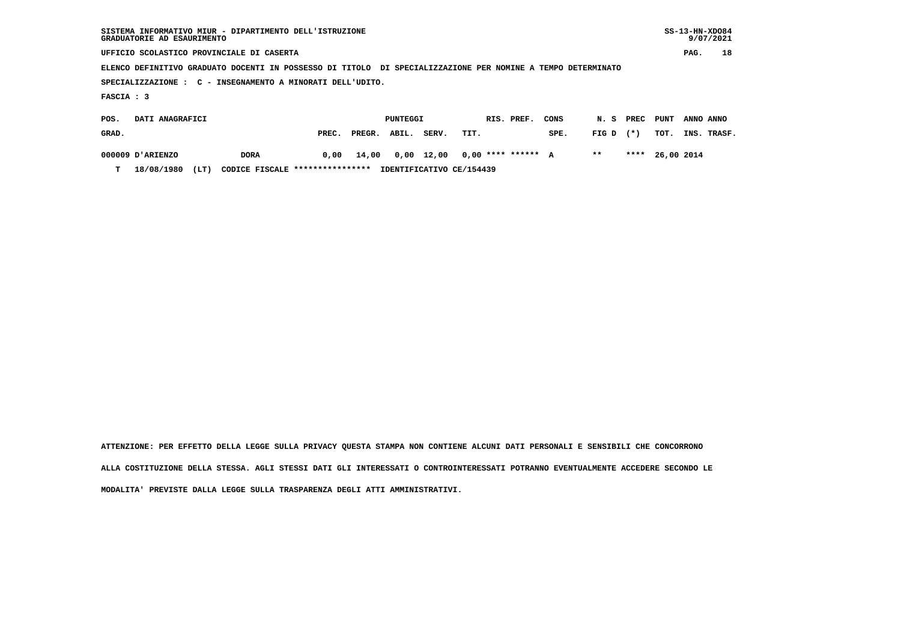| SISTEMA INFORMATIVO MIUR - DIPARTIMENTO DELL'ISTRUZIONE<br>GRADUATORIE AD ESAURIMENTO                       |             |       |        |          |       |      |  |                    |      |       |        |            |           | $SS-13-HN-XDO84$<br>9/07/2021 |
|-------------------------------------------------------------------------------------------------------------|-------------|-------|--------|----------|-------|------|--|--------------------|------|-------|--------|------------|-----------|-------------------------------|
| UFFICIO SCOLASTICO PROVINCIALE DI CASERTA                                                                   |             |       |        |          |       |      |  |                    |      |       |        |            | PAG.      | 18                            |
| ELENCO DEFINITIVO GRADUATO DOCENTI IN POSSESSO DI TITOLO DI SPECIALIZZAZIONE PER NOMINE A TEMPO DETERMINATO |             |       |        |          |       |      |  |                    |      |       |        |            |           |                               |
| SPECIALIZZAZIONE : C - INSEGNAMENTO A MINORATI DELL'UDITO.                                                  |             |       |        |          |       |      |  |                    |      |       |        |            |           |                               |
| FASCIA : 3                                                                                                  |             |       |        |          |       |      |  |                    |      |       |        |            |           |                               |
| DATI ANAGRAFICI<br>POS.                                                                                     |             |       |        | PUNTEGGI |       |      |  | RIS. PREF.         | CONS | N. S  | PREC   | PUNT       | ANNO ANNO |                               |
| GRAD.                                                                                                       |             | PREC. | PREGR. | ABIL.    | SERV. | TIT. |  |                    | SPE. | FIG D | $(* )$ | TOT.       |           | INS. TRASF.                   |
| 000009 D'ARIENZO                                                                                            | <b>DORA</b> | 0.00  | 14,00  | 0,00     | 12,00 |      |  | $0.00$ **** ****** | A    | $* *$ | ****   | 26,00 2014 |           |                               |

 **T 18/08/1980 (LT) CODICE FISCALE \*\*\*\*\*\*\*\*\*\*\*\*\*\*\*\* IDENTIFICATIVO CE/154439**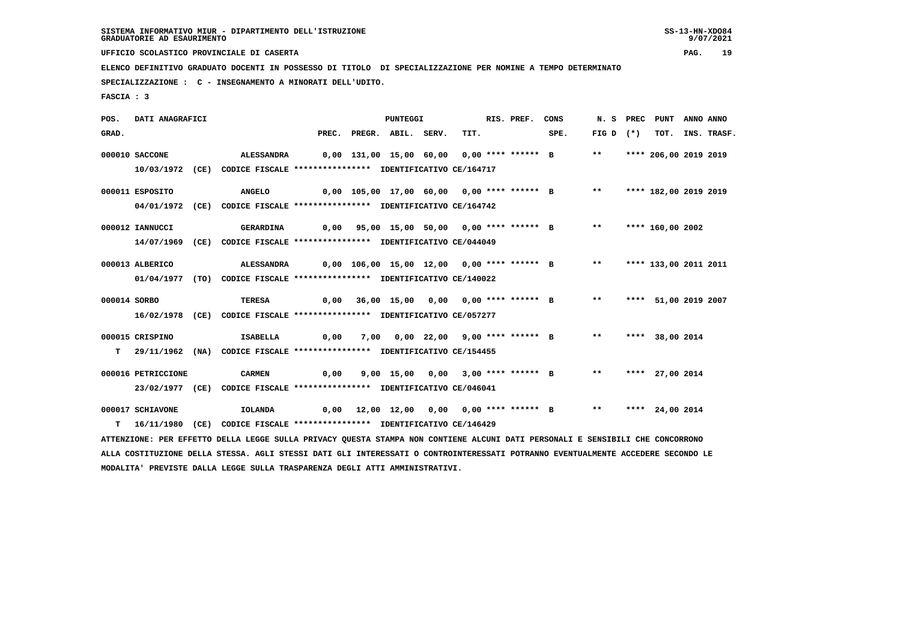9/07/2021

 **UFFICIO SCOLASTICO PROVINCIALE DI CASERTA PAG. 19**

 **ELENCO DEFINITIVO GRADUATO DOCENTI IN POSSESSO DI TITOLO DI SPECIALIZZAZIONE PER NOMINE A TEMPO DETERMINATO**

 **SPECIALIZZAZIONE : C - INSEGNAMENTO A MINORATI DELL'UDITO.**

 **FASCIA : 3**

 **POS. DATI ANAGRAFICI PUNTEGGI RIS. PREF. CONS N. S PREC PUNT ANNO ANNO**GRAD. PREC. PREGR. ABIL. SERV. TIT. SPE. FIG D (\*) TOT. INS. TRASF.  **000010 SACCONE ALESSANDRA 0,00 131,00 15,00 60,00 0,00 \*\*\*\* \*\*\*\*\*\* B \*\* \*\*\*\* 206,00 2019 2019 10/03/1972 (CE) CODICE FISCALE \*\*\*\*\*\*\*\*\*\*\*\*\*\*\*\* IDENTIFICATIVO CE/164717 000011 ESPOSITO ANGELO 0,00 105,00 17,00 60,00 0,00 \*\*\*\* \*\*\*\*\*\* B \*\* \*\*\*\* 182,00 2019 2019 04/01/1972 (CE) CODICE FISCALE \*\*\*\*\*\*\*\*\*\*\*\*\*\*\*\* IDENTIFICATIVO CE/164742 000012 IANNUCCI GERARDINA 0,00 95,00 15,00 50,00 0,00 \*\*\*\* \*\*\*\*\*\* B \*\* \*\*\*\* 160,00 2002 14/07/1969 (CE) CODICE FISCALE \*\*\*\*\*\*\*\*\*\*\*\*\*\*\*\* IDENTIFICATIVO CE/044049 000013 ALBERICO ALESSANDRA 0,00 106,00 15,00 12,00 0,00 \*\*\*\* \*\*\*\*\*\* B \*\* \*\*\*\* 133,00 2011 2011 01/04/1977 (TO) CODICE FISCALE \*\*\*\*\*\*\*\*\*\*\*\*\*\*\*\* IDENTIFICATIVO CE/140022 000014 SORBO TERESA 0,00 36,00 15,00 0,00 0,00 \*\*\*\* \*\*\*\*\*\* B \*\* \*\*\*\* 51,00 2019 2007 16/02/1978 (CE) CODICE FISCALE \*\*\*\*\*\*\*\*\*\*\*\*\*\*\*\* IDENTIFICATIVO CE/057277 000015 CRISPINO ISABELLA 0,00 7,00 0,00 22,00 9,00 \*\*\*\* \*\*\*\*\*\* B \*\* \*\*\*\* 38,00 2014 T 29/11/1962 (NA) CODICE FISCALE \*\*\*\*\*\*\*\*\*\*\*\*\*\*\*\* IDENTIFICATIVO CE/154455 000016 PETRICCIONE CARMEN 0,00 9,00 15,00 0,00 3,00 \*\*\*\* \*\*\*\*\*\* B \*\* \*\*\*\* 27,00 2014 23/02/1977 (CE) CODICE FISCALE \*\*\*\*\*\*\*\*\*\*\*\*\*\*\*\* IDENTIFICATIVO CE/046041 000017 SCHIAVONE IOLANDA 0,00 12,00 12,00 0,00 0,00 \*\*\*\* \*\*\*\*\*\* B \*\* \*\*\*\* 24,00 2014 T 16/11/1980 (CE) CODICE FISCALE \*\*\*\*\*\*\*\*\*\*\*\*\*\*\*\* IDENTIFICATIVO CE/146429 ATTENZIONE: PER EFFETTO DELLA LEGGE SULLA PRIVACY QUESTA STAMPA NON CONTIENE ALCUNI DATI PERSONALI E SENSIBILI CHE CONCORRONO ALLA COSTITUZIONE DELLA STESSA. AGLI STESSI DATI GLI INTERESSATI O CONTROINTERESSATI POTRANNO EVENTUALMENTE ACCEDERE SECONDO LE**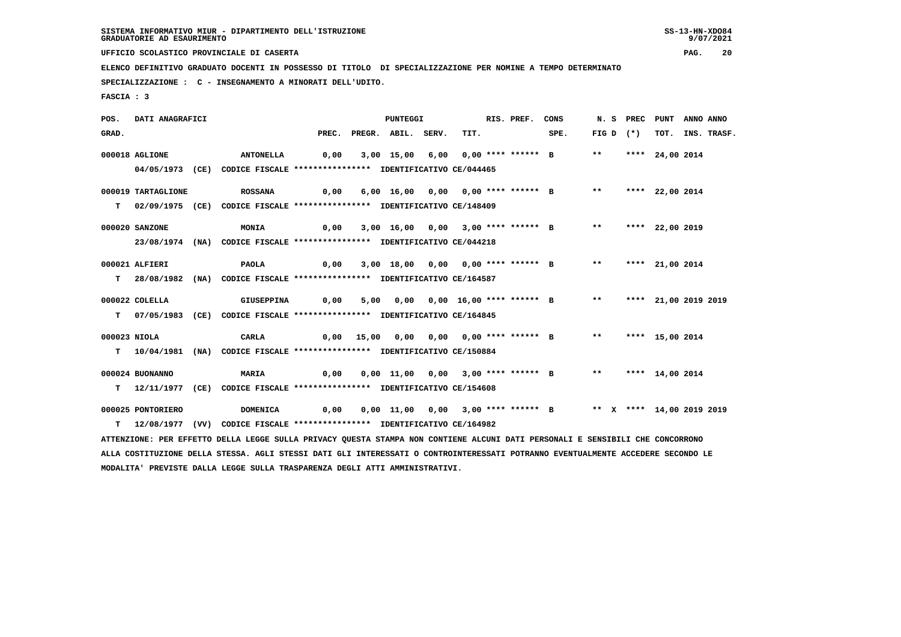9/07/2021

 **UFFICIO SCOLASTICO PROVINCIALE DI CASERTA PAG. 20**

 **ELENCO DEFINITIVO GRADUATO DOCENTI IN POSSESSO DI TITOLO DI SPECIALIZZAZIONE PER NOMINE A TEMPO DETERMINATO**

 **SPECIALIZZAZIONE : C - INSEGNAMENTO A MINORATI DELL'UDITO.**

 **FASCIA : 3**

 **POS. DATI ANAGRAFICI PUNTEGGI RIS. PREF. CONS N. S PREC PUNT ANNO ANNO**GRAD. PREC. PREGR. ABIL. SERV. TIT. SPE. FIG D (\*) TOT. INS. TRASF.  **000018 AGLIONE ANTONELLA 0,00 3,00 15,00 6,00 0,00 \*\*\*\* \*\*\*\*\*\* B \*\* \*\*\*\* 24,00 2014 04/05/1973 (CE) CODICE FISCALE \*\*\*\*\*\*\*\*\*\*\*\*\*\*\*\* IDENTIFICATIVO CE/044465 000019 TARTAGLIONE ROSSANA 0,00 6,00 16,00 0,00 0,00 \*\*\*\* \*\*\*\*\*\* B \*\* \*\*\*\* 22,00 2014 T 02/09/1975 (CE) CODICE FISCALE \*\*\*\*\*\*\*\*\*\*\*\*\*\*\*\* IDENTIFICATIVO CE/148409 000020 SANZONE MONIA 0,00 3,00 16,00 0,00 3,00 \*\*\*\* \*\*\*\*\*\* B \*\* \*\*\*\* 22,00 2019 23/08/1974 (NA) CODICE FISCALE \*\*\*\*\*\*\*\*\*\*\*\*\*\*\*\* IDENTIFICATIVO CE/044218 000021 ALFIERI PAOLA 0,00 3,00 18,00 0,00 0,00 \*\*\*\* \*\*\*\*\*\* B \*\* \*\*\*\* 21,00 2014 T 28/08/1982 (NA) CODICE FISCALE \*\*\*\*\*\*\*\*\*\*\*\*\*\*\*\* IDENTIFICATIVO CE/164587 000022 COLELLA GIUSEPPINA 0,00 5,00 0,00 0,00 16,00 \*\*\*\* \*\*\*\*\*\* B \*\* \*\*\*\* 21,00 2019 2019 T 07/05/1983 (CE) CODICE FISCALE \*\*\*\*\*\*\*\*\*\*\*\*\*\*\*\* IDENTIFICATIVO CE/164845 000023 NIOLA CARLA 0,00 15,00 0,00 0,00 0,00 \*\*\*\* \*\*\*\*\*\* B \*\* \*\*\*\* 15,00 2014 T 10/04/1981 (NA) CODICE FISCALE \*\*\*\*\*\*\*\*\*\*\*\*\*\*\*\* IDENTIFICATIVO CE/150884 000024 BUONANNO MARIA 0,00 0,00 11,00 0,00 3,00 \*\*\*\* \*\*\*\*\*\* B \*\* \*\*\*\* 14,00 2014 T 12/11/1977 (CE) CODICE FISCALE \*\*\*\*\*\*\*\*\*\*\*\*\*\*\*\* IDENTIFICATIVO CE/154608 000025 PONTORIERO DOMENICA 0,00 0,00 11,00 0,00 3,00 \*\*\*\* \*\*\*\*\*\* B \*\* X \*\*\*\* 14,00 2019 2019 T 12/08/1977 (VV) CODICE FISCALE \*\*\*\*\*\*\*\*\*\*\*\*\*\*\*\* IDENTIFICATIVO CE/164982 ATTENZIONE: PER EFFETTO DELLA LEGGE SULLA PRIVACY QUESTA STAMPA NON CONTIENE ALCUNI DATI PERSONALI E SENSIBILI CHE CONCORRONO ALLA COSTITUZIONE DELLA STESSA. AGLI STESSI DATI GLI INTERESSATI O CONTROINTERESSATI POTRANNO EVENTUALMENTE ACCEDERE SECONDO LE MODALITA' PREVISTE DALLA LEGGE SULLA TRASPARENZA DEGLI ATTI AMMINISTRATIVI.**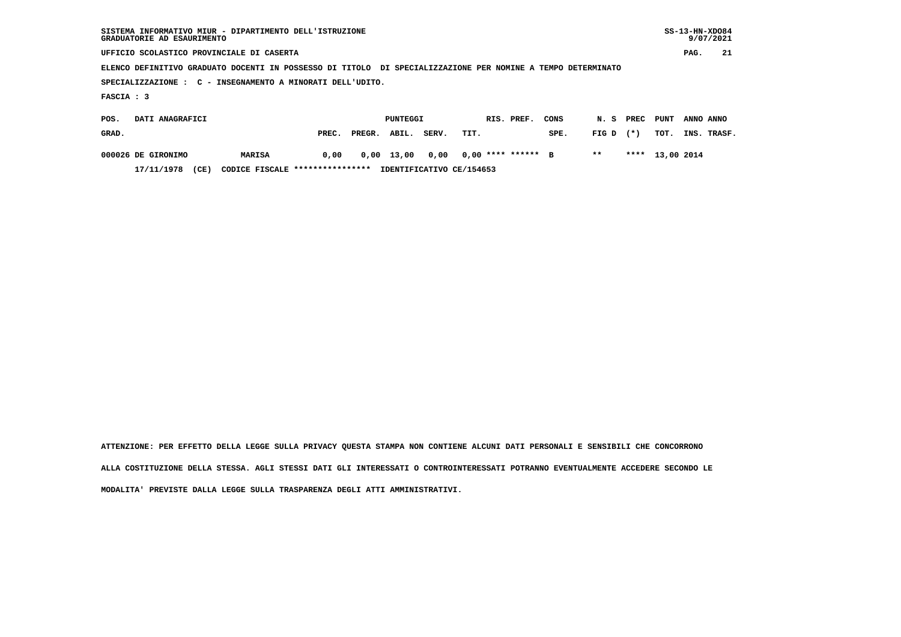| SISTEMA INFORMATIVO MIUR - DIPARTIMENTO DELL'ISTRUZIONE<br>GRADUATORIE AD ESAURIMENTO                       |               |       |        |              |       |      |                    |      |       |        |                 |           | $SS-13-HN-XDO84$<br>9/07/2021 |
|-------------------------------------------------------------------------------------------------------------|---------------|-------|--------|--------------|-------|------|--------------------|------|-------|--------|-----------------|-----------|-------------------------------|
| UFFICIO SCOLASTICO PROVINCIALE DI CASERTA                                                                   |               |       |        |              |       |      |                    |      |       |        |                 | PAG.      | 21                            |
| ELENCO DEFINITIVO GRADUATO DOCENTI IN POSSESSO DI TITOLO DI SPECIALIZZAZIONE PER NOMINE A TEMPO DETERMINATO |               |       |        |              |       |      |                    |      |       |        |                 |           |                               |
| SPECIALIZZAZIONE : C - INSEGNAMENTO A MINORATI DELL'UDITO.                                                  |               |       |        |              |       |      |                    |      |       |        |                 |           |                               |
| FASCIA : 3                                                                                                  |               |       |        |              |       |      |                    |      |       |        |                 |           |                               |
| DATI ANAGRAFICI<br>POS.                                                                                     |               |       |        | PUNTEGGI     |       |      | RIS. PREF.         | CONS | N.S   | PREC   | PUNT            | ANNO ANNO |                               |
| GRAD.                                                                                                       |               | PREC. | PREGR. | ABIL.        | SERV. | TIT. |                    | SPE. | FIG D | $(* )$ | тот.            |           | INS. TRASF.                   |
| 000026 DE GIRONIMO                                                                                          | <b>MARISA</b> | 0,00  |        | $0,00$ 13,00 | 0.00  |      | $0.00$ **** ****** | B    | $***$ |        | **** 13,00 2014 |           |                               |

 **17/11/1978 (CE) CODICE FISCALE \*\*\*\*\*\*\*\*\*\*\*\*\*\*\*\* IDENTIFICATIVO CE/154653**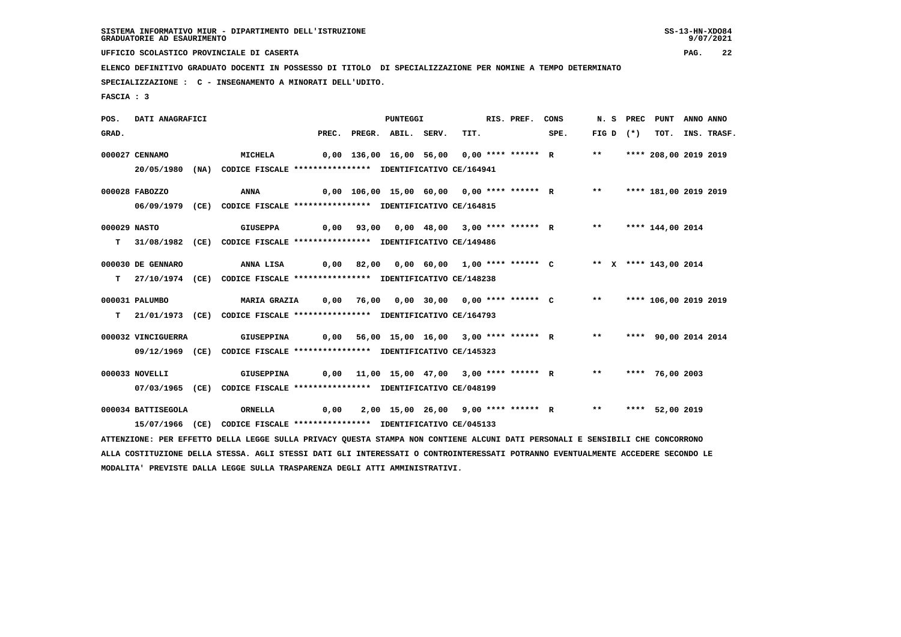9/07/2021

 **UFFICIO SCOLASTICO PROVINCIALE DI CASERTA PAG. 22**

 **ELENCO DEFINITIVO GRADUATO DOCENTI IN POSSESSO DI TITOLO DI SPECIALIZZAZIONE PER NOMINE A TEMPO DETERMINATO**

 **SPECIALIZZAZIONE : C - INSEGNAMENTO A MINORATI DELL'UDITO.**

 **FASCIA : 3**

 **POS. DATI ANAGRAFICI PUNTEGGI RIS. PREF. CONS N. S PREC PUNT ANNO ANNO**GRAD. PREC. PREGR. ABIL. SERV. TIT. SPE. FIG D (\*) TOT. INS. TRASF.  **000027 CENNAMO MICHELA 0,00 136,00 16,00 56,00 0,00 \*\*\*\* \*\*\*\*\*\* R \*\* \*\*\*\* 208,00 2019 2019 20/05/1980 (NA) CODICE FISCALE \*\*\*\*\*\*\*\*\*\*\*\*\*\*\*\* IDENTIFICATIVO CE/164941 000028 FABOZZO ANNA 0,00 106,00 15,00 60,00 0,00 \*\*\*\* \*\*\*\*\*\* R \*\* \*\*\*\* 181,00 2019 2019 06/09/1979 (CE) CODICE FISCALE \*\*\*\*\*\*\*\*\*\*\*\*\*\*\*\* IDENTIFICATIVO CE/164815 000029 NASTO GIUSEPPA 0,00 93,00 0,00 48,00 3,00 \*\*\*\* \*\*\*\*\*\* R \*\* \*\*\*\* 144,00 2014 T 31/08/1982 (CE) CODICE FISCALE \*\*\*\*\*\*\*\*\*\*\*\*\*\*\*\* IDENTIFICATIVO CE/149486 000030 DE GENNARO ANNA LISA 0,00 82,00 0,00 60,00 1,00 \*\*\*\* \*\*\*\*\*\* C \*\* X \*\*\*\* 143,00 2014 T 27/10/1974 (CE) CODICE FISCALE \*\*\*\*\*\*\*\*\*\*\*\*\*\*\*\* IDENTIFICATIVO CE/148238 000031 PALUMBO MARIA GRAZIA 0,00 76,00 0,00 30,00 0,00 \*\*\*\* \*\*\*\*\*\* C \*\* \*\*\*\* 106,00 2019 2019 T 21/01/1973 (CE) CODICE FISCALE \*\*\*\*\*\*\*\*\*\*\*\*\*\*\*\* IDENTIFICATIVO CE/164793 000032 VINCIGUERRA GIUSEPPINA 0,00 56,00 15,00 16,00 3,00 \*\*\*\* \*\*\*\*\*\* R \*\* \*\*\*\* 90,00 2014 2014 09/12/1969 (CE) CODICE FISCALE \*\*\*\*\*\*\*\*\*\*\*\*\*\*\*\* IDENTIFICATIVO CE/145323 000033 NOVELLI GIUSEPPINA 0,00 11,00 15,00 47,00 3,00 \*\*\*\* \*\*\*\*\*\* R \*\* \*\*\*\* 76,00 2003 07/03/1965 (CE) CODICE FISCALE \*\*\*\*\*\*\*\*\*\*\*\*\*\*\*\* IDENTIFICATIVO CE/048199 000034 BATTISEGOLA ORNELLA 0,00 2,00 15,00 26,00 9,00 \*\*\*\* \*\*\*\*\*\* R \*\* \*\*\*\* 52,00 2019 15/07/1966 (CE) CODICE FISCALE \*\*\*\*\*\*\*\*\*\*\*\*\*\*\*\* IDENTIFICATIVO CE/045133 ATTENZIONE: PER EFFETTO DELLA LEGGE SULLA PRIVACY QUESTA STAMPA NON CONTIENE ALCUNI DATI PERSONALI E SENSIBILI CHE CONCORRONO ALLA COSTITUZIONE DELLA STESSA. AGLI STESSI DATI GLI INTERESSATI O CONTROINTERESSATI POTRANNO EVENTUALMENTE ACCEDERE SECONDO LE**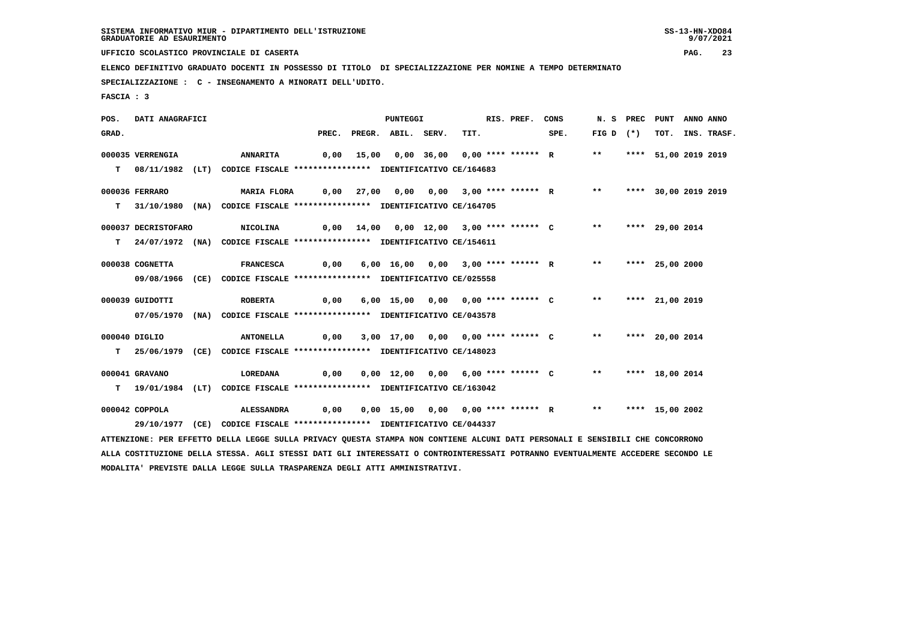9/07/2021

 **UFFICIO SCOLASTICO PROVINCIALE DI CASERTA PAG. 23**

 **ELENCO DEFINITIVO GRADUATO DOCENTI IN POSSESSO DI TITOLO DI SPECIALIZZAZIONE PER NOMINE A TEMPO DETERMINATO**

 **SPECIALIZZAZIONE : C - INSEGNAMENTO A MINORATI DELL'UDITO.**

 **FASCIA : 3**

 **POS. DATI ANAGRAFICI PUNTEGGI RIS. PREF. CONS N. S PREC PUNT ANNO ANNO**GRAD. PREC. PREGR. ABIL. SERV. TIT. SPE. FIG D (\*) TOT. INS. TRASF.  **000035 VERRENGIA ANNARITA 0,00 15,00 0,00 36,00 0,00 \*\*\*\* \*\*\*\*\*\* R \*\* \*\*\*\* 51,00 2019 2019 T 08/11/1982 (LT) CODICE FISCALE \*\*\*\*\*\*\*\*\*\*\*\*\*\*\*\* IDENTIFICATIVO CE/164683 000036 FERRARO MARIA FLORA 0,00 27,00 0,00 0,00 3,00 \*\*\*\* \*\*\*\*\*\* R \*\* \*\*\*\* 30,00 2019 2019 T 31/10/1980 (NA) CODICE FISCALE \*\*\*\*\*\*\*\*\*\*\*\*\*\*\*\* IDENTIFICATIVO CE/164705 000037 DECRISTOFARO NICOLINA 0,00 14,00 0,00 12,00 3,00 \*\*\*\* \*\*\*\*\*\* C \*\* \*\*\*\* 29,00 2014 T 24/07/1972 (NA) CODICE FISCALE \*\*\*\*\*\*\*\*\*\*\*\*\*\*\*\* IDENTIFICATIVO CE/154611 000038 COGNETTA FRANCESCA 0,00 6,00 16,00 0,00 3,00 \*\*\*\* \*\*\*\*\*\* R \*\* \*\*\*\* 25,00 2000 09/08/1966 (CE) CODICE FISCALE \*\*\*\*\*\*\*\*\*\*\*\*\*\*\*\* IDENTIFICATIVO CE/025558 000039 GUIDOTTI ROBERTA 0,00 6,00 15,00 0,00 0,00 \*\*\*\* \*\*\*\*\*\* C \*\* \*\*\*\* 21,00 2019 07/05/1970 (NA) CODICE FISCALE \*\*\*\*\*\*\*\*\*\*\*\*\*\*\*\* IDENTIFICATIVO CE/043578 000040 DIGLIO ANTONELLA 0,00 3,00 17,00 0,00 0,00 \*\*\*\* \*\*\*\*\*\* C \*\* \*\*\*\* 20,00 2014 T 25/06/1979 (CE) CODICE FISCALE \*\*\*\*\*\*\*\*\*\*\*\*\*\*\*\* IDENTIFICATIVO CE/148023 000041 GRAVANO LOREDANA 0,00 0,00 12,00 0,00 6,00 \*\*\*\* \*\*\*\*\*\* C \*\* \*\*\*\* 18,00 2014 T 19/01/1984 (LT) CODICE FISCALE \*\*\*\*\*\*\*\*\*\*\*\*\*\*\*\* IDENTIFICATIVO CE/163042 000042 COPPOLA ALESSANDRA 0,00 0,00 15,00 0,00 0,00 \*\*\*\* \*\*\*\*\*\* R \*\* \*\*\*\* 15,00 2002 29/10/1977 (CE) CODICE FISCALE \*\*\*\*\*\*\*\*\*\*\*\*\*\*\*\* IDENTIFICATIVO CE/044337 ATTENZIONE: PER EFFETTO DELLA LEGGE SULLA PRIVACY QUESTA STAMPA NON CONTIENE ALCUNI DATI PERSONALI E SENSIBILI CHE CONCORRONO ALLA COSTITUZIONE DELLA STESSA. AGLI STESSI DATI GLI INTERESSATI O CONTROINTERESSATI POTRANNO EVENTUALMENTE ACCEDERE SECONDO LE**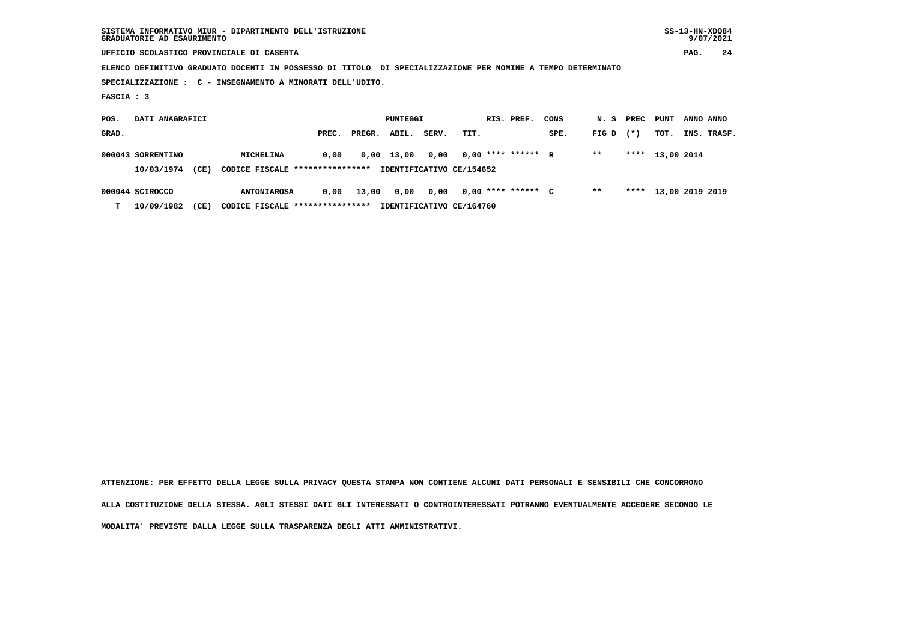|                 | GRADUATORIE AD ESAURIMENTO | SISTEMA INFORMATIVO MIUR - DIPARTIMENTO DELL'ISTRUZIONE                                                     |       |        |          |                          |      |                      |      |       |        |                 |           | $SS-13-HN-XDO84$<br>9/07/2021 |
|-----------------|----------------------------|-------------------------------------------------------------------------------------------------------------|-------|--------|----------|--------------------------|------|----------------------|------|-------|--------|-----------------|-----------|-------------------------------|
|                 |                            | UFFICIO SCOLASTICO PROVINCIALE DI CASERTA                                                                   |       |        |          |                          |      |                      |      |       |        |                 | PAG.      | 24                            |
|                 |                            | ELENCO DEFINITIVO GRADUATO DOCENTI IN POSSESSO DI TITOLO DI SPECIALIZZAZIONE PER NOMINE A TEMPO DETERMINATO |       |        |          |                          |      |                      |      |       |        |                 |           |                               |
|                 |                            | SPECIALIZZAZIONE : C - INSEGNAMENTO A MINORATI DELL'UDITO.                                                  |       |        |          |                          |      |                      |      |       |        |                 |           |                               |
| FASCIA : 3      |                            |                                                                                                             |       |        |          |                          |      |                      |      |       |        |                 |           |                               |
| POS.            | DATI ANAGRAFICI            |                                                                                                             |       |        | PUNTEGGI |                          |      | RIS. PREF.           | CONS | N. S  | PREC   | PUNT            | ANNO ANNO |                               |
| GRAD.           |                            |                                                                                                             | PREC. | PREGR. | ABIL.    | SERV.                    | TIT. |                      | SPE. | FIG D | $(* )$ | TOT.            |           | INS. TRASF.                   |
|                 | 000043 SORRENTINO          | MICHELINA                                                                                                   | 0.00  | 0,00   | 13,00    | 0,00                     |      | $0.00$ **** ****** R |      | $***$ | ****   | 13,00 2014      |           |                               |
|                 | 10/03/1974<br>(CE)         | CODICE FISCALE *****************                                                                            |       |        |          | IDENTIFICATIVO CE/154652 |      |                      |      |       |        |                 |           |                               |
| 000044 SCIROCCO |                            | <b>ANTONIAROSA</b>                                                                                          | 0,00  | 13,00  | 0,00     | 0,00                     |      | $0.00$ **** ****** C |      | $***$ | ****   | 13,00 2019 2019 |           |                               |

 **T 10/09/1982 (CE) CODICE FISCALE \*\*\*\*\*\*\*\*\*\*\*\*\*\*\*\* IDENTIFICATIVO CE/164760**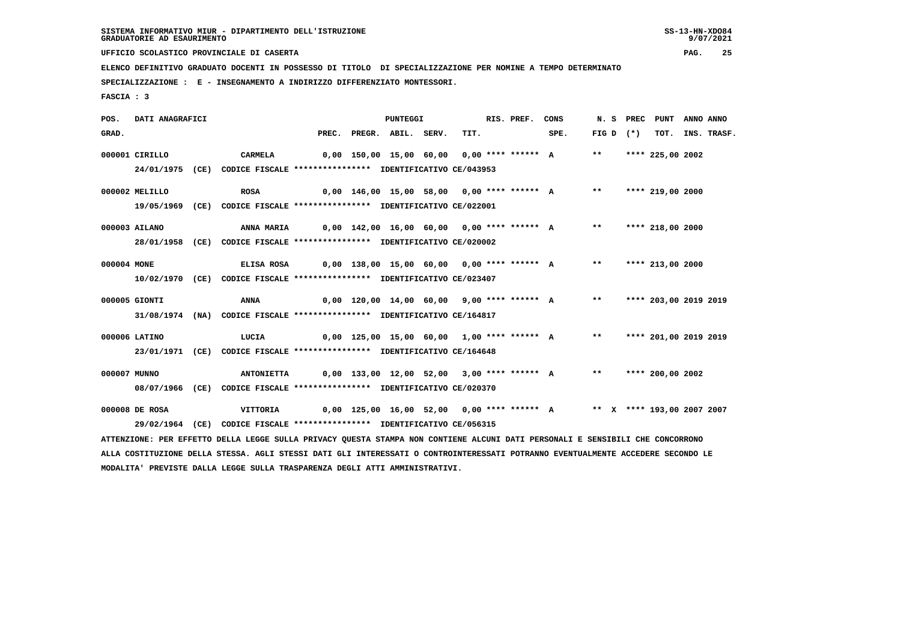9/07/2021

 **UFFICIO SCOLASTICO PROVINCIALE DI CASERTA PAG. 25**

 **ELENCO DEFINITIVO GRADUATO DOCENTI IN POSSESSO DI TITOLO DI SPECIALIZZAZIONE PER NOMINE A TEMPO DETERMINATO**

 **SPECIALIZZAZIONE : E - INSEGNAMENTO A INDIRIZZO DIFFERENZIATO MONTESSORI.**

 **MODALITA' PREVISTE DALLA LEGGE SULLA TRASPARENZA DEGLI ATTI AMMINISTRATIVI.**

 **FASCIA : 3**

 **POS. DATI ANAGRAFICI PUNTEGGI RIS. PREF. CONS N. S PREC PUNT ANNO ANNO**GRAD. PREC. PREGR. ABIL. SERV. TIT. SPE. FIG D (\*) TOT. INS. TRASF.  **000001 CIRILLO CARMELA 0,00 150,00 15,00 60,00 0,00 \*\*\*\* \*\*\*\*\*\* A \*\* \*\*\*\* 225,00 2002 24/01/1975 (CE) CODICE FISCALE \*\*\*\*\*\*\*\*\*\*\*\*\*\*\*\* IDENTIFICATIVO CE/043953 000002 MELILLO ROSA 0,00 146,00 15,00 58,00 0,00 \*\*\*\* \*\*\*\*\*\* A \*\* \*\*\*\* 219,00 2000 19/05/1969 (CE) CODICE FISCALE \*\*\*\*\*\*\*\*\*\*\*\*\*\*\*\* IDENTIFICATIVO CE/022001 000003 AILANO ANNA MARIA 0,00 142,00 16,00 60,00 0,00 \*\*\*\* \*\*\*\*\*\* A \*\* \*\*\*\* 218,00 2000 28/01/1958 (CE) CODICE FISCALE \*\*\*\*\*\*\*\*\*\*\*\*\*\*\*\* IDENTIFICATIVO CE/020002 000004 MONE ELISA ROSA 0,00 138,00 15,00 60,00 0,00 \*\*\*\* \*\*\*\*\*\* A \*\* \*\*\*\* 213,00 2000 10/02/1970 (CE) CODICE FISCALE \*\*\*\*\*\*\*\*\*\*\*\*\*\*\*\* IDENTIFICATIVO CE/023407 000005 GIONTI ANNA 0,00 120,00 14,00 60,00 9,00 \*\*\*\* \*\*\*\*\*\* A \*\* \*\*\*\* 203,00 2019 2019 31/08/1974 (NA) CODICE FISCALE \*\*\*\*\*\*\*\*\*\*\*\*\*\*\*\* IDENTIFICATIVO CE/164817 000006 LATINO LUCIA 0,00 125,00 15,00 60,00 1,00 \*\*\*\* \*\*\*\*\*\* A \*\* \*\*\*\* 201,00 2019 2019 23/01/1971 (CE) CODICE FISCALE \*\*\*\*\*\*\*\*\*\*\*\*\*\*\*\* IDENTIFICATIVO CE/164648 000007 MUNNO ANTONIETTA 0,00 133,00 12,00 52,00 3,00 \*\*\*\* \*\*\*\*\*\* A \*\* \*\*\*\* 200,00 2002 08/07/1966 (CE) CODICE FISCALE \*\*\*\*\*\*\*\*\*\*\*\*\*\*\*\* IDENTIFICATIVO CE/020370 000008 DE ROSA VITTORIA 0,00 125,00 16,00 52,00 0,00 \*\*\*\* \*\*\*\*\*\* A \*\* X \*\*\*\* 193,00 2007 2007 29/02/1964 (CE) CODICE FISCALE \*\*\*\*\*\*\*\*\*\*\*\*\*\*\*\* IDENTIFICATIVO CE/056315 ATTENZIONE: PER EFFETTO DELLA LEGGE SULLA PRIVACY QUESTA STAMPA NON CONTIENE ALCUNI DATI PERSONALI E SENSIBILI CHE CONCORRONO ALLA COSTITUZIONE DELLA STESSA. AGLI STESSI DATI GLI INTERESSATI O CONTROINTERESSATI POTRANNO EVENTUALMENTE ACCEDERE SECONDO LE**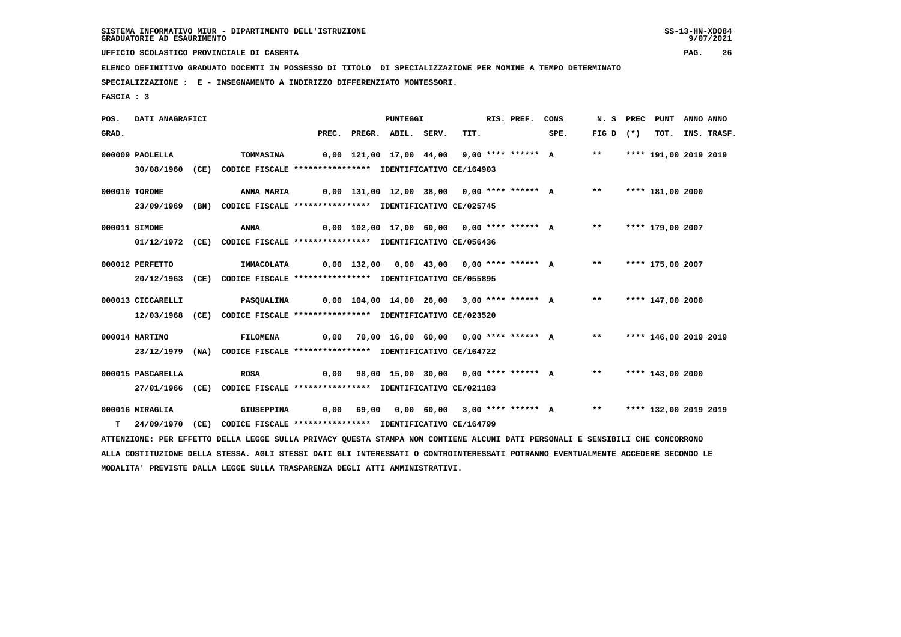9/07/2021

 **UFFICIO SCOLASTICO PROVINCIALE DI CASERTA PAG. 26**

 **ELENCO DEFINITIVO GRADUATO DOCENTI IN POSSESSO DI TITOLO DI SPECIALIZZAZIONE PER NOMINE A TEMPO DETERMINATO**

 **SPECIALIZZAZIONE : E - INSEGNAMENTO A INDIRIZZO DIFFERENZIATO MONTESSORI.**

 **FASCIA : 3**

 **POS. DATI ANAGRAFICI PUNTEGGI RIS. PREF. CONS N. S PREC PUNT ANNO ANNO**GRAD. PREC. PREGR. ABIL. SERV. TIT. SPE. FIG D (\*) TOT. INS. TRASF.  **000009 PAOLELLA TOMMASINA 0,00 121,00 17,00 44,00 9,00 \*\*\*\* \*\*\*\*\*\* A \*\* \*\*\*\* 191,00 2019 2019 30/08/1960 (CE) CODICE FISCALE \*\*\*\*\*\*\*\*\*\*\*\*\*\*\*\* IDENTIFICATIVO CE/164903 000010 TORONE ANNA MARIA 0,00 131,00 12,00 38,00 0,00 \*\*\*\* \*\*\*\*\*\* A \*\* \*\*\*\* 181,00 2000 23/09/1969 (BN) CODICE FISCALE \*\*\*\*\*\*\*\*\*\*\*\*\*\*\*\* IDENTIFICATIVO CE/025745 000011 SIMONE ANNA 0,00 102,00 17,00 60,00 0,00 \*\*\*\* \*\*\*\*\*\* A \*\* \*\*\*\* 179,00 2007 01/12/1972 (CE) CODICE FISCALE \*\*\*\*\*\*\*\*\*\*\*\*\*\*\*\* IDENTIFICATIVO CE/056436 000012 PERFETTO IMMACOLATA 0,00 132,00 0,00 43,00 0,00 \*\*\*\* \*\*\*\*\*\* A \*\* \*\*\*\* 175,00 2007 20/12/1963 (CE) CODICE FISCALE \*\*\*\*\*\*\*\*\*\*\*\*\*\*\*\* IDENTIFICATIVO CE/055895 000013 CICCARELLI PASQUALINA 0,00 104,00 14,00 26,00 3,00 \*\*\*\* \*\*\*\*\*\* A \*\* \*\*\*\* 147,00 2000 12/03/1968 (CE) CODICE FISCALE \*\*\*\*\*\*\*\*\*\*\*\*\*\*\*\* IDENTIFICATIVO CE/023520 000014 MARTINO FILOMENA 0,00 70,00 16,00 60,00 0,00 \*\*\*\* \*\*\*\*\*\* A \*\* \*\*\*\* 146,00 2019 2019 23/12/1979 (NA) CODICE FISCALE \*\*\*\*\*\*\*\*\*\*\*\*\*\*\*\* IDENTIFICATIVO CE/164722 000015 PASCARELLA ROSA 0,00 98,00 15,00 30,00 0,00 \*\*\*\* \*\*\*\*\*\* A \*\* \*\*\*\* 143,00 2000 27/01/1966 (CE) CODICE FISCALE \*\*\*\*\*\*\*\*\*\*\*\*\*\*\*\* IDENTIFICATIVO CE/021183 000016 MIRAGLIA GIUSEPPINA 0,00 69,00 0,00 60,00 3,00 \*\*\*\* \*\*\*\*\*\* A \*\* \*\*\*\* 132,00 2019 2019 T 24/09/1970 (CE) CODICE FISCALE \*\*\*\*\*\*\*\*\*\*\*\*\*\*\*\* IDENTIFICATIVO CE/164799 ATTENZIONE: PER EFFETTO DELLA LEGGE SULLA PRIVACY QUESTA STAMPA NON CONTIENE ALCUNI DATI PERSONALI E SENSIBILI CHE CONCORRONO ALLA COSTITUZIONE DELLA STESSA. AGLI STESSI DATI GLI INTERESSATI O CONTROINTERESSATI POTRANNO EVENTUALMENTE ACCEDERE SECONDO LE MODALITA' PREVISTE DALLA LEGGE SULLA TRASPARENZA DEGLI ATTI AMMINISTRATIVI.**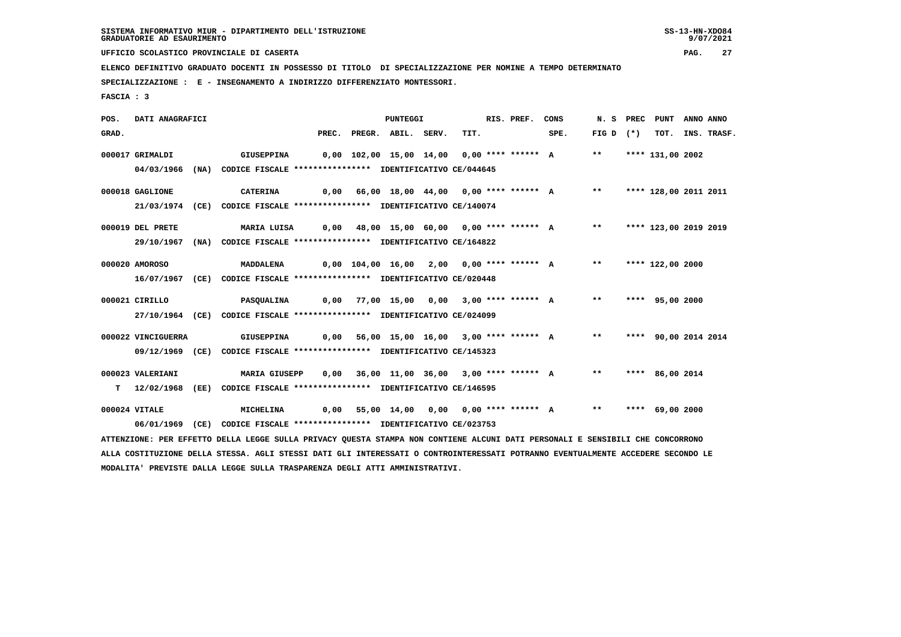9/07/2021

 **UFFICIO SCOLASTICO PROVINCIALE DI CASERTA PAG. 27**

 **ELENCO DEFINITIVO GRADUATO DOCENTI IN POSSESSO DI TITOLO DI SPECIALIZZAZIONE PER NOMINE A TEMPO DETERMINATO**

 **SPECIALIZZAZIONE : E - INSEGNAMENTO A INDIRIZZO DIFFERENZIATO MONTESSORI.**

 **FASCIA : 3**

 **POS. DATI ANAGRAFICI PUNTEGGI RIS. PREF. CONS N. S PREC PUNT ANNO ANNO**GRAD. PREC. PREGR. ABIL. SERV. TIT. SPE. FIG D (\*) TOT. INS. TRASF.  **000017 GRIMALDI GIUSEPPINA 0,00 102,00 15,00 14,00 0,00 \*\*\*\* \*\*\*\*\*\* A \*\* \*\*\*\* 131,00 2002 04/03/1966 (NA) CODICE FISCALE \*\*\*\*\*\*\*\*\*\*\*\*\*\*\*\* IDENTIFICATIVO CE/044645 000018 GAGLIONE CATERINA 0,00 66,00 18,00 44,00 0,00 \*\*\*\* \*\*\*\*\*\* A \*\* \*\*\*\* 128,00 2011 2011 21/03/1974 (CE) CODICE FISCALE \*\*\*\*\*\*\*\*\*\*\*\*\*\*\*\* IDENTIFICATIVO CE/140074 000019 DEL PRETE MARIA LUISA 0,00 48,00 15,00 60,00 0,00 \*\*\*\* \*\*\*\*\*\* A \*\* \*\*\*\* 123,00 2019 2019 29/10/1967 (NA) CODICE FISCALE \*\*\*\*\*\*\*\*\*\*\*\*\*\*\*\* IDENTIFICATIVO CE/164822 000020 AMOROSO MADDALENA 0,00 104,00 16,00 2,00 0,00 \*\*\*\* \*\*\*\*\*\* A \*\* \*\*\*\* 122,00 2000 16/07/1967 (CE) CODICE FISCALE \*\*\*\*\*\*\*\*\*\*\*\*\*\*\*\* IDENTIFICATIVO CE/020448 000021 CIRILLO PASQUALINA 0,00 77,00 15,00 0,00 3,00 \*\*\*\* \*\*\*\*\*\* A \*\* \*\*\*\* 95,00 2000 27/10/1964 (CE) CODICE FISCALE \*\*\*\*\*\*\*\*\*\*\*\*\*\*\*\* IDENTIFICATIVO CE/024099 000022 VINCIGUERRA GIUSEPPINA 0,00 56,00 15,00 16,00 3,00 \*\*\*\* \*\*\*\*\*\* A \*\* \*\*\*\* 90,00 2014 2014 09/12/1969 (CE) CODICE FISCALE \*\*\*\*\*\*\*\*\*\*\*\*\*\*\*\* IDENTIFICATIVO CE/145323 000023 VALERIANI MARIA GIUSEPP 0,00 36,00 11,00 36,00 3,00 \*\*\*\* \*\*\*\*\*\* A \*\* \*\*\*\* 86,00 2014 T 12/02/1968 (EE) CODICE FISCALE \*\*\*\*\*\*\*\*\*\*\*\*\*\*\*\* IDENTIFICATIVO CE/146595 000024 VITALE MICHELINA 0,00 55,00 14,00 0,00 0,00 \*\*\*\* \*\*\*\*\*\* A \*\* \*\*\*\* 69,00 2000 06/01/1969 (CE) CODICE FISCALE \*\*\*\*\*\*\*\*\*\*\*\*\*\*\*\* IDENTIFICATIVO CE/023753 ATTENZIONE: PER EFFETTO DELLA LEGGE SULLA PRIVACY QUESTA STAMPA NON CONTIENE ALCUNI DATI PERSONALI E SENSIBILI CHE CONCORRONO ALLA COSTITUZIONE DELLA STESSA. AGLI STESSI DATI GLI INTERESSATI O CONTROINTERESSATI POTRANNO EVENTUALMENTE ACCEDERE SECONDO LE**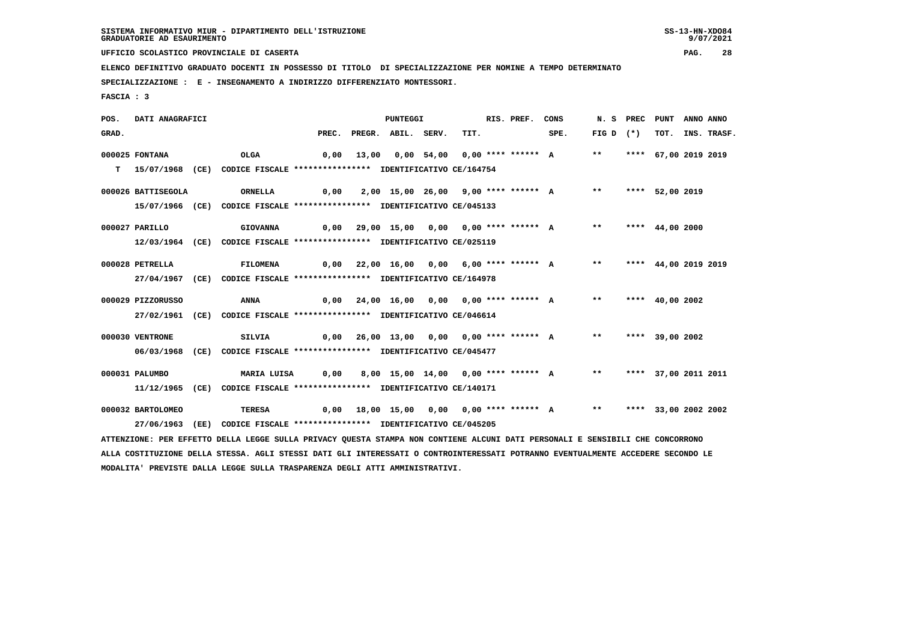9/07/2021

 **UFFICIO SCOLASTICO PROVINCIALE DI CASERTA PAG. 28**

 **ELENCO DEFINITIVO GRADUATO DOCENTI IN POSSESSO DI TITOLO DI SPECIALIZZAZIONE PER NOMINE A TEMPO DETERMINATO**

 **SPECIALIZZAZIONE : E - INSEGNAMENTO A INDIRIZZO DIFFERENZIATO MONTESSORI.**

 **MODALITA' PREVISTE DALLA LEGGE SULLA TRASPARENZA DEGLI ATTI AMMINISTRATIVI.**

 **FASCIA : 3**

 **POS. DATI ANAGRAFICI PUNTEGGI RIS. PREF. CONS N. S PREC PUNT ANNO ANNO**GRAD. PREC. PREGR. ABIL. SERV. TIT. SPE. FIG D (\*) TOT. INS. TRASF.  **000025 FONTANA OLGA 0,00 13,00 0,00 54,00 0,00 \*\*\*\* \*\*\*\*\*\* A \*\* \*\*\*\* 67,00 2019 2019 T 15/07/1968 (CE) CODICE FISCALE \*\*\*\*\*\*\*\*\*\*\*\*\*\*\*\* IDENTIFICATIVO CE/164754 000026 BATTISEGOLA ORNELLA 0,00 2,00 15,00 26,00 9,00 \*\*\*\* \*\*\*\*\*\* A \*\* \*\*\*\* 52,00 2019 15/07/1966 (CE) CODICE FISCALE \*\*\*\*\*\*\*\*\*\*\*\*\*\*\*\* IDENTIFICATIVO CE/045133 000027 PARILLO GIOVANNA 0,00 29,00 15,00 0,00 0,00 \*\*\*\* \*\*\*\*\*\* A \*\* \*\*\*\* 44,00 2000 12/03/1964 (CE) CODICE FISCALE \*\*\*\*\*\*\*\*\*\*\*\*\*\*\*\* IDENTIFICATIVO CE/025119 000028 PETRELLA FILOMENA 0,00 22,00 16,00 0,00 6,00 \*\*\*\* \*\*\*\*\*\* A \*\* \*\*\*\* 44,00 2019 2019 27/04/1967 (CE) CODICE FISCALE \*\*\*\*\*\*\*\*\*\*\*\*\*\*\*\* IDENTIFICATIVO CE/164978 000029 PIZZORUSSO ANNA 0,00 24,00 16,00 0,00 0,00 \*\*\*\* \*\*\*\*\*\* A \*\* \*\*\*\* 40,00 2002 27/02/1961 (CE) CODICE FISCALE \*\*\*\*\*\*\*\*\*\*\*\*\*\*\*\* IDENTIFICATIVO CE/046614 000030 VENTRONE SILVIA 0,00 26,00 13,00 0,00 0,00 \*\*\*\* \*\*\*\*\*\* A \*\* \*\*\*\* 39,00 2002 06/03/1968 (CE) CODICE FISCALE \*\*\*\*\*\*\*\*\*\*\*\*\*\*\*\* IDENTIFICATIVO CE/045477 000031 PALUMBO MARIA LUISA 0,00 8,00 15,00 14,00 0,00 \*\*\*\* \*\*\*\*\*\* A \*\* \*\*\*\* 37,00 2011 2011 11/12/1965 (CE) CODICE FISCALE \*\*\*\*\*\*\*\*\*\*\*\*\*\*\*\* IDENTIFICATIVO CE/140171 000032 BARTOLOMEO TERESA 0,00 18,00 15,00 0,00 0,00 \*\*\*\* \*\*\*\*\*\* A \*\* \*\*\*\* 33,00 2002 2002 27/06/1963 (EE) CODICE FISCALE \*\*\*\*\*\*\*\*\*\*\*\*\*\*\*\* IDENTIFICATIVO CE/045205 ATTENZIONE: PER EFFETTO DELLA LEGGE SULLA PRIVACY QUESTA STAMPA NON CONTIENE ALCUNI DATI PERSONALI E SENSIBILI CHE CONCORRONO ALLA COSTITUZIONE DELLA STESSA. AGLI STESSI DATI GLI INTERESSATI O CONTROINTERESSATI POTRANNO EVENTUALMENTE ACCEDERE SECONDO LE**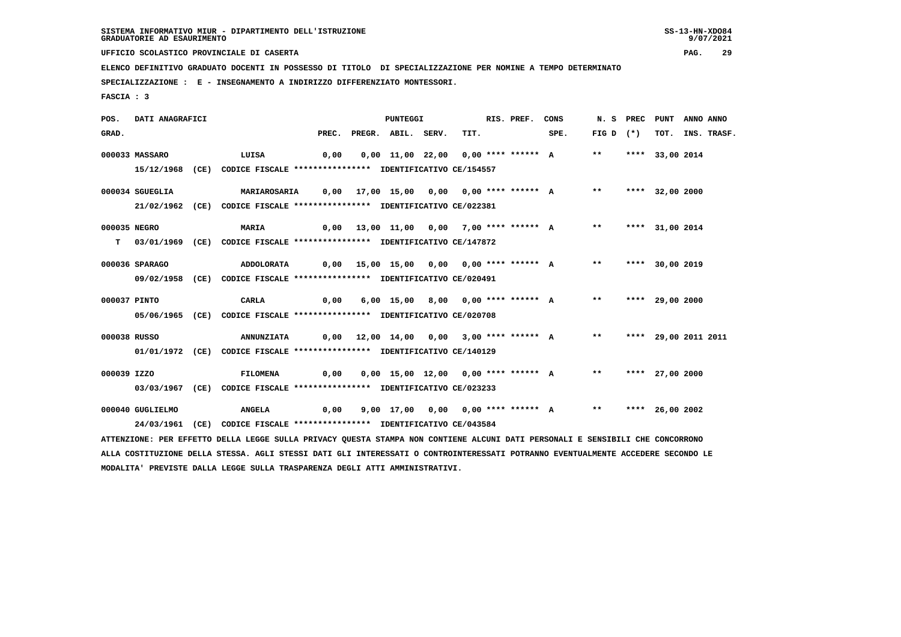9/07/2021

 **UFFICIO SCOLASTICO PROVINCIALE DI CASERTA PAG. 29**

 **ELENCO DEFINITIVO GRADUATO DOCENTI IN POSSESSO DI TITOLO DI SPECIALIZZAZIONE PER NOMINE A TEMPO DETERMINATO**

 **SPECIALIZZAZIONE : E - INSEGNAMENTO A INDIRIZZO DIFFERENZIATO MONTESSORI.**

 **MODALITA' PREVISTE DALLA LEGGE SULLA TRASPARENZA DEGLI ATTI AMMINISTRATIVI.**

 **FASCIA : 3**

 **POS. DATI ANAGRAFICI PUNTEGGI RIS. PREF. CONS N. S PREC PUNT ANNO ANNO**GRAD. PREC. PREGR. ABIL. SERV. TIT. SPE. FIG D (\*) TOT. INS. TRASF.  **000033 MASSARO LUISA 0,00 0,00 11,00 22,00 0,00 \*\*\*\* \*\*\*\*\*\* A \*\* \*\*\*\* 33,00 2014 15/12/1968 (CE) CODICE FISCALE \*\*\*\*\*\*\*\*\*\*\*\*\*\*\*\* IDENTIFICATIVO CE/154557 000034 SGUEGLIA MARIAROSARIA 0,00 17,00 15,00 0,00 0,00 \*\*\*\* \*\*\*\*\*\* A \*\* \*\*\*\* 32,00 2000 21/02/1962 (CE) CODICE FISCALE \*\*\*\*\*\*\*\*\*\*\*\*\*\*\*\* IDENTIFICATIVO CE/022381 000035 NEGRO MARIA 0,00 13,00 11,00 0,00 7,00 \*\*\*\* \*\*\*\*\*\* A \*\* \*\*\*\* 31,00 2014 T 03/01/1969 (CE) CODICE FISCALE \*\*\*\*\*\*\*\*\*\*\*\*\*\*\*\* IDENTIFICATIVO CE/147872 000036 SPARAGO ADDOLORATA 0,00 15,00 15,00 0,00 0,00 \*\*\*\* \*\*\*\*\*\* A \*\* \*\*\*\* 30,00 2019 09/02/1958 (CE) CODICE FISCALE \*\*\*\*\*\*\*\*\*\*\*\*\*\*\*\* IDENTIFICATIVO CE/020491 000037 PINTO CARLA 0,00 6,00 15,00 8,00 0,00 \*\*\*\* \*\*\*\*\*\* A \*\* \*\*\*\* 29,00 2000 05/06/1965 (CE) CODICE FISCALE \*\*\*\*\*\*\*\*\*\*\*\*\*\*\*\* IDENTIFICATIVO CE/020708 000038 RUSSO ANNUNZIATA 0,00 12,00 14,00 0,00 3,00 \*\*\*\* \*\*\*\*\*\* A \*\* \*\*\*\* 29,00 2011 2011 01/01/1972 (CE) CODICE FISCALE \*\*\*\*\*\*\*\*\*\*\*\*\*\*\*\* IDENTIFICATIVO CE/140129 000039 IZZO FILOMENA 0,00 0,00 15,00 12,00 0,00 \*\*\*\* \*\*\*\*\*\* A \*\* \*\*\*\* 27,00 2000 03/03/1967 (CE) CODICE FISCALE \*\*\*\*\*\*\*\*\*\*\*\*\*\*\*\* IDENTIFICATIVO CE/023233 000040 GUGLIELMO ANGELA 0,00 9,00 17,00 0,00 0,00 \*\*\*\* \*\*\*\*\*\* A \*\* \*\*\*\* 26,00 2002 24/03/1961 (CE) CODICE FISCALE \*\*\*\*\*\*\*\*\*\*\*\*\*\*\*\* IDENTIFICATIVO CE/043584 ATTENZIONE: PER EFFETTO DELLA LEGGE SULLA PRIVACY QUESTA STAMPA NON CONTIENE ALCUNI DATI PERSONALI E SENSIBILI CHE CONCORRONO ALLA COSTITUZIONE DELLA STESSA. AGLI STESSI DATI GLI INTERESSATI O CONTROINTERESSATI POTRANNO EVENTUALMENTE ACCEDERE SECONDO LE**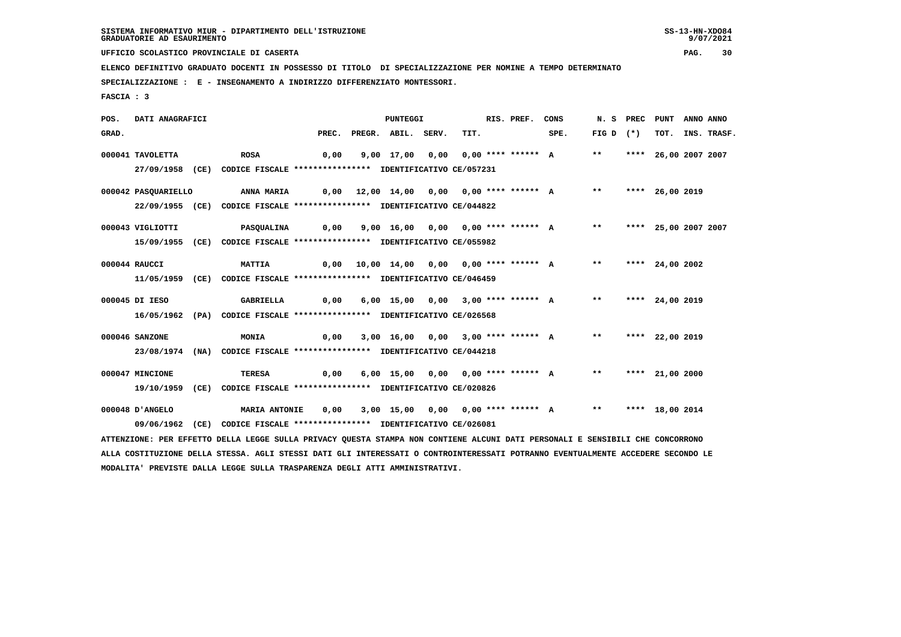9/07/2021

 **UFFICIO SCOLASTICO PROVINCIALE DI CASERTA PAG. 30**

 **ELENCO DEFINITIVO GRADUATO DOCENTI IN POSSESSO DI TITOLO DI SPECIALIZZAZIONE PER NOMINE A TEMPO DETERMINATO**

 **SPECIALIZZAZIONE : E - INSEGNAMENTO A INDIRIZZO DIFFERENZIATO MONTESSORI.**

 **FASCIA : 3**

 **POS. DATI ANAGRAFICI PUNTEGGI RIS. PREF. CONS N. S PREC PUNT ANNO ANNO**GRAD. PREC. PREGR. ABIL. SERV. TIT. SPE. FIG D (\*) TOT. INS. TRASF.  **000041 TAVOLETTA ROSA 0,00 9,00 17,00 0,00 0,00 \*\*\*\* \*\*\*\*\*\* A \*\* \*\*\*\* 26,00 2007 2007 27/09/1958 (CE) CODICE FISCALE \*\*\*\*\*\*\*\*\*\*\*\*\*\*\*\* IDENTIFICATIVO CE/057231 000042 PASQUARIELLO ANNA MARIA 0,00 12,00 14,00 0,00 0,00 \*\*\*\* \*\*\*\*\*\* A \*\* \*\*\*\* 26,00 2019 22/09/1955 (CE) CODICE FISCALE \*\*\*\*\*\*\*\*\*\*\*\*\*\*\*\* IDENTIFICATIVO CE/044822 000043 VIGLIOTTI PASQUALINA 0,00 9,00 16,00 0,00 0,00 \*\*\*\* \*\*\*\*\*\* A \*\* \*\*\*\* 25,00 2007 2007 15/09/1955 (CE) CODICE FISCALE \*\*\*\*\*\*\*\*\*\*\*\*\*\*\*\* IDENTIFICATIVO CE/055982 000044 RAUCCI MATTIA 0,00 10,00 14,00 0,00 0,00 \*\*\*\* \*\*\*\*\*\* A \*\* \*\*\*\* 24,00 2002 11/05/1959 (CE) CODICE FISCALE \*\*\*\*\*\*\*\*\*\*\*\*\*\*\*\* IDENTIFICATIVO CE/046459 000045 DI IESO GABRIELLA 0,00 6,00 15,00 0,00 3,00 \*\*\*\* \*\*\*\*\*\* A \*\* \*\*\*\* 24,00 2019 16/05/1962 (PA) CODICE FISCALE \*\*\*\*\*\*\*\*\*\*\*\*\*\*\*\* IDENTIFICATIVO CE/026568 000046 SANZONE MONIA 0,00 3,00 16,00 0,00 3,00 \*\*\*\* \*\*\*\*\*\* A \*\* \*\*\*\* 22,00 2019 23/08/1974 (NA) CODICE FISCALE \*\*\*\*\*\*\*\*\*\*\*\*\*\*\*\* IDENTIFICATIVO CE/044218 000047 MINCIONE TERESA 0,00 6,00 15,00 0,00 0,00 \*\*\*\* \*\*\*\*\*\* A \*\* \*\*\*\* 21,00 2000 19/10/1959 (CE) CODICE FISCALE \*\*\*\*\*\*\*\*\*\*\*\*\*\*\*\* IDENTIFICATIVO CE/020826 000048 D'ANGELO MARIA ANTONIE 0,00 3,00 15,00 0,00 0,00 \*\*\*\* \*\*\*\*\*\* A \*\* \*\*\*\* 18,00 2014 09/06/1962 (CE) CODICE FISCALE \*\*\*\*\*\*\*\*\*\*\*\*\*\*\*\* IDENTIFICATIVO CE/026081 ATTENZIONE: PER EFFETTO DELLA LEGGE SULLA PRIVACY QUESTA STAMPA NON CONTIENE ALCUNI DATI PERSONALI E SENSIBILI CHE CONCORRONO ALLA COSTITUZIONE DELLA STESSA. AGLI STESSI DATI GLI INTERESSATI O CONTROINTERESSATI POTRANNO EVENTUALMENTE ACCEDERE SECONDO LE**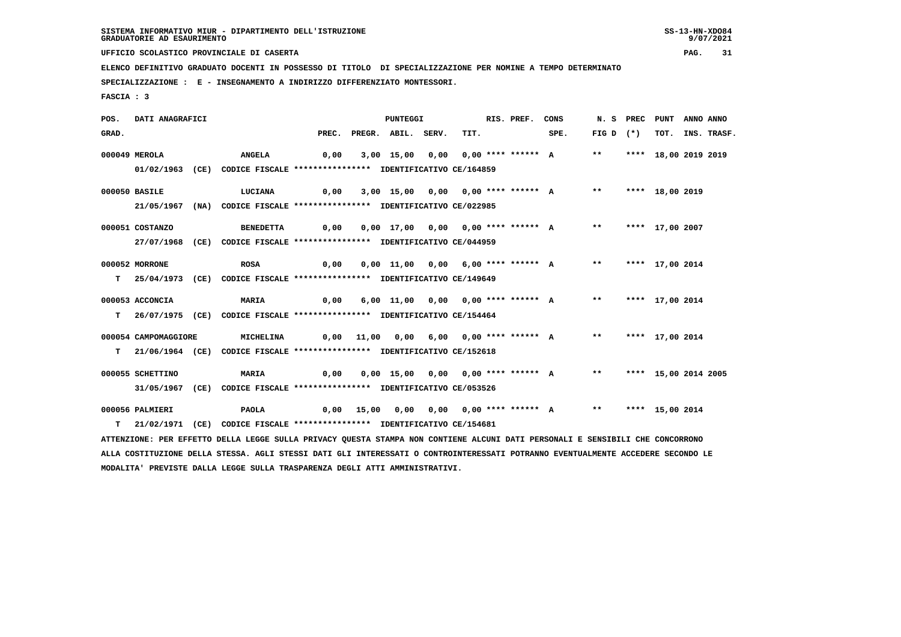9/07/2021

 **UFFICIO SCOLASTICO PROVINCIALE DI CASERTA PAG. 31**

 **ELENCO DEFINITIVO GRADUATO DOCENTI IN POSSESSO DI TITOLO DI SPECIALIZZAZIONE PER NOMINE A TEMPO DETERMINATO**

 **SPECIALIZZAZIONE : E - INSEGNAMENTO A INDIRIZZO DIFFERENZIATO MONTESSORI.**

 **FASCIA : 3**

 **POS. DATI ANAGRAFICI PUNTEGGI RIS. PREF. CONS N. S PREC PUNT ANNO ANNO**GRAD. PREC. PREGR. ABIL. SERV. TIT. SPE. FIG D (\*) TOT. INS. TRASF.  **000049 MEROLA ANGELA 0,00 3,00 15,00 0,00 0,00 \*\*\*\* \*\*\*\*\*\* A \*\* \*\*\*\* 18,00 2019 2019 01/02/1963 (CE) CODICE FISCALE \*\*\*\*\*\*\*\*\*\*\*\*\*\*\*\* IDENTIFICATIVO CE/164859 000050 BASILE LUCIANA 0,00 3,00 15,00 0,00 0,00 \*\*\*\* \*\*\*\*\*\* A \*\* \*\*\*\* 18,00 2019 21/05/1967 (NA) CODICE FISCALE \*\*\*\*\*\*\*\*\*\*\*\*\*\*\*\* IDENTIFICATIVO CE/022985 000051 COSTANZO BENEDETTA 0,00 0,00 17,00 0,00 0,00 \*\*\*\* \*\*\*\*\*\* A \*\* \*\*\*\* 17,00 2007 27/07/1968 (CE) CODICE FISCALE \*\*\*\*\*\*\*\*\*\*\*\*\*\*\*\* IDENTIFICATIVO CE/044959 000052 MORRONE ROSA 0,00 0,00 11,00 0,00 6,00 \*\*\*\* \*\*\*\*\*\* A \*\* \*\*\*\* 17,00 2014 T 25/04/1973 (CE) CODICE FISCALE \*\*\*\*\*\*\*\*\*\*\*\*\*\*\*\* IDENTIFICATIVO CE/149649 000053 ACCONCIA MARIA 0,00 6,00 11,00 0,00 0,00 \*\*\*\* \*\*\*\*\*\* A \*\* \*\*\*\* 17,00 2014 T 26/07/1975 (CE) CODICE FISCALE \*\*\*\*\*\*\*\*\*\*\*\*\*\*\*\* IDENTIFICATIVO CE/154464 000054 CAMPOMAGGIORE MICHELINA 0,00 11,00 0,00 6,00 0,00 \*\*\*\* \*\*\*\*\*\* A \*\* \*\*\*\* 17,00 2014 T 21/06/1964 (CE) CODICE FISCALE \*\*\*\*\*\*\*\*\*\*\*\*\*\*\*\* IDENTIFICATIVO CE/152618 000055 SCHETTINO MARIA 0,00 0,00 15,00 0,00 0,00 \*\*\*\* \*\*\*\*\*\* A \*\* \*\*\*\* 15,00 2014 2005 31/05/1967 (CE) CODICE FISCALE \*\*\*\*\*\*\*\*\*\*\*\*\*\*\*\* IDENTIFICATIVO CE/053526 000056 PALMIERI PAOLA 0,00 15,00 0,00 0,00 0,00 \*\*\*\* \*\*\*\*\*\* A \*\* \*\*\*\* 15,00 2014 T 21/02/1971 (CE) CODICE FISCALE \*\*\*\*\*\*\*\*\*\*\*\*\*\*\*\* IDENTIFICATIVO CE/154681 ATTENZIONE: PER EFFETTO DELLA LEGGE SULLA PRIVACY QUESTA STAMPA NON CONTIENE ALCUNI DATI PERSONALI E SENSIBILI CHE CONCORRONO ALLA COSTITUZIONE DELLA STESSA. AGLI STESSI DATI GLI INTERESSATI O CONTROINTERESSATI POTRANNO EVENTUALMENTE ACCEDERE SECONDO LE MODALITA' PREVISTE DALLA LEGGE SULLA TRASPARENZA DEGLI ATTI AMMINISTRATIVI.**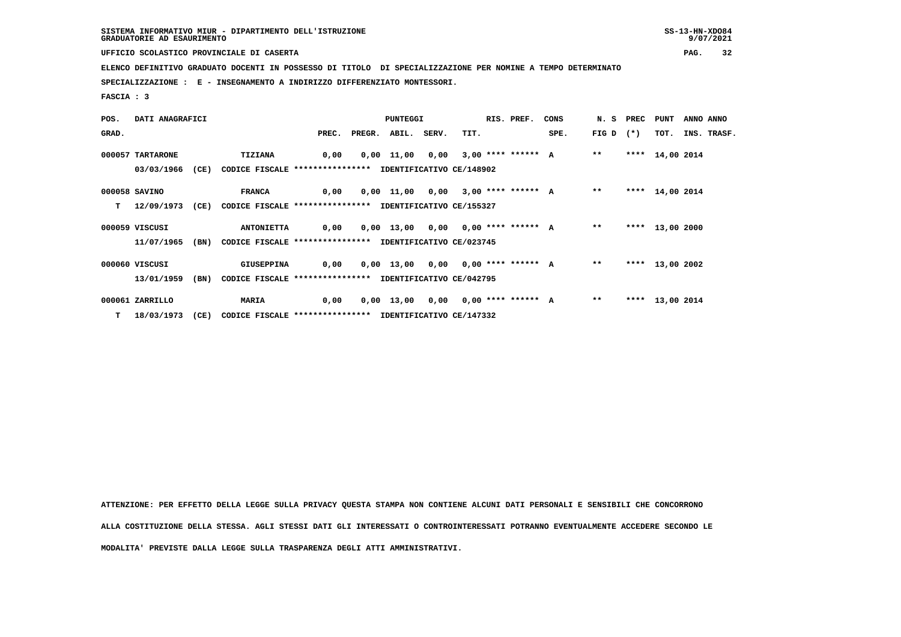**UFFICIO SCOLASTICO PROVINCIALE DI CASERTA PAG. 32**

 **ELENCO DEFINITIVO GRADUATO DOCENTI IN POSSESSO DI TITOLO DI SPECIALIZZAZIONE PER NOMINE A TEMPO DETERMINATO**

 **SPECIALIZZAZIONE : E - INSEGNAMENTO A INDIRIZZO DIFFERENZIATO MONTESSORI.**

 **FASCIA : 3**

| POS.  | DATI ANAGRAFICI  |      |                                                               |       | <b>PUNTEGGI</b>                      |      | RIS. PREF. | CONS |       | N. S PREC PUNT |                 | ANNO ANNO |             |
|-------|------------------|------|---------------------------------------------------------------|-------|--------------------------------------|------|------------|------|-------|----------------|-----------------|-----------|-------------|
| GRAD. |                  |      |                                                               | PREC. | PREGR. ABIL. SERV.                   | TIT. |            | SPE. |       | FIG D $(*)$    | TOT.            |           | INS. TRASF. |
|       | 000057 TARTARONE |      | <b>TIZIANA</b>                                                | 0,00  | 0,00 11,00 0,00 3,00 **** ****** A   |      |            |      | $* *$ |                | **** 14,00 2014 |           |             |
|       | 03/03/1966       | (CE) | CODICE FISCALE **************** IDENTIFICATIVO CE/148902      |       |                                      |      |            |      |       |                |                 |           |             |
|       | 000058 SAVINO    |      | <b>FRANCA</b>                                                 | 0,00  | 0,00 11,00 0,00 3,00 **** ****** A   |      |            |      | $***$ |                | **** 14,00 2014 |           |             |
| т     | 12/09/1973       |      | (CE) CODICE FISCALE **************** IDENTIFICATIVO CE/155327 |       |                                      |      |            |      |       |                |                 |           |             |
|       | 000059 VISCUSI   |      | <b>ANTONIETTA</b>                                             | 0,00  | 0,00 13,00 0,00 0,00 **** ****** A   |      |            |      | $* *$ |                | **** 13,00 2000 |           |             |
|       | 11/07/1965       | (BN) | CODICE FISCALE **************** IDENTIFICATIVO CE/023745      |       |                                      |      |            |      |       |                |                 |           |             |
|       | 000060 VISCUSI   |      | <b>GIUSEPPINA</b>                                             | 0,00  | 0,00 13,00 0,00 0,00 **** ****** A   |      |            |      | $***$ |                | **** 13,00 2002 |           |             |
|       | 13/01/1959       | (BN) | CODICE FISCALE **************** IDENTIFICATIVO CE/042795      |       |                                      |      |            |      |       |                |                 |           |             |
|       | 000061 ZARRILLO  |      | <b>MARIA</b>                                                  | 0,00  | $0,00$ 13,00 0,00 0,00 **** ****** A |      |            |      | $***$ |                | **** 13,00 2014 |           |             |
|       | $T = 18/03/1973$ | (CE) | CODICE FISCALE **************** IDENTIFICATIVO CE/147332      |       |                                      |      |            |      |       |                |                 |           |             |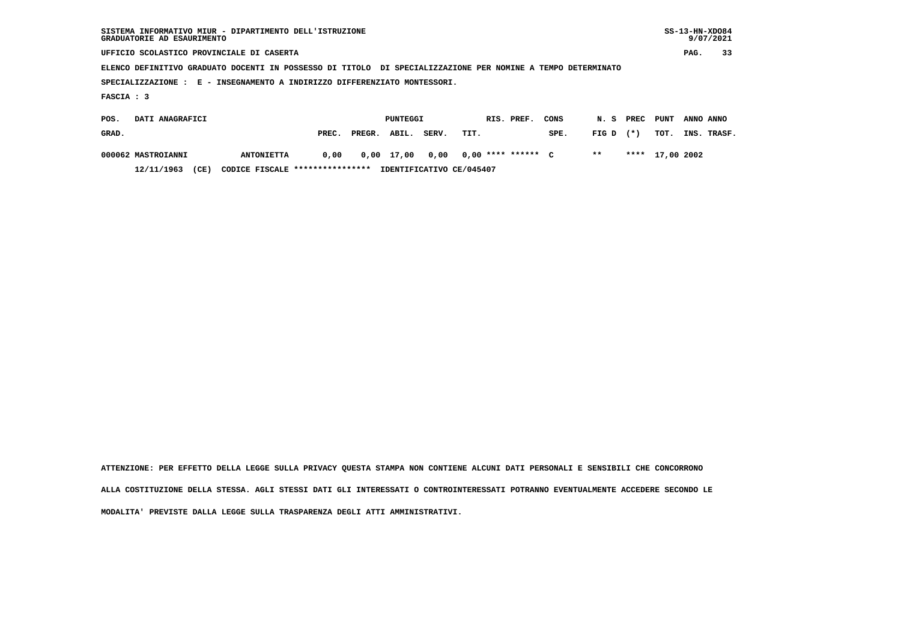| SISTEMA INFORMATIVO MIUR - DIPARTIMENTO DELL'ISTRUZIONE<br>GRADUATORIE AD ESAURIMENTO                       |                   |       |        |            |       |      |  |                    |      |       | $SS-13-HN-XDO84$<br>9/07/2021 |            |           |             |
|-------------------------------------------------------------------------------------------------------------|-------------------|-------|--------|------------|-------|------|--|--------------------|------|-------|-------------------------------|------------|-----------|-------------|
| UFFICIO SCOLASTICO PROVINCIALE DI CASERTA                                                                   |                   |       |        |            |       |      |  |                    |      |       |                               |            | PAG.      | 33          |
| ELENCO DEFINITIVO GRADUATO DOCENTI IN POSSESSO DI TITOLO DI SPECIALIZZAZIONE PER NOMINE A TEMPO DETERMINATO |                   |       |        |            |       |      |  |                    |      |       |                               |            |           |             |
| SPECIALIZZAZIONE : E - INSEGNAMENTO A INDIRIZZO DIFFERENZIATO MONTESSORI.                                   |                   |       |        |            |       |      |  |                    |      |       |                               |            |           |             |
| FASCIA : 3                                                                                                  |                   |       |        |            |       |      |  |                    |      |       |                               |            |           |             |
| DATI ANAGRAFICI<br>POS.                                                                                     |                   |       |        | PUNTEGGI   |       |      |  | RIS. PREF.         | CONS | N. S  | PREC                          | PUNT       | ANNO ANNO |             |
| GRAD.                                                                                                       |                   | PREC. | PREGR. | ABIL.      | SERV. | TIT. |  |                    | SPE. | FIG D | $(* )$                        | TOT.       |           | INS. TRASF. |
| 000062 MASTROIANNI                                                                                          | <b>ANTONIETTA</b> | 0,00  |        | 0,00 17,00 | 0,00  |      |  | $0.00$ **** ****** | C    | $* *$ | ****                          | 17,00 2002 |           |             |

 **12/11/1963 (CE) CODICE FISCALE \*\*\*\*\*\*\*\*\*\*\*\*\*\*\*\* IDENTIFICATIVO CE/045407**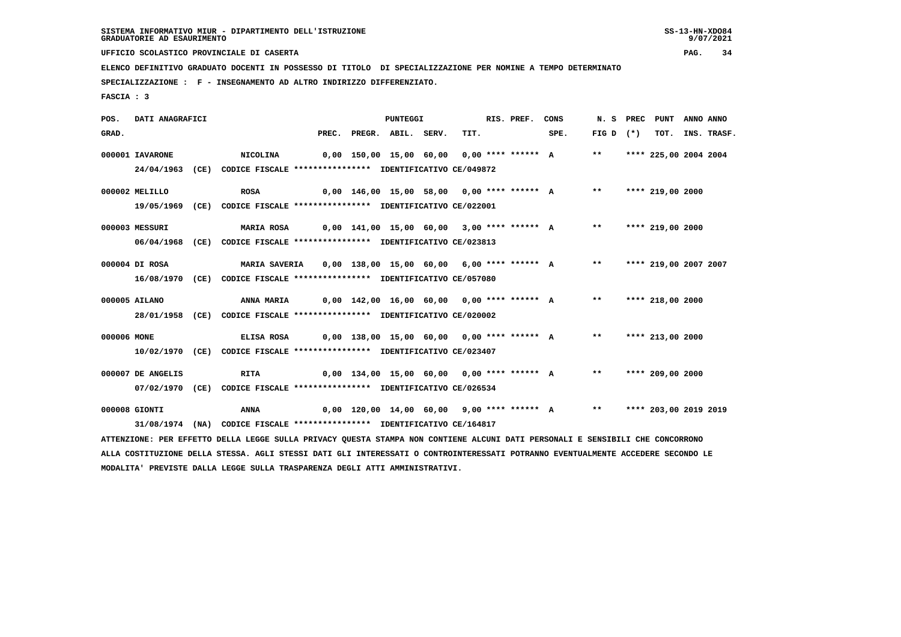9/07/2021

 **UFFICIO SCOLASTICO PROVINCIALE DI CASERTA PAG. 34**

 **ELENCO DEFINITIVO GRADUATO DOCENTI IN POSSESSO DI TITOLO DI SPECIALIZZAZIONE PER NOMINE A TEMPO DETERMINATO**

 **SPECIALIZZAZIONE : F - INSEGNAMENTO AD ALTRO INDIRIZZO DIFFERENZIATO.**

 **FASCIA : 3**

 **POS. DATI ANAGRAFICI PUNTEGGI RIS. PREF. CONS N. S PREC PUNT ANNO ANNO**GRAD. PREC. PREGR. ABIL. SERV. TIT. SPE. FIG D (\*) TOT. INS. TRASF.  **000001 IAVARONE NICOLINA 0,00 150,00 15,00 60,00 0,00 \*\*\*\* \*\*\*\*\*\* A \*\* \*\*\*\* 225,00 2004 2004 24/04/1963 (CE) CODICE FISCALE \*\*\*\*\*\*\*\*\*\*\*\*\*\*\*\* IDENTIFICATIVO CE/049872 000002 MELILLO ROSA 0,00 146,00 15,00 58,00 0,00 \*\*\*\* \*\*\*\*\*\* A \*\* \*\*\*\* 219,00 2000 19/05/1969 (CE) CODICE FISCALE \*\*\*\*\*\*\*\*\*\*\*\*\*\*\*\* IDENTIFICATIVO CE/022001 000003 MESSURI MARIA ROSA 0,00 141,00 15,00 60,00 3,00 \*\*\*\* \*\*\*\*\*\* A \*\* \*\*\*\* 219,00 2000 06/04/1968 (CE) CODICE FISCALE \*\*\*\*\*\*\*\*\*\*\*\*\*\*\*\* IDENTIFICATIVO CE/023813 000004 DI ROSA MARIA SAVERIA 0,00 138,00 15,00 60,00 6,00 \*\*\*\* \*\*\*\*\*\* A \*\* \*\*\*\* 219,00 2007 2007 16/08/1970 (CE) CODICE FISCALE \*\*\*\*\*\*\*\*\*\*\*\*\*\*\*\* IDENTIFICATIVO CE/057080 000005 AILANO ANNA MARIA 0,00 142,00 16,00 60,00 0,00 \*\*\*\* \*\*\*\*\*\* A \*\* \*\*\*\* 218,00 2000 28/01/1958 (CE) CODICE FISCALE \*\*\*\*\*\*\*\*\*\*\*\*\*\*\*\* IDENTIFICATIVO CE/020002 000006 MONE ELISA ROSA 0,00 138,00 15,00 60,00 0,00 \*\*\*\* \*\*\*\*\*\* A \*\* \*\*\*\* 213,00 2000 10/02/1970 (CE) CODICE FISCALE \*\*\*\*\*\*\*\*\*\*\*\*\*\*\*\* IDENTIFICATIVO CE/023407 000007 DE ANGELIS RITA 0,00 134,00 15,00 60,00 0,00 \*\*\*\* \*\*\*\*\*\* A \*\* \*\*\*\* 209,00 2000 07/02/1970 (CE) CODICE FISCALE \*\*\*\*\*\*\*\*\*\*\*\*\*\*\*\* IDENTIFICATIVO CE/026534 000008 GIONTI ANNA 0,00 120,00 14,00 60,00 9,00 \*\*\*\* \*\*\*\*\*\* A \*\* \*\*\*\* 203,00 2019 2019 31/08/1974 (NA) CODICE FISCALE \*\*\*\*\*\*\*\*\*\*\*\*\*\*\*\* IDENTIFICATIVO CE/164817 ATTENZIONE: PER EFFETTO DELLA LEGGE SULLA PRIVACY QUESTA STAMPA NON CONTIENE ALCUNI DATI PERSONALI E SENSIBILI CHE CONCORRONO**

 **ALLA COSTITUZIONE DELLA STESSA. AGLI STESSI DATI GLI INTERESSATI O CONTROINTERESSATI POTRANNO EVENTUALMENTE ACCEDERE SECONDO LE MODALITA' PREVISTE DALLA LEGGE SULLA TRASPARENZA DEGLI ATTI AMMINISTRATIVI.**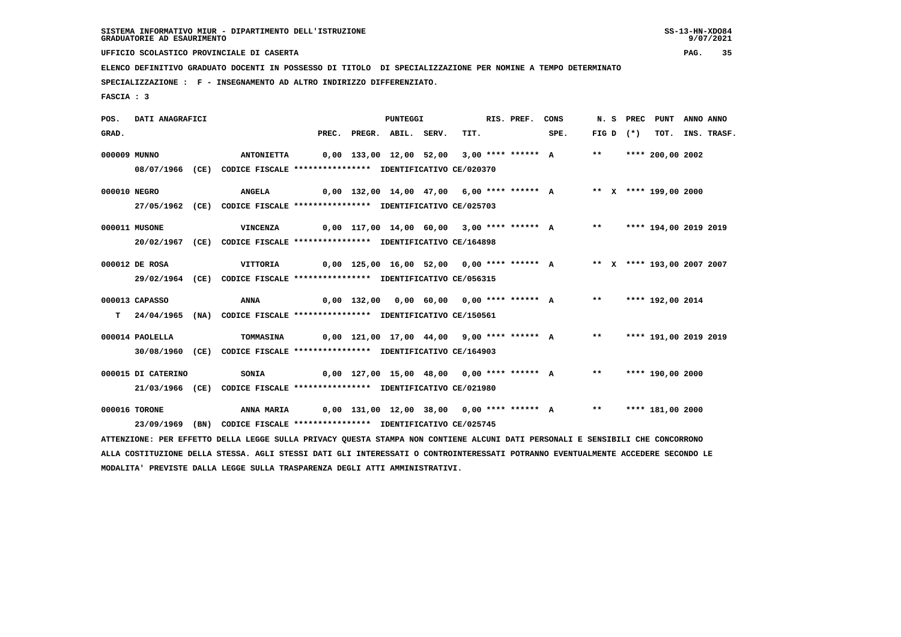9/07/2021

 **UFFICIO SCOLASTICO PROVINCIALE DI CASERTA PAG. 35**

 **ELENCO DEFINITIVO GRADUATO DOCENTI IN POSSESSO DI TITOLO DI SPECIALIZZAZIONE PER NOMINE A TEMPO DETERMINATO**

 **SPECIALIZZAZIONE : F - INSEGNAMENTO AD ALTRO INDIRIZZO DIFFERENZIATO.**

 **FASCIA : 3**

 **POS. DATI ANAGRAFICI PUNTEGGI RIS. PREF. CONS N. S PREC PUNT ANNO ANNO**GRAD. PREC. PREGR. ABIL. SERV. TIT. SPE. FIG D (\*) TOT. INS. TRASF.  **000009 MUNNO ANTONIETTA 0,00 133,00 12,00 52,00 3,00 \*\*\*\* \*\*\*\*\*\* A \*\* \*\*\*\* 200,00 2002 08/07/1966 (CE) CODICE FISCALE \*\*\*\*\*\*\*\*\*\*\*\*\*\*\*\* IDENTIFICATIVO CE/020370 000010 NEGRO ANGELA 0,00 132,00 14,00 47,00 6,00 \*\*\*\* \*\*\*\*\*\* A \*\* X \*\*\*\* 199,00 2000 27/05/1962 (CE) CODICE FISCALE \*\*\*\*\*\*\*\*\*\*\*\*\*\*\*\* IDENTIFICATIVO CE/025703 000011 MUSONE VINCENZA 0,00 117,00 14,00 60,00 3,00 \*\*\*\* \*\*\*\*\*\* A \*\* \*\*\*\* 194,00 2019 2019 20/02/1967 (CE) CODICE FISCALE \*\*\*\*\*\*\*\*\*\*\*\*\*\*\*\* IDENTIFICATIVO CE/164898 000012 DE ROSA VITTORIA 0,00 125,00 16,00 52,00 0,00 \*\*\*\* \*\*\*\*\*\* A \*\* X \*\*\*\* 193,00 2007 2007 29/02/1964 (CE) CODICE FISCALE \*\*\*\*\*\*\*\*\*\*\*\*\*\*\*\* IDENTIFICATIVO CE/056315 000013 CAPASSO ANNA 0,00 132,00 0,00 60,00 0,00 \*\*\*\* \*\*\*\*\*\* A \*\* \*\*\*\* 192,00 2014 T 24/04/1965 (NA) CODICE FISCALE \*\*\*\*\*\*\*\*\*\*\*\*\*\*\*\* IDENTIFICATIVO CE/150561 000014 PAOLELLA TOMMASINA 0,00 121,00 17,00 44,00 9,00 \*\*\*\* \*\*\*\*\*\* A \*\* \*\*\*\* 191,00 2019 2019 30/08/1960 (CE) CODICE FISCALE \*\*\*\*\*\*\*\*\*\*\*\*\*\*\*\* IDENTIFICATIVO CE/164903 000015 DI CATERINO SONIA 0,00 127,00 15,00 48,00 0,00 \*\*\*\* \*\*\*\*\*\* A \*\* \*\*\*\* 190,00 2000 21/03/1966 (CE) CODICE FISCALE \*\*\*\*\*\*\*\*\*\*\*\*\*\*\*\* IDENTIFICATIVO CE/021980 000016 TORONE ANNA MARIA 0,00 131,00 12,00 38,00 0,00 \*\*\*\* \*\*\*\*\*\* A \*\* \*\*\*\* 181,00 2000 23/09/1969 (BN) CODICE FISCALE \*\*\*\*\*\*\*\*\*\*\*\*\*\*\*\* IDENTIFICATIVO CE/025745 ATTENZIONE: PER EFFETTO DELLA LEGGE SULLA PRIVACY QUESTA STAMPA NON CONTIENE ALCUNI DATI PERSONALI E SENSIBILI CHE CONCORRONO ALLA COSTITUZIONE DELLA STESSA. AGLI STESSI DATI GLI INTERESSATI O CONTROINTERESSATI POTRANNO EVENTUALMENTE ACCEDERE SECONDO LE**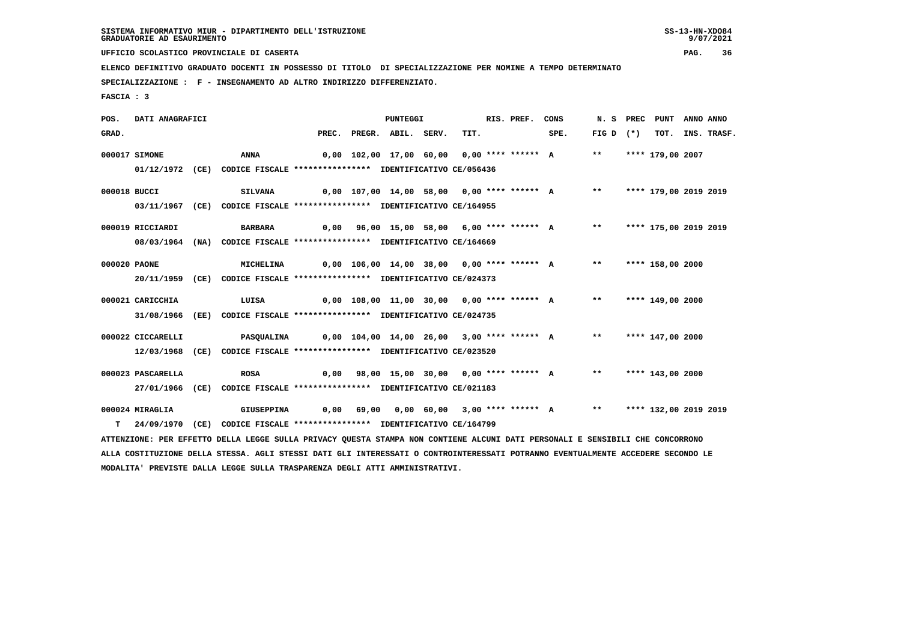9/07/2021

 **UFFICIO SCOLASTICO PROVINCIALE DI CASERTA PAG. 36**

 **ELENCO DEFINITIVO GRADUATO DOCENTI IN POSSESSO DI TITOLO DI SPECIALIZZAZIONE PER NOMINE A TEMPO DETERMINATO**

 **SPECIALIZZAZIONE : F - INSEGNAMENTO AD ALTRO INDIRIZZO DIFFERENZIATO.**

 **MODALITA' PREVISTE DALLA LEGGE SULLA TRASPARENZA DEGLI ATTI AMMINISTRATIVI.**

 **FASCIA : 3**

 **POS. DATI ANAGRAFICI PUNTEGGI RIS. PREF. CONS N. S PREC PUNT ANNO ANNO**GRAD. PREC. PREGR. ABIL. SERV. TIT. SPE. FIG D (\*) TOT. INS. TRASF.  **000017 SIMONE ANNA 0,00 102,00 17,00 60,00 0,00 \*\*\*\* \*\*\*\*\*\* A \*\* \*\*\*\* 179,00 2007 01/12/1972 (CE) CODICE FISCALE \*\*\*\*\*\*\*\*\*\*\*\*\*\*\*\* IDENTIFICATIVO CE/056436 000018 BUCCI SILVANA 0,00 107,00 14,00 58,00 0,00 \*\*\*\* \*\*\*\*\*\* A \*\* \*\*\*\* 179,00 2019 2019 03/11/1967 (CE) CODICE FISCALE \*\*\*\*\*\*\*\*\*\*\*\*\*\*\*\* IDENTIFICATIVO CE/164955 000019 RICCIARDI BARBARA 0,00 96,00 15,00 58,00 6,00 \*\*\*\* \*\*\*\*\*\* A \*\* \*\*\*\* 175,00 2019 2019 08/03/1964 (NA) CODICE FISCALE \*\*\*\*\*\*\*\*\*\*\*\*\*\*\*\* IDENTIFICATIVO CE/164669 000020 PAONE MICHELINA 0,00 106,00 14,00 38,00 0,00 \*\*\*\* \*\*\*\*\*\* A \*\* \*\*\*\* 158,00 2000 20/11/1959 (CE) CODICE FISCALE \*\*\*\*\*\*\*\*\*\*\*\*\*\*\*\* IDENTIFICATIVO CE/024373 000021 CARICCHIA LUISA 0,00 108,00 11,00 30,00 0,00 \*\*\*\* \*\*\*\*\*\* A \*\* \*\*\*\* 149,00 2000 31/08/1966 (EE) CODICE FISCALE \*\*\*\*\*\*\*\*\*\*\*\*\*\*\*\* IDENTIFICATIVO CE/024735 000022 CICCARELLI PASQUALINA 0,00 104,00 14,00 26,00 3,00 \*\*\*\* \*\*\*\*\*\* A \*\* \*\*\*\* 147,00 2000 12/03/1968 (CE) CODICE FISCALE \*\*\*\*\*\*\*\*\*\*\*\*\*\*\*\* IDENTIFICATIVO CE/023520 000023 PASCARELLA ROSA 0,00 98,00 15,00 30,00 0,00 \*\*\*\* \*\*\*\*\*\* A \*\* \*\*\*\* 143,00 2000 27/01/1966 (CE) CODICE FISCALE \*\*\*\*\*\*\*\*\*\*\*\*\*\*\*\* IDENTIFICATIVO CE/021183 000024 MIRAGLIA GIUSEPPINA 0,00 69,00 0,00 60,00 3,00 \*\*\*\* \*\*\*\*\*\* A \*\* \*\*\*\* 132,00 2019 2019 T 24/09/1970 (CE) CODICE FISCALE \*\*\*\*\*\*\*\*\*\*\*\*\*\*\*\* IDENTIFICATIVO CE/164799 ATTENZIONE: PER EFFETTO DELLA LEGGE SULLA PRIVACY QUESTA STAMPA NON CONTIENE ALCUNI DATI PERSONALI E SENSIBILI CHE CONCORRONO ALLA COSTITUZIONE DELLA STESSA. AGLI STESSI DATI GLI INTERESSATI O CONTROINTERESSATI POTRANNO EVENTUALMENTE ACCEDERE SECONDO LE**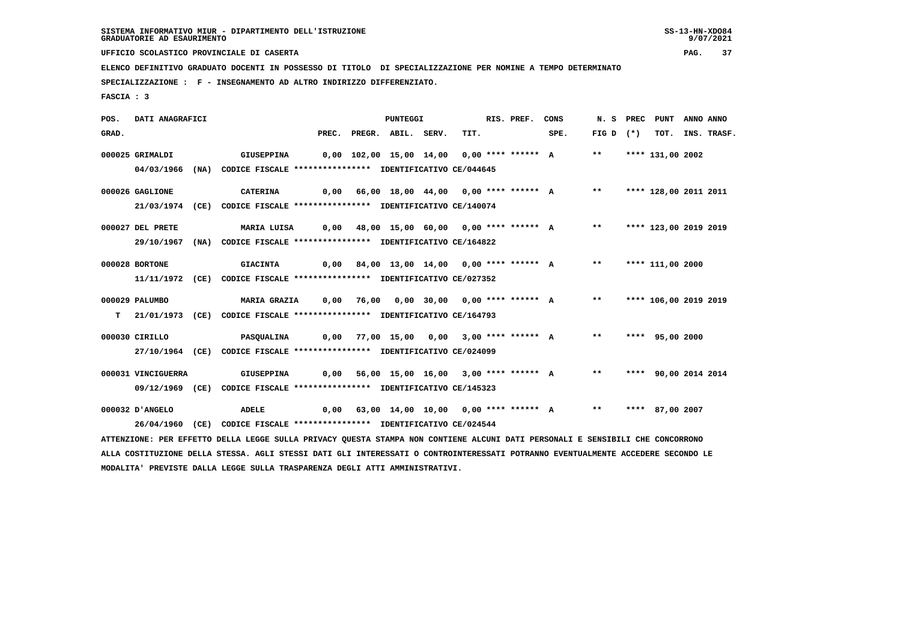9/07/2021

 **UFFICIO SCOLASTICO PROVINCIALE DI CASERTA PAG. 37**

 **ELENCO DEFINITIVO GRADUATO DOCENTI IN POSSESSO DI TITOLO DI SPECIALIZZAZIONE PER NOMINE A TEMPO DETERMINATO**

 **SPECIALIZZAZIONE : F - INSEGNAMENTO AD ALTRO INDIRIZZO DIFFERENZIATO.**

 **FASCIA : 3**

 **POS. DATI ANAGRAFICI PUNTEGGI RIS. PREF. CONS N. S PREC PUNT ANNO ANNO**GRAD. PREC. PREGR. ABIL. SERV. TIT. SPE. FIG D (\*) TOT. INS. TRASF.  **000025 GRIMALDI GIUSEPPINA 0,00 102,00 15,00 14,00 0,00 \*\*\*\* \*\*\*\*\*\* A \*\* \*\*\*\* 131,00 2002 04/03/1966 (NA) CODICE FISCALE \*\*\*\*\*\*\*\*\*\*\*\*\*\*\*\* IDENTIFICATIVO CE/044645 000026 GAGLIONE CATERINA 0,00 66,00 18,00 44,00 0,00 \*\*\*\* \*\*\*\*\*\* A \*\* \*\*\*\* 128,00 2011 2011 21/03/1974 (CE) CODICE FISCALE \*\*\*\*\*\*\*\*\*\*\*\*\*\*\*\* IDENTIFICATIVO CE/140074 000027 DEL PRETE MARIA LUISA 0,00 48,00 15,00 60,00 0,00 \*\*\*\* \*\*\*\*\*\* A \*\* \*\*\*\* 123,00 2019 2019 29/10/1967 (NA) CODICE FISCALE \*\*\*\*\*\*\*\*\*\*\*\*\*\*\*\* IDENTIFICATIVO CE/164822 000028 BORTONE GIACINTA 0,00 84,00 13,00 14,00 0,00 \*\*\*\* \*\*\*\*\*\* A \*\* \*\*\*\* 111,00 2000 11/11/1972 (CE) CODICE FISCALE \*\*\*\*\*\*\*\*\*\*\*\*\*\*\*\* IDENTIFICATIVO CE/027352 000029 PALUMBO MARIA GRAZIA 0,00 76,00 0,00 30,00 0,00 \*\*\*\* \*\*\*\*\*\* A \*\* \*\*\*\* 106,00 2019 2019 T 21/01/1973 (CE) CODICE FISCALE \*\*\*\*\*\*\*\*\*\*\*\*\*\*\*\* IDENTIFICATIVO CE/164793 000030 CIRILLO PASQUALINA 0,00 77,00 15,00 0,00 3,00 \*\*\*\* \*\*\*\*\*\* A \*\* \*\*\*\* 95,00 2000 27/10/1964 (CE) CODICE FISCALE \*\*\*\*\*\*\*\*\*\*\*\*\*\*\*\* IDENTIFICATIVO CE/024099 000031 VINCIGUERRA GIUSEPPINA 0,00 56,00 15,00 16,00 3,00 \*\*\*\* \*\*\*\*\*\* A \*\* \*\*\*\* 90,00 2014 2014 09/12/1969 (CE) CODICE FISCALE \*\*\*\*\*\*\*\*\*\*\*\*\*\*\*\* IDENTIFICATIVO CE/145323 000032 D'ANGELO ADELE 0,00 63,00 14,00 10,00 0,00 \*\*\*\* \*\*\*\*\*\* A \*\* \*\*\*\* 87,00 2007 26/04/1960 (CE) CODICE FISCALE \*\*\*\*\*\*\*\*\*\*\*\*\*\*\*\* IDENTIFICATIVO CE/024544 ATTENZIONE: PER EFFETTO DELLA LEGGE SULLA PRIVACY QUESTA STAMPA NON CONTIENE ALCUNI DATI PERSONALI E SENSIBILI CHE CONCORRONO ALLA COSTITUZIONE DELLA STESSA. AGLI STESSI DATI GLI INTERESSATI O CONTROINTERESSATI POTRANNO EVENTUALMENTE ACCEDERE SECONDO LE MODALITA' PREVISTE DALLA LEGGE SULLA TRASPARENZA DEGLI ATTI AMMINISTRATIVI.**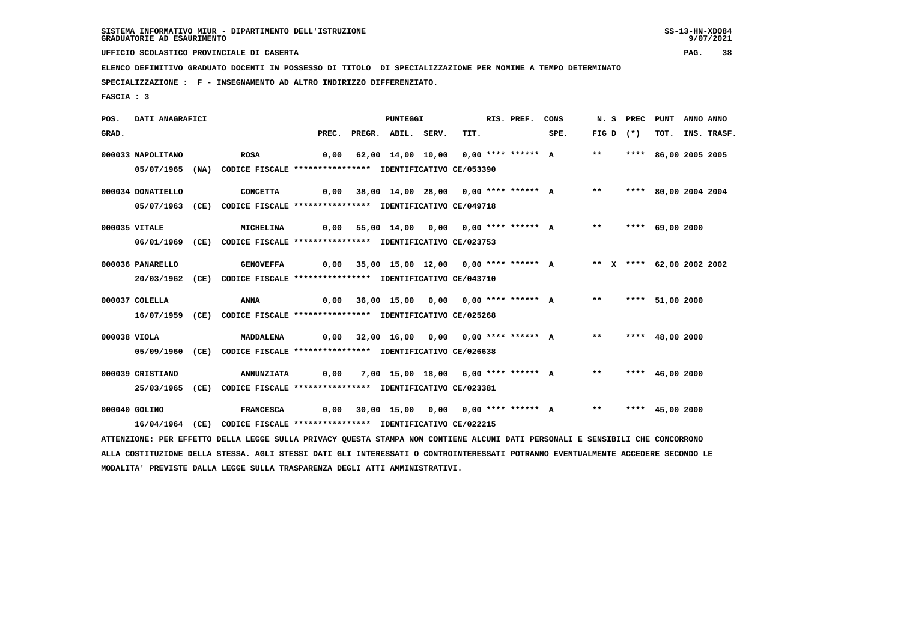9/07/2021

 **UFFICIO SCOLASTICO PROVINCIALE DI CASERTA PAG. 38**

 **ELENCO DEFINITIVO GRADUATO DOCENTI IN POSSESSO DI TITOLO DI SPECIALIZZAZIONE PER NOMINE A TEMPO DETERMINATO**

 **SPECIALIZZAZIONE : F - INSEGNAMENTO AD ALTRO INDIRIZZO DIFFERENZIATO.**

 **FASCIA : 3**

 **POS. DATI ANAGRAFICI PUNTEGGI RIS. PREF. CONS N. S PREC PUNT ANNO ANNO**GRAD. PREC. PREGR. ABIL. SERV. TIT. SPE. FIG D (\*) TOT. INS. TRASF.  **000033 NAPOLITANO ROSA 0,00 62,00 14,00 10,00 0,00 \*\*\*\* \*\*\*\*\*\* A \*\* \*\*\*\* 86,00 2005 2005 05/07/1965 (NA) CODICE FISCALE \*\*\*\*\*\*\*\*\*\*\*\*\*\*\*\* IDENTIFICATIVO CE/053390 000034 DONATIELLO CONCETTA 0,00 38,00 14,00 28,00 0,00 \*\*\*\* \*\*\*\*\*\* A \*\* \*\*\*\* 80,00 2004 2004 05/07/1963 (CE) CODICE FISCALE \*\*\*\*\*\*\*\*\*\*\*\*\*\*\*\* IDENTIFICATIVO CE/049718 000035 VITALE MICHELINA 0,00 55,00 14,00 0,00 0,00 \*\*\*\* \*\*\*\*\*\* A \*\* \*\*\*\* 69,00 2000 06/01/1969 (CE) CODICE FISCALE \*\*\*\*\*\*\*\*\*\*\*\*\*\*\*\* IDENTIFICATIVO CE/023753 000036 PANARELLO GENOVEFFA 0,00 35,00 15,00 12,00 0,00 \*\*\*\* \*\*\*\*\*\* A \*\* X \*\*\*\* 62,00 2002 2002 20/03/1962 (CE) CODICE FISCALE \*\*\*\*\*\*\*\*\*\*\*\*\*\*\*\* IDENTIFICATIVO CE/043710 000037 COLELLA ANNA 0,00 36,00 15,00 0,00 0,00 \*\*\*\* \*\*\*\*\*\* A \*\* \*\*\*\* 51,00 2000 16/07/1959 (CE) CODICE FISCALE \*\*\*\*\*\*\*\*\*\*\*\*\*\*\*\* IDENTIFICATIVO CE/025268 000038 VIOLA MADDALENA 0,00 32,00 16,00 0,00 0,00 \*\*\*\* \*\*\*\*\*\* A \*\* \*\*\*\* 48,00 2000 05/09/1960 (CE) CODICE FISCALE \*\*\*\*\*\*\*\*\*\*\*\*\*\*\*\* IDENTIFICATIVO CE/026638 000039 CRISTIANO ANNUNZIATA 0,00 7,00 15,00 18,00 6,00 \*\*\*\* \*\*\*\*\*\* A \*\* \*\*\*\* 46,00 2000 25/03/1965 (CE) CODICE FISCALE \*\*\*\*\*\*\*\*\*\*\*\*\*\*\*\* IDENTIFICATIVO CE/023381 000040 GOLINO FRANCESCA 0,00 30,00 15,00 0,00 0,00 \*\*\*\* \*\*\*\*\*\* A \*\* \*\*\*\* 45,00 2000 16/04/1964 (CE) CODICE FISCALE \*\*\*\*\*\*\*\*\*\*\*\*\*\*\*\* IDENTIFICATIVO CE/022215**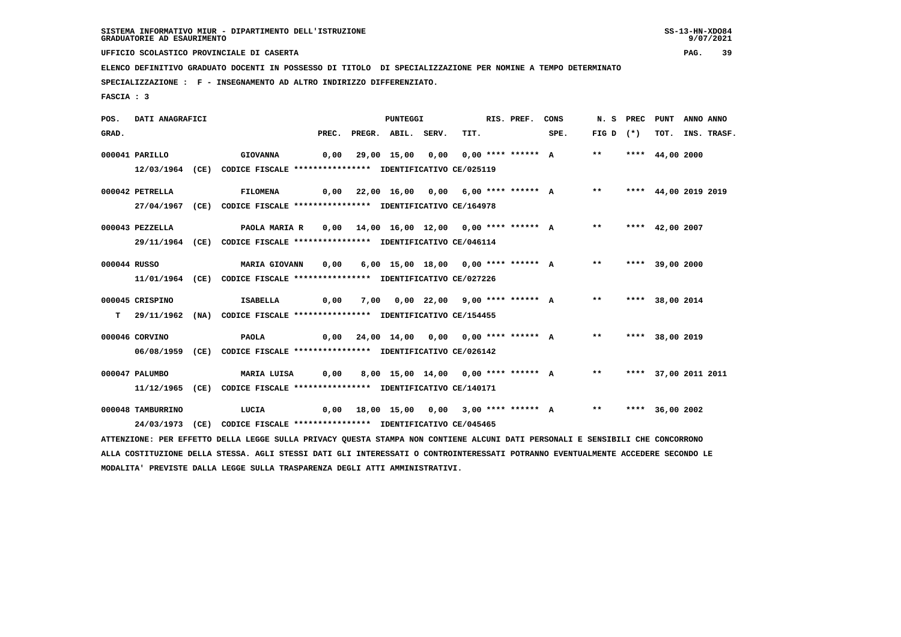9/07/2021

 **UFFICIO SCOLASTICO PROVINCIALE DI CASERTA PAG. 39**

 **ELENCO DEFINITIVO GRADUATO DOCENTI IN POSSESSO DI TITOLO DI SPECIALIZZAZIONE PER NOMINE A TEMPO DETERMINATO**

 **SPECIALIZZAZIONE : F - INSEGNAMENTO AD ALTRO INDIRIZZO DIFFERENZIATO.**

 **MODALITA' PREVISTE DALLA LEGGE SULLA TRASPARENZA DEGLI ATTI AMMINISTRATIVI.**

 **FASCIA : 3**

 **POS. DATI ANAGRAFICI PUNTEGGI RIS. PREF. CONS N. S PREC PUNT ANNO ANNO**GRAD. PREC. PREGR. ABIL. SERV. TIT. SPE. FIG D (\*) TOT. INS. TRASF.  **000041 PARILLO GIOVANNA 0,00 29,00 15,00 0,00 0,00 \*\*\*\* \*\*\*\*\*\* A \*\* \*\*\*\* 44,00 2000 12/03/1964 (CE) CODICE FISCALE \*\*\*\*\*\*\*\*\*\*\*\*\*\*\*\* IDENTIFICATIVO CE/025119 000042 PETRELLA FILOMENA 0,00 22,00 16,00 0,00 6,00 \*\*\*\* \*\*\*\*\*\* A \*\* \*\*\*\* 44,00 2019 2019 27/04/1967 (CE) CODICE FISCALE \*\*\*\*\*\*\*\*\*\*\*\*\*\*\*\* IDENTIFICATIVO CE/164978 000043 PEZZELLA PAOLA MARIA R 0,00 14,00 16,00 12,00 0,00 \*\*\*\* \*\*\*\*\*\* A \*\* \*\*\*\* 42,00 2007 29/11/1964 (CE) CODICE FISCALE \*\*\*\*\*\*\*\*\*\*\*\*\*\*\*\* IDENTIFICATIVO CE/046114 000044 RUSSO MARIA GIOVANN 0,00 6,00 15,00 18,00 0,00 \*\*\*\* \*\*\*\*\*\* A \*\* \*\*\*\* 39,00 2000 11/01/1964 (CE) CODICE FISCALE \*\*\*\*\*\*\*\*\*\*\*\*\*\*\*\* IDENTIFICATIVO CE/027226 000045 CRISPINO ISABELLA 0,00 7,00 0,00 22,00 9,00 \*\*\*\* \*\*\*\*\*\* A \*\* \*\*\*\* 38,00 2014 T 29/11/1962 (NA) CODICE FISCALE \*\*\*\*\*\*\*\*\*\*\*\*\*\*\*\* IDENTIFICATIVO CE/154455 000046 CORVINO PAOLA 0,00 24,00 14,00 0,00 0,00 \*\*\*\* \*\*\*\*\*\* A \*\* \*\*\*\* 38,00 2019 06/08/1959 (CE) CODICE FISCALE \*\*\*\*\*\*\*\*\*\*\*\*\*\*\*\* IDENTIFICATIVO CE/026142 000047 PALUMBO MARIA LUISA 0,00 8,00 15,00 14,00 0,00 \*\*\*\* \*\*\*\*\*\* A \*\* \*\*\*\* 37,00 2011 2011 11/12/1965 (CE) CODICE FISCALE \*\*\*\*\*\*\*\*\*\*\*\*\*\*\*\* IDENTIFICATIVO CE/140171 000048 TAMBURRINO LUCIA 0,00 18,00 15,00 0,00 3,00 \*\*\*\* \*\*\*\*\*\* A \*\* \*\*\*\* 36,00 2002 24/03/1973 (CE) CODICE FISCALE \*\*\*\*\*\*\*\*\*\*\*\*\*\*\*\* IDENTIFICATIVO CE/045465 ATTENZIONE: PER EFFETTO DELLA LEGGE SULLA PRIVACY QUESTA STAMPA NON CONTIENE ALCUNI DATI PERSONALI E SENSIBILI CHE CONCORRONO ALLA COSTITUZIONE DELLA STESSA. AGLI STESSI DATI GLI INTERESSATI O CONTROINTERESSATI POTRANNO EVENTUALMENTE ACCEDERE SECONDO LE**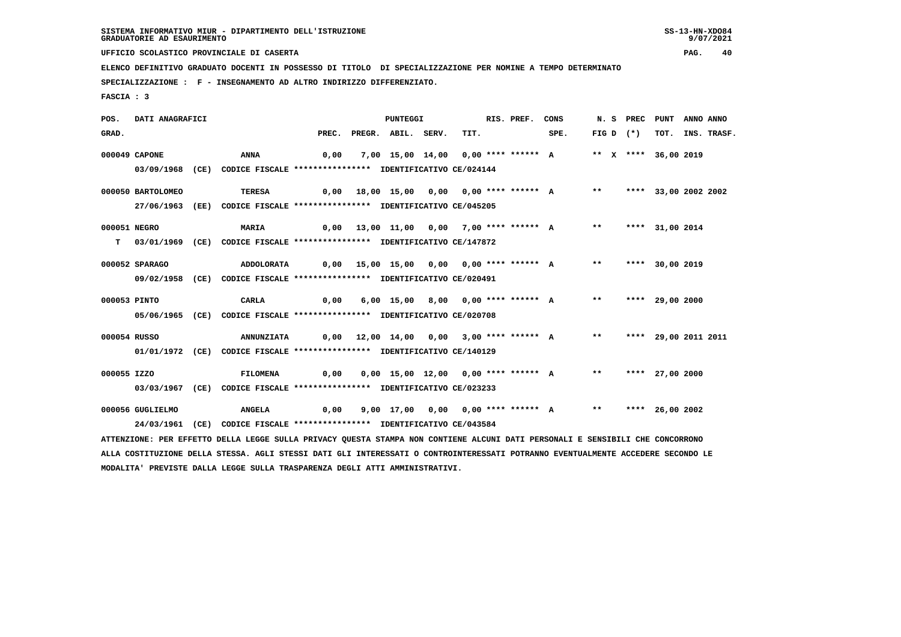9/07/2021

 **UFFICIO SCOLASTICO PROVINCIALE DI CASERTA PAG. 40**

 **ELENCO DEFINITIVO GRADUATO DOCENTI IN POSSESSO DI TITOLO DI SPECIALIZZAZIONE PER NOMINE A TEMPO DETERMINATO**

 **SPECIALIZZAZIONE : F - INSEGNAMENTO AD ALTRO INDIRIZZO DIFFERENZIATO.**

 **MODALITA' PREVISTE DALLA LEGGE SULLA TRASPARENZA DEGLI ATTI AMMINISTRATIVI.**

 **FASCIA : 3**

 **POS. DATI ANAGRAFICI PUNTEGGI RIS. PREF. CONS N. S PREC PUNT ANNO ANNO**GRAD. PREC. PREGR. ABIL. SERV. TIT. SPE. FIG D (\*) TOT. INS. TRASF.  **000049 CAPONE ANNA 0,00 7,00 15,00 14,00 0,00 \*\*\*\* \*\*\*\*\*\* A \*\* X \*\*\*\* 36,00 2019 03/09/1968 (CE) CODICE FISCALE \*\*\*\*\*\*\*\*\*\*\*\*\*\*\*\* IDENTIFICATIVO CE/024144 000050 BARTOLOMEO TERESA 0,00 18,00 15,00 0,00 0,00 \*\*\*\* \*\*\*\*\*\* A \*\* \*\*\*\* 33,00 2002 2002 27/06/1963 (EE) CODICE FISCALE \*\*\*\*\*\*\*\*\*\*\*\*\*\*\*\* IDENTIFICATIVO CE/045205 000051 NEGRO MARIA 0,00 13,00 11,00 0,00 7,00 \*\*\*\* \*\*\*\*\*\* A \*\* \*\*\*\* 31,00 2014 T 03/01/1969 (CE) CODICE FISCALE \*\*\*\*\*\*\*\*\*\*\*\*\*\*\*\* IDENTIFICATIVO CE/147872 000052 SPARAGO ADDOLORATA 0,00 15,00 15,00 0,00 0,00 \*\*\*\* \*\*\*\*\*\* A \*\* \*\*\*\* 30,00 2019 09/02/1958 (CE) CODICE FISCALE \*\*\*\*\*\*\*\*\*\*\*\*\*\*\*\* IDENTIFICATIVO CE/020491 000053 PINTO CARLA 0,00 6,00 15,00 8,00 0,00 \*\*\*\* \*\*\*\*\*\* A \*\* \*\*\*\* 29,00 2000 05/06/1965 (CE) CODICE FISCALE \*\*\*\*\*\*\*\*\*\*\*\*\*\*\*\* IDENTIFICATIVO CE/020708 000054 RUSSO ANNUNZIATA 0,00 12,00 14,00 0,00 3,00 \*\*\*\* \*\*\*\*\*\* A \*\* \*\*\*\* 29,00 2011 2011 01/01/1972 (CE) CODICE FISCALE \*\*\*\*\*\*\*\*\*\*\*\*\*\*\*\* IDENTIFICATIVO CE/140129 000055 IZZO FILOMENA 0,00 0,00 15,00 12,00 0,00 \*\*\*\* \*\*\*\*\*\* A \*\* \*\*\*\* 27,00 2000 03/03/1967 (CE) CODICE FISCALE \*\*\*\*\*\*\*\*\*\*\*\*\*\*\*\* IDENTIFICATIVO CE/023233 000056 GUGLIELMO ANGELA 0,00 9,00 17,00 0,00 0,00 \*\*\*\* \*\*\*\*\*\* A \*\* \*\*\*\* 26,00 2002 24/03/1961 (CE) CODICE FISCALE \*\*\*\*\*\*\*\*\*\*\*\*\*\*\*\* IDENTIFICATIVO CE/043584 ATTENZIONE: PER EFFETTO DELLA LEGGE SULLA PRIVACY QUESTA STAMPA NON CONTIENE ALCUNI DATI PERSONALI E SENSIBILI CHE CONCORRONO ALLA COSTITUZIONE DELLA STESSA. AGLI STESSI DATI GLI INTERESSATI O CONTROINTERESSATI POTRANNO EVENTUALMENTE ACCEDERE SECONDO LE**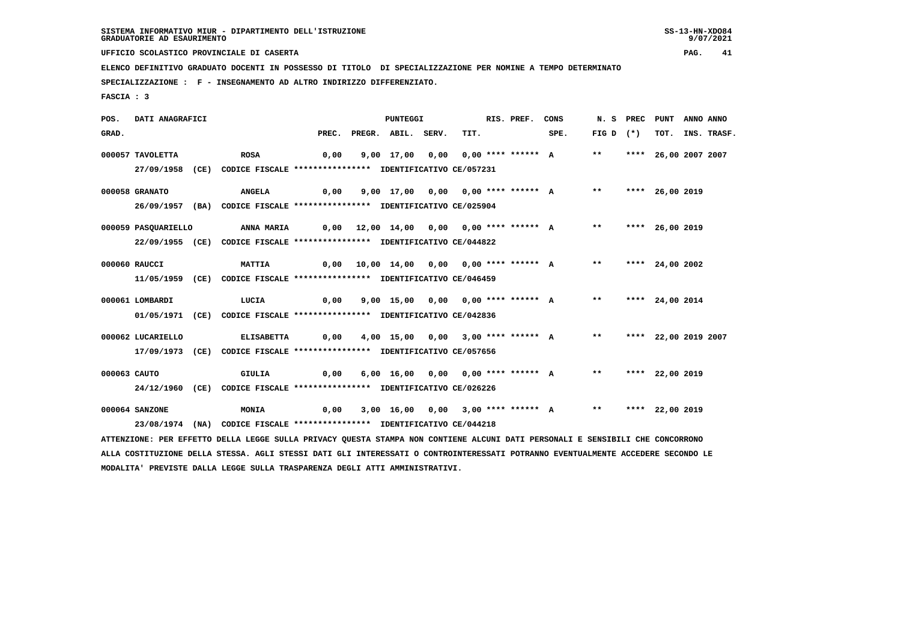9/07/2021

 **UFFICIO SCOLASTICO PROVINCIALE DI CASERTA PAG. 41**

 **ELENCO DEFINITIVO GRADUATO DOCENTI IN POSSESSO DI TITOLO DI SPECIALIZZAZIONE PER NOMINE A TEMPO DETERMINATO**

 **SPECIALIZZAZIONE : F - INSEGNAMENTO AD ALTRO INDIRIZZO DIFFERENZIATO.**

 **FASCIA : 3**

 **POS. DATI ANAGRAFICI PUNTEGGI RIS. PREF. CONS N. S PREC PUNT ANNO ANNO**GRAD. PREC. PREGR. ABIL. SERV. TIT. SPE. FIG D (\*) TOT. INS. TRASF.  **000057 TAVOLETTA ROSA 0,00 9,00 17,00 0,00 0,00 \*\*\*\* \*\*\*\*\*\* A \*\* \*\*\*\* 26,00 2007 2007 27/09/1958 (CE) CODICE FISCALE \*\*\*\*\*\*\*\*\*\*\*\*\*\*\*\* IDENTIFICATIVO CE/057231 000058 GRANATO ANGELA 0,00 9,00 17,00 0,00 0,00 \*\*\*\* \*\*\*\*\*\* A \*\* \*\*\*\* 26,00 2019 26/09/1957 (BA) CODICE FISCALE \*\*\*\*\*\*\*\*\*\*\*\*\*\*\*\* IDENTIFICATIVO CE/025904 000059 PASQUARIELLO ANNA MARIA 0,00 12,00 14,00 0,00 0,00 \*\*\*\* \*\*\*\*\*\* A \*\* \*\*\*\* 26,00 2019 22/09/1955 (CE) CODICE FISCALE \*\*\*\*\*\*\*\*\*\*\*\*\*\*\*\* IDENTIFICATIVO CE/044822 000060 RAUCCI MATTIA 0,00 10,00 14,00 0,00 0,00 \*\*\*\* \*\*\*\*\*\* A \*\* \*\*\*\* 24,00 2002 11/05/1959 (CE) CODICE FISCALE \*\*\*\*\*\*\*\*\*\*\*\*\*\*\*\* IDENTIFICATIVO CE/046459 000061 LOMBARDI LUCIA 0,00 9,00 15,00 0,00 0,00 \*\*\*\* \*\*\*\*\*\* A \*\* \*\*\*\* 24,00 2014 01/05/1971 (CE) CODICE FISCALE \*\*\*\*\*\*\*\*\*\*\*\*\*\*\*\* IDENTIFICATIVO CE/042836 000062 LUCARIELLO ELISABETTA 0,00 4,00 15,00 0,00 3,00 \*\*\*\* \*\*\*\*\*\* A \*\* \*\*\*\* 22,00 2019 2007 17/09/1973 (CE) CODICE FISCALE \*\*\*\*\*\*\*\*\*\*\*\*\*\*\*\* IDENTIFICATIVO CE/057656 000063 CAUTO GIULIA 0,00 6,00 16,00 0,00 0,00 \*\*\*\* \*\*\*\*\*\* A \*\* \*\*\*\* 22,00 2019 24/12/1960 (CE) CODICE FISCALE \*\*\*\*\*\*\*\*\*\*\*\*\*\*\*\* IDENTIFICATIVO CE/026226 000064 SANZONE MONIA 0,00 3,00 16,00 0,00 3,00 \*\*\*\* \*\*\*\*\*\* A \*\* \*\*\*\* 22,00 2019 23/08/1974 (NA) CODICE FISCALE \*\*\*\*\*\*\*\*\*\*\*\*\*\*\*\* IDENTIFICATIVO CE/044218 ATTENZIONE: PER EFFETTO DELLA LEGGE SULLA PRIVACY QUESTA STAMPA NON CONTIENE ALCUNI DATI PERSONALI E SENSIBILI CHE CONCORRONO ALLA COSTITUZIONE DELLA STESSA. AGLI STESSI DATI GLI INTERESSATI O CONTROINTERESSATI POTRANNO EVENTUALMENTE ACCEDERE SECONDO LE**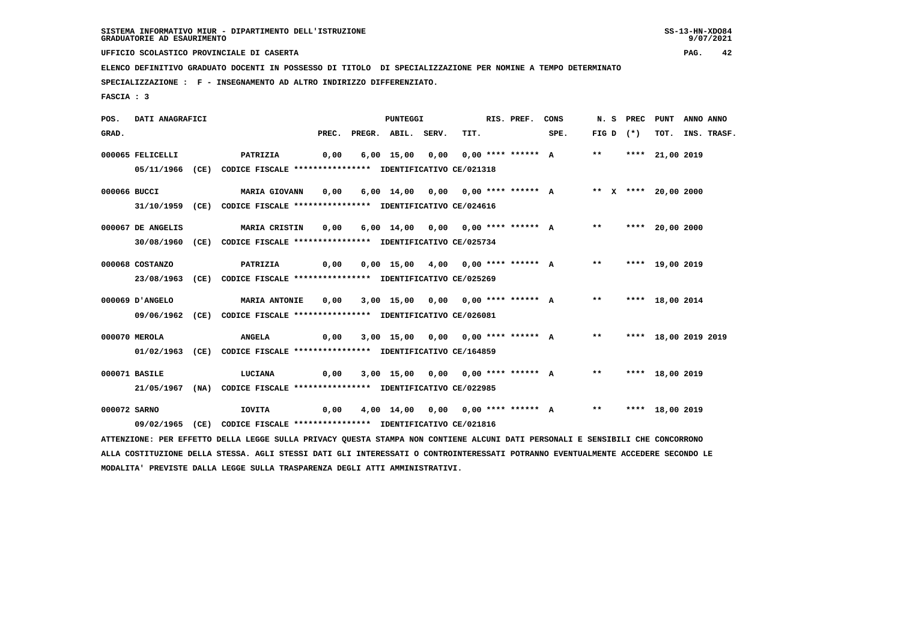9/07/2021

 **UFFICIO SCOLASTICO PROVINCIALE DI CASERTA PAG. 42**

 **ELENCO DEFINITIVO GRADUATO DOCENTI IN POSSESSO DI TITOLO DI SPECIALIZZAZIONE PER NOMINE A TEMPO DETERMINATO**

 **SPECIALIZZAZIONE : F - INSEGNAMENTO AD ALTRO INDIRIZZO DIFFERENZIATO.**

 **FASCIA : 3**

 **POS. DATI ANAGRAFICI PUNTEGGI RIS. PREF. CONS N. S PREC PUNT ANNO ANNO**GRAD. PREC. PREGR. ABIL. SERV. TIT. SPE. FIG D (\*) TOT. INS. TRASF.  **000065 FELICELLI PATRIZIA 0,00 6,00 15,00 0,00 0,00 \*\*\*\* \*\*\*\*\*\* A \*\* \*\*\*\* 21,00 2019 05/11/1966 (CE) CODICE FISCALE \*\*\*\*\*\*\*\*\*\*\*\*\*\*\*\* IDENTIFICATIVO CE/021318 000066 BUCCI MARIA GIOVANN 0,00 6,00 14,00 0,00 0,00 \*\*\*\* \*\*\*\*\*\* A \*\* X \*\*\*\* 20,00 2000 31/10/1959 (CE) CODICE FISCALE \*\*\*\*\*\*\*\*\*\*\*\*\*\*\*\* IDENTIFICATIVO CE/024616 000067 DE ANGELIS MARIA CRISTIN 0,00 6,00 14,00 0,00 0,00 \*\*\*\* \*\*\*\*\*\* A \*\* \*\*\*\* 20,00 2000 30/08/1960 (CE) CODICE FISCALE \*\*\*\*\*\*\*\*\*\*\*\*\*\*\*\* IDENTIFICATIVO CE/025734 000068 COSTANZO PATRIZIA 0,00 0,00 15,00 4,00 0,00 \*\*\*\* \*\*\*\*\*\* A \*\* \*\*\*\* 19,00 2019 23/08/1963 (CE) CODICE FISCALE \*\*\*\*\*\*\*\*\*\*\*\*\*\*\*\* IDENTIFICATIVO CE/025269 000069 D'ANGELO MARIA ANTONIE 0,00 3,00 15,00 0,00 0,00 \*\*\*\* \*\*\*\*\*\* A \*\* \*\*\*\* 18,00 2014 09/06/1962 (CE) CODICE FISCALE \*\*\*\*\*\*\*\*\*\*\*\*\*\*\*\* IDENTIFICATIVO CE/026081 000070 MEROLA ANGELA 0,00 3,00 15,00 0,00 0,00 \*\*\*\* \*\*\*\*\*\* A \*\* \*\*\*\* 18,00 2019 2019 01/02/1963 (CE) CODICE FISCALE \*\*\*\*\*\*\*\*\*\*\*\*\*\*\*\* IDENTIFICATIVO CE/164859 000071 BASILE LUCIANA 0,00 3,00 15,00 0,00 0,00 \*\*\*\* \*\*\*\*\*\* A \*\* \*\*\*\* 18,00 2019 21/05/1967 (NA) CODICE FISCALE \*\*\*\*\*\*\*\*\*\*\*\*\*\*\*\* IDENTIFICATIVO CE/022985 000072 SARNO IOVITA 0,00 4,00 14,00 0,00 0,00 \*\*\*\* \*\*\*\*\*\* A \*\* \*\*\*\* 18,00 2019 09/02/1965 (CE) CODICE FISCALE \*\*\*\*\*\*\*\*\*\*\*\*\*\*\*\* IDENTIFICATIVO CE/021816 ATTENZIONE: PER EFFETTO DELLA LEGGE SULLA PRIVACY QUESTA STAMPA NON CONTIENE ALCUNI DATI PERSONALI E SENSIBILI CHE CONCORRONO ALLA COSTITUZIONE DELLA STESSA. AGLI STESSI DATI GLI INTERESSATI O CONTROINTERESSATI POTRANNO EVENTUALMENTE ACCEDERE SECONDO LE**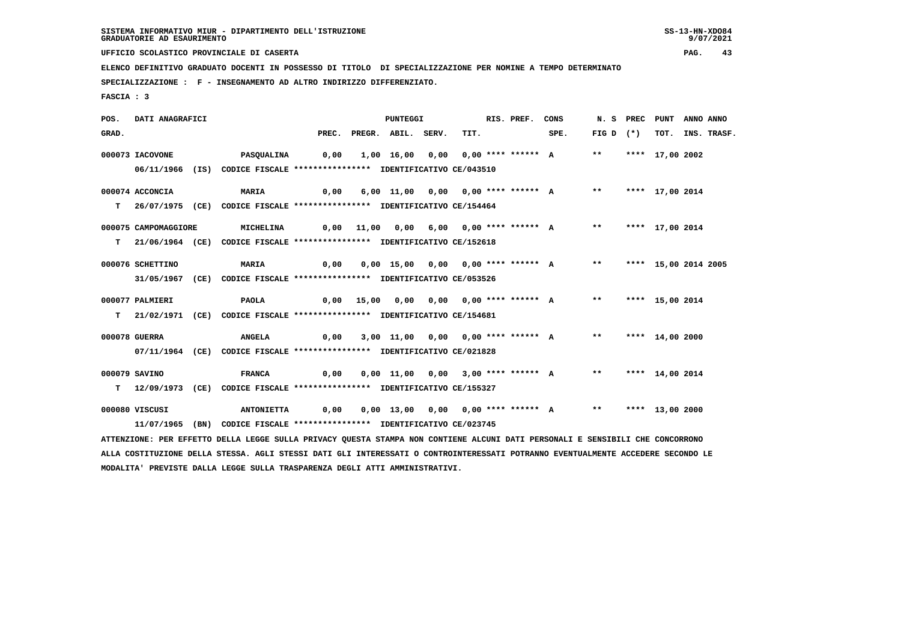9/07/2021

 **UFFICIO SCOLASTICO PROVINCIALE DI CASERTA PAG. 43**

 **ELENCO DEFINITIVO GRADUATO DOCENTI IN POSSESSO DI TITOLO DI SPECIALIZZAZIONE PER NOMINE A TEMPO DETERMINATO**

 **SPECIALIZZAZIONE : F - INSEGNAMENTO AD ALTRO INDIRIZZO DIFFERENZIATO.**

 **FASCIA : 3**

 **POS. DATI ANAGRAFICI PUNTEGGI RIS. PREF. CONS N. S PREC PUNT ANNO ANNO**GRAD. PREC. PREGR. ABIL. SERV. TIT. SPE. FIG D (\*) TOT. INS. TRASF.  **000073 IACOVONE PASQUALINA 0,00 1,00 16,00 0,00 0,00 \*\*\*\* \*\*\*\*\*\* A \*\* \*\*\*\* 17,00 2002 06/11/1966 (IS) CODICE FISCALE \*\*\*\*\*\*\*\*\*\*\*\*\*\*\*\* IDENTIFICATIVO CE/043510 000074 ACCONCIA MARIA 0,00 6,00 11,00 0,00 0,00 \*\*\*\* \*\*\*\*\*\* A \*\* \*\*\*\* 17,00 2014 T 26/07/1975 (CE) CODICE FISCALE \*\*\*\*\*\*\*\*\*\*\*\*\*\*\*\* IDENTIFICATIVO CE/154464 000075 CAMPOMAGGIORE MICHELINA 0,00 11,00 0,00 6,00 0,00 \*\*\*\* \*\*\*\*\*\* A \*\* \*\*\*\* 17,00 2014 T 21/06/1964 (CE) CODICE FISCALE \*\*\*\*\*\*\*\*\*\*\*\*\*\*\*\* IDENTIFICATIVO CE/152618 000076 SCHETTINO MARIA 0,00 0,00 15,00 0,00 0,00 \*\*\*\* \*\*\*\*\*\* A \*\* \*\*\*\* 15,00 2014 2005 31/05/1967 (CE) CODICE FISCALE \*\*\*\*\*\*\*\*\*\*\*\*\*\*\*\* IDENTIFICATIVO CE/053526 000077 PALMIERI PAOLA 0,00 15,00 0,00 0,00 0,00 \*\*\*\* \*\*\*\*\*\* A \*\* \*\*\*\* 15,00 2014 T 21/02/1971 (CE) CODICE FISCALE \*\*\*\*\*\*\*\*\*\*\*\*\*\*\*\* IDENTIFICATIVO CE/154681 000078 GUERRA ANGELA 0,00 3,00 11,00 0,00 0,00 \*\*\*\* \*\*\*\*\*\* A \*\* \*\*\*\* 14,00 2000 07/11/1964 (CE) CODICE FISCALE \*\*\*\*\*\*\*\*\*\*\*\*\*\*\*\* IDENTIFICATIVO CE/021828 000079 SAVINO FRANCA 0,00 0,00 11,00 0,00 3,00 \*\*\*\* \*\*\*\*\*\* A \*\* \*\*\*\* 14,00 2014 T 12/09/1973 (CE) CODICE FISCALE \*\*\*\*\*\*\*\*\*\*\*\*\*\*\*\* IDENTIFICATIVO CE/155327 000080 VISCUSI ANTONIETTA 0,00 0,00 13,00 0,00 0,00 \*\*\*\* \*\*\*\*\*\* A \*\* \*\*\*\* 13,00 2000 11/07/1965 (BN) CODICE FISCALE \*\*\*\*\*\*\*\*\*\*\*\*\*\*\*\* IDENTIFICATIVO CE/023745 ATTENZIONE: PER EFFETTO DELLA LEGGE SULLA PRIVACY QUESTA STAMPA NON CONTIENE ALCUNI DATI PERSONALI E SENSIBILI CHE CONCORRONO ALLA COSTITUZIONE DELLA STESSA. AGLI STESSI DATI GLI INTERESSATI O CONTROINTERESSATI POTRANNO EVENTUALMENTE ACCEDERE SECONDO LE**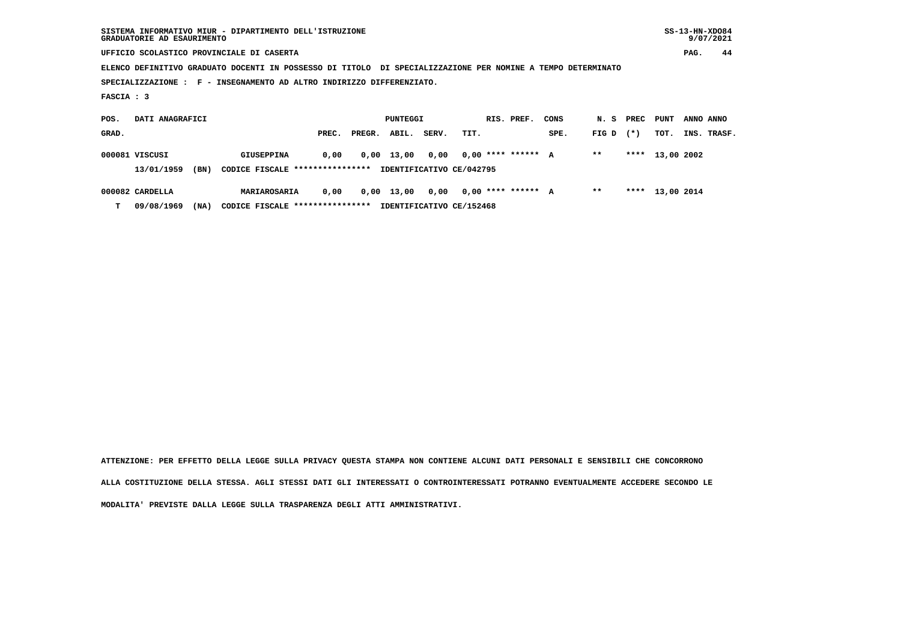| SISTEMA INFORMATIVO MIUR - DIPARTIMENTO DELL'ISTRUZIONE | $SS-13-HN-XDO84$ |
|---------------------------------------------------------|------------------|
| GRADUATORIE AD ESAURIMENTO                              | 9/07/2021        |

 **UFFICIO SCOLASTICO PROVINCIALE DI CASERTA PAG. 44**

 **ELENCO DEFINITIVO GRADUATO DOCENTI IN POSSESSO DI TITOLO DI SPECIALIZZAZIONE PER NOMINE A TEMPO DETERMINATO**

 **SPECIALIZZAZIONE : F - INSEGNAMENTO AD ALTRO INDIRIZZO DIFFERENZIATO.**

 **FASCIA : 3**

| POS.                                                                              | DATI ANAGRAFICI |                   | PUNTEGGI |            |       | RIS. PREF. | CONS                 | N. S | PREC  | PUNT   | ANNO ANNO       |  |             |
|-----------------------------------------------------------------------------------|-----------------|-------------------|----------|------------|-------|------------|----------------------|------|-------|--------|-----------------|--|-------------|
| GRAD.                                                                             |                 | PREC.             | PREGR.   | ABIL.      | SERV. | TIT.       |                      | SPE. | FIG D | $(* )$ | тот.            |  | INS. TRASF. |
|                                                                                   | 000081 VISCUSI  | <b>GIUSEPPINA</b> | 0,00     | 0,00 13,00 | 0.00  |            | $0.00$ **** ****** A |      | $* *$ |        | **** 13,00 2002 |  |             |
| CODICE FISCALE ****************<br>(BN)<br>IDENTIFICATIVO CE/042795<br>13/01/1959 |                 |                   |          |            |       |            |                      |      |       |        |                 |  |             |
|                                                                                   | 000082 CARDELLA | MARIAROSARIA      | 0,00     | 0,00 13,00 | 0.00  |            | $0.00$ **** ****** A |      | $* *$ |        | **** 13,00 2014 |  |             |

 **T 09/08/1969 (NA) CODICE FISCALE \*\*\*\*\*\*\*\*\*\*\*\*\*\*\*\* IDENTIFICATIVO CE/152468**